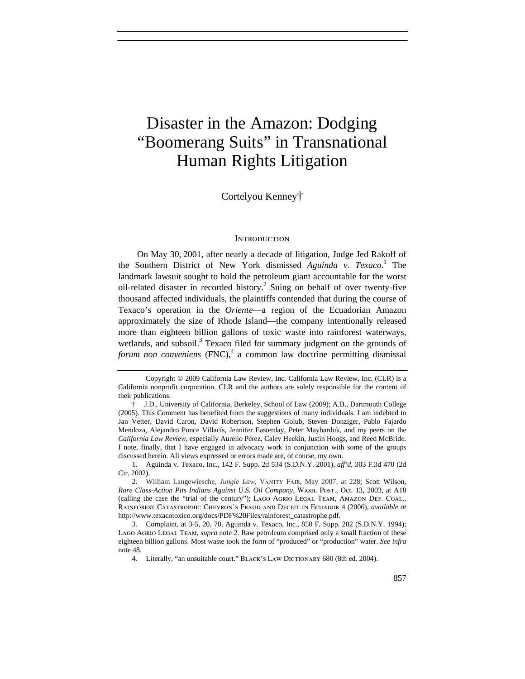# Disaster in the Amazon: Dodging "Boomerang Suits" in Transnational Human Rights Litigation

## Cortelyou Kenney†

## **INTRODUCTION**

On May 30, 2001, after nearly a decade of litigation, Judge Jed Rakoff of the Southern District of New York dismissed *Aguinda v. Texaco*.<sup>1</sup> The landmark lawsuit sought to hold the petroleum giant accountable for the worst oil-related disaster in recorded history.<sup>2</sup> Suing on behalf of over twenty-five thousand affected individuals, the plaintiffs contended that during the course of Texaco's operation in the *Oriente*—a region of the Ecuadorian Amazon approximately the size of Rhode Island—the company intentionally released more than eighteen billion gallons of toxic waste into rainforest waterways, wetlands, and subsoil.<sup>3</sup> Texaco filed for summary judgment on the grounds of forum non conveniens (FNC),<sup>4</sup> a common law doctrine permitting dismissal

Copyright © 2009 California Law Review, Inc. California Law Review, Inc. (CLR) is a California nonprofit corporation. CLR and the authors are solely responsible for the content of their publications.

<sup>†</sup> J.D., University of California, Berkeley, School of Law (2009); A.B., Dartmouth College (2005). This Comment has benefited from the suggestions of many individuals. I am indebted to Jan Vetter, David Caron, David Robertson, Stephen Golub, Steven Donziger, Pablo Fajardo Mendoza, Alejandro Ponce Villacís, Jennifer Easterday, Peter Maybarduk, and my peers on the *California Law Review*, especially Aurelio Pérez, Caley Heekin, Justin Hoogs, and Reed McBride. I note, finally, that I have engaged in advocacy work in conjunction with some of the groups discussed herein. All views expressed or errors made are, of course, my own.

<sup>1.</sup> Aguinda v. Texaco, Inc., 142 F. Supp. 2d 534 (S.D.N.Y. 2001), *aff'd*, 303 F.3d 470 (2d Cir. 2002).

<sup>2.</sup> William Langewiesche, *Jungle Law*, Vanity Fair, May 2007, at 228; Scott Wilson, *Rare Class-Action Pits Indians Against U.S. Oil Company*, Wash. Post., Oct. 13, 2003, at A18 (calling the case the "trial of the century"); Lago Agrio Legal Team, Amazon Def. Coal., Rainforest Catastrophe: Chevron's Fraud and Deceit in Ecuador 4 (2006), *available at* http://www.texacotoxico.org/docs/PDF%20Files/rainforest\_catastrophe.pdf.

<sup>3.</sup> Complaint, at 3-5, 20, 70, Aguinda v. Texaco, Inc., 850 F. Supp. 282 (S.D.N.Y. 1994); Lago Agrio Legal Team, *supra* note 2. Raw petroleum comprised only a small fraction of these eighteen billion gallons. Most waste took the form of "produced" or "production" water. *See infra* note 48.

<sup>4.</sup> Literally, "an unsuitable court." BLACK's LAW DICTIONARY 680 (8th ed. 2004).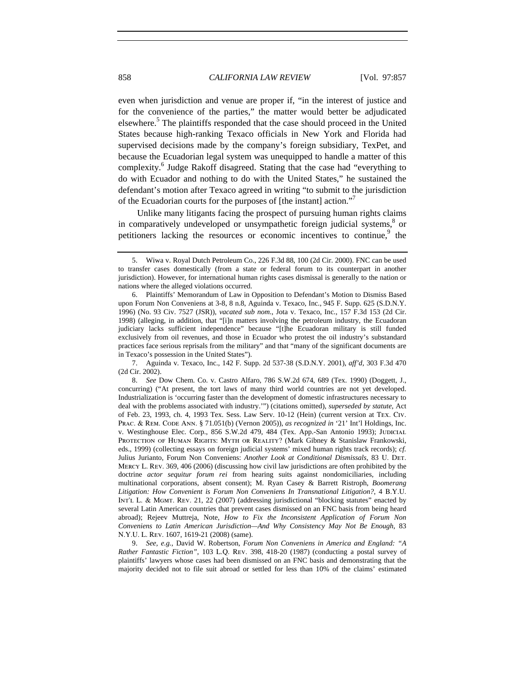even when jurisdiction and venue are proper if, "in the interest of justice and for the convenience of the parties," the matter would better be adjudicated elsewhere.<sup>5</sup> The plaintiffs responded that the case should proceed in the United States because high-ranking Texaco officials in New York and Florida had supervised decisions made by the company's foreign subsidiary, TexPet, and because the Ecuadorian legal system was unequipped to handle a matter of this complexity.<sup>6</sup> Judge Rakoff disagreed. Stating that the case had "everything to do with Ecuador and nothing to do with the United States," he sustained the defendant's motion after Texaco agreed in writing "to submit to the jurisdiction of the Ecuadorian courts for the purposes of [the instant] action."

Unlike many litigants facing the prospect of pursuing human rights claims in comparatively undeveloped or unsympathetic foreign judicial systems,<sup>8</sup> or petitioners lacking the resources or economic incentives to continue,<sup>9</sup> the

7. Aguinda v. Texaco, Inc., 142 F. Supp. 2d 537-38 (S.D.N.Y. 2001), *aff'd*, 303 F.3d 470 (2d Cir. 2002).

8. *See* Dow Chem. Co. v. Castro Alfaro, 786 S.W.2d 674, 689 (Tex. 1990) (Doggett, J., concurring) ("At present, the tort laws of many third world countries are not yet developed. Industrialization is 'occurring faster than the development of domestic infrastructures necessary to deal with the problems associated with industry.'") (citations omitted), *superseded by statute*, Act of Feb. 23, 1993, ch. 4, 1993 Tex. Sess. Law Serv. 10-12 (Hein) (current version at Tex. Civ. Prac. & Rem. Code Ann. § 71.051(b) (Vernon 2005)), *as recognized in* '21' Int'l Holdings, Inc. v. Westinghouse Elec. Corp., 856 S.W.2d 479, 484 (Tex. App.-San Antonio 1993); JUDICIAL PROTECTION OF HUMAN RIGHTS: MYTH OR REALITY? (Mark Gibney & Stanislaw Frankowski, eds., 1999) (collecting essays on foreign judicial systems' mixed human rights track records); *cf.* Julius Jurianto, Forum Non Conveniens: *Another Look at Conditional Dismissals*, 83 U. Det. Mercy L. Rev. 369, 406 (2006) (discussing how civil law jurisdictions are often prohibited by the doctrine *actor sequitur forum rei* from hearing suits against nondomiciliaries, including multinational corporations, absent consent); M. Ryan Casey & Barrett Ristroph, *Boomerang Litigation: How Convenient is Forum Non Conveniens In Transnational Litigation?*, 4 B.Y.U. Int'l L. & Mgmt. Rev. 21, 22 (2007) (addressing jurisdictional "blocking statutes" enacted by several Latin American countries that prevent cases dismissed on an FNC basis from being heard abroad); Rejeev Muttreja, Note, *How to Fix the Inconsistent Application of Forum Non Conveniens to Latin American Jurisdiction—And Why Consistency May Not Be Enough*, 83 N.Y.U. L. Rev. 1607, 1619-21 (2008) (same).

9. *See, e.g.*, David W. Robertson, *Forum Non Conveniens in America and England: "A Rather Fantastic Fiction"*, 103 L.Q. Rev. 398, 418-20 (1987) (conducting a postal survey of plaintiffs' lawyers whose cases had been dismissed on an FNC basis and demonstrating that the majority decided not to file suit abroad or settled for less than 10% of the claims' estimated

<sup>5.</sup> Wiwa v. Royal Dutch Petroleum Co., 226 F.3d 88, 100 (2d Cir. 2000). FNC can be used to transfer cases domestically (from a state or federal forum to its counterpart in another jurisdiction). However, for international human rights cases dismissal is generally to the nation or nations where the alleged violations occurred.

<sup>6.</sup> Plaintiffs' Memorandum of Law in Opposition to Defendant's Motion to Dismiss Based upon Forum Non Conveniens at 3-8, 8 n.8, Aguinda v. Texaco, Inc., 945 F. Supp. 625 (S.D.N.Y. 1996) (No. 93 Civ. 7527 (JSR)), *vacated sub nom.*, Jota v. Texaco, Inc., 157 F.3d 153 (2d Cir. 1998) (alleging, in addition, that "[i]n matters involving the petroleum industry, the Ecuadoran judiciary lacks sufficient independence" because "[t]he Ecuadoran military is still funded exclusively from oil revenues, and those in Ecuador who protest the oil industry's substandard practices face serious reprisals from the military" and that "many of the significant documents are in Texaco's possession in the United States").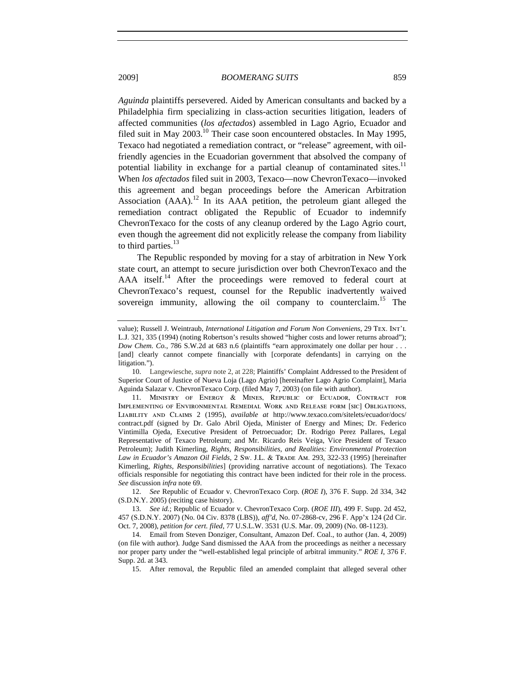*Aguinda* plaintiffs persevered. Aided by American consultants and backed by a Philadelphia firm specializing in class-action securities litigation, leaders of affected communities (*los afectados*) assembled in Lago Agrio, Ecuador and filed suit in May  $2003$ <sup>10</sup> Their case soon encountered obstacles. In May 1995, Texaco had negotiated a remediation contract, or "release" agreement, with oilfriendly agencies in the Ecuadorian government that absolved the company of potential liability in exchange for a partial cleanup of contaminated sites.<sup>11</sup> When *los afectados* filed suit in 2003, Texaco—now ChevronTexaco—invoked this agreement and began proceedings before the American Arbitration Association (AAA).<sup>12</sup> In its AAA petition, the petroleum giant alleged the remediation contract obligated the Republic of Ecuador to indemnify ChevronTexaco for the costs of any cleanup ordered by the Lago Agrio court, even though the agreement did not explicitly release the company from liability to third parties.<sup>13</sup>

The Republic responded by moving for a stay of arbitration in New York state court, an attempt to secure jurisdiction over both ChevronTexaco and the AAA itself.<sup>14</sup> After the proceedings were removed to federal court at ChevronTexaco's request, counsel for the Republic inadvertently waived sovereign immunity, allowing the oil company to counterclaim.<sup>15</sup> The

12. *See* Republic of Ecuador v. ChevronTexaco Corp. (*ROE I*), 376 F. Supp. 2d 334, 342 (S.D.N.Y. 2005) (reciting case history).

13. *See id.*; Republic of Ecuador v. ChevronTexaco Corp. (*ROE III*), 499 F. Supp. 2d 452, 457 (S.D.N.Y. 2007) (No. 04 Civ. 8378 (LBS)), *aff'd*, No. 07-2868-cv, 296 F. App'x 124 (2d Cir. Oct. 7, 2008), *petition for cert. filed*, 77 U.S.L.W. 3531 (U.S. Mar. 09, 2009) (No. 08-1123).

value); Russell J. Weintraub, *International Litigation and Forum Non Conveniens*, 29 Tex. Int'l L.J. 321, 335 (1994) (noting Robertson's results showed "higher costs and lower returns abroad"); *Dow Chem. Co.*, 786 S.W.2d at 683 n.6 (plaintiffs "earn approximately one dollar per hour . . . [and] clearly cannot compete financially with [corporate defendants] in carrying on the litigation.").

<sup>10.</sup> Langewiesche, *supra* note 2, at 228; Plaintiffs' Complaint Addressed to the President of Superior Court of Justice of Nueva Loja (Lago Agrio) [hereinafter Lago Agrio Complaint], Maria Aguinda Salazar v. ChevronTexaco Corp. (filed May 7, 2003) (on file with author).

<sup>11.</sup> Ministry of Energy & Mines, Republic of Ecuador, Contract for Implementing of Environmental Remedial Work and Release form [sic] Obligations, Liability and Claims 2 (1995), *available at* http://www.texaco.com/sitelets/ecuador/docs/ contract.pdf (signed by Dr. Galo Abril Ojeda, Minister of Energy and Mines; Dr. Federico Vintimilla Ojeda, Executive President of Petroecuador; Dr. Rodrigo Perez Pallares, Legal Representative of Texaco Petroleum; and Mr. Ricardo Reis Veiga, Vice President of Texaco Petroleum); Judith Kimerling, *Rights, Responsibilities, and Realities: Environmental Protection Law in Ecuador's Amazon Oil Fields*, 2 Sw. J.L. & Trade Am. 293, 322-33 (1995) [hereinafter Kimerling, *Rights, Responsibilities*] (providing narrative account of negotiations). The Texaco officials responsible for negotiating this contract have been indicted for their role in the process. *See* discussion *infra* note 69.

<sup>14.</sup> Email from Steven Donziger, Consultant, Amazon Def. Coal., to author (Jan. 4, 2009) (on file with author). Judge Sand dismissed the AAA from the proceedings as neither a necessary nor proper party under the "well-established legal principle of arbitral immunity." *ROE I*, 376 F. Supp. 2d. at 343.

<sup>15.</sup> After removal, the Republic filed an amended complaint that alleged several other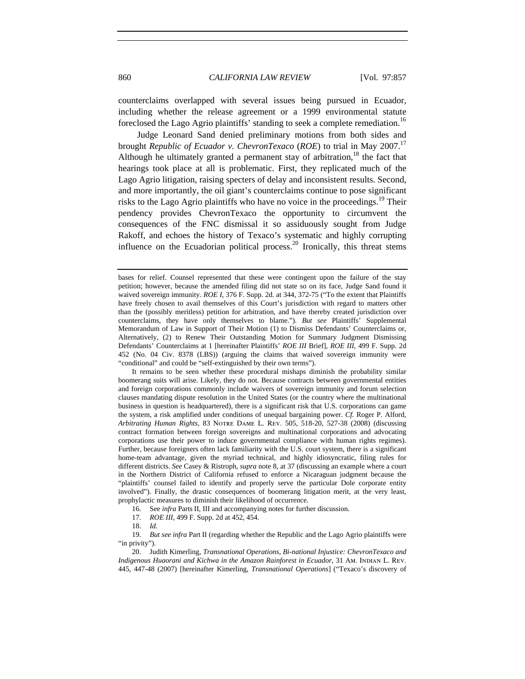counterclaims overlapped with several issues being pursued in Ecuador, including whether the release agreement or a 1999 environmental statute foreclosed the Lago Agrio plaintiffs' standing to seek a complete remediation.<sup>16</sup>

Judge Leonard Sand denied preliminary motions from both sides and brought *Republic of Ecuador v. ChevronTexaco* (*ROE*) to trial in May 2007.17 Although he ultimately granted a permanent stay of arbitration,  $18$  the fact that hearings took place at all is problematic. First, they replicated much of the Lago Agrio litigation, raising specters of delay and inconsistent results. Second, and more importantly, the oil giant's counterclaims continue to pose significant risks to the Lago Agrio plaintiffs who have no voice in the proceedings.<sup>19</sup> Their pendency provides ChevronTexaco the opportunity to circumvent the consequences of the FNC dismissal it so assiduously sought from Judge Rakoff, and echoes the history of Texaco's systematic and highly corrupting influence on the Ecuadorian political process.<sup>20</sup> Ironically, this threat stems

It remains to be seen whether these procedural mishaps diminish the probability similar boomerang suits will arise. Likely, they do not. Because contracts between governmental entities and foreign corporations commonly include waivers of sovereign immunity and forum selection clauses mandating dispute resolution in the United States (or the country where the multinational business in question is headquartered), there is a significant risk that U.S. corporations can game the system, a risk amplified under conditions of unequal bargaining power. *Cf.* Roger P. Alford, *Arbitrating Human Rights*, 83 Notre Dame L. Rev. 505, 518-20, 527-38 (2008) (discussing contract formation between foreign sovereigns and multinational corporations and advocating corporations use their power to induce governmental compliance with human rights regimes). Further, because foreigners often lack familiarity with the U.S. court system, there is a significant home-team advantage, given the myriad technical, and highly idiosyncratic, filing rules for different districts. *See* Casey & Ristroph, *supra* note 8, at 37 (discussing an example where a court in the Northern District of California refused to enforce a Nicaraguan judgment because the "plaintiffs' counsel failed to identify and properly serve the particular Dole corporate entity involved"). Finally, the drastic consequences of boomerang litigation merit, at the very least, prophylactic measures to diminish their likelihood of occurrence.

16. See *infra* Parts II, III and accompanying notes for further discussion.

17. *ROE III*, 499 F. Supp. 2d at 452, 454.

18. *Id*.

19. *But see infra* Part II (regarding whether the Republic and the Lago Agrio plaintiffs were "in privity").

20. Judith Kimerling, *Transnational Operations, Bi-national Injustice: ChevronTexaco and Indigenous Huaorani and Kichwa in the Amazon Rainforest in Ecuador*, 31 Am. INDIAN L. REV. 445, 447-48 (2007) [hereinafter Kimerling, *Transnational Operations*] ("Texaco's discovery of

bases for relief. Counsel represented that these were contingent upon the failure of the stay petition; however, because the amended filing did not state so on its face, Judge Sand found it waived sovereign immunity. *ROE I*, 376 F. Supp. 2d. at 344, 372-75 ("To the extent that Plaintiffs") have freely chosen to avail themselves of this Court's jurisdiction with regard to matters other than the (possibly meritless) petition for arbitration, and have thereby created jurisdiction over counterclaims, they have only themselves to blame."). *But see* Plaintiffs' Supplemental Memorandum of Law in Support of Their Motion (1) to Dismiss Defendants' Counterclaims or, Alternatively, (2) to Renew Their Outstanding Motion for Summary Judgment Dismissing Defendants' Counterclaims at 1 [hereinafter Plaintiffs' *ROE III* Brief], *ROE III*, 499 F. Supp. 2d 452 (No. 04 Civ. 8378 (LBS)) (arguing the claims that waived sovereign immunity were "conditional" and could be "self-extinguished by their own terms").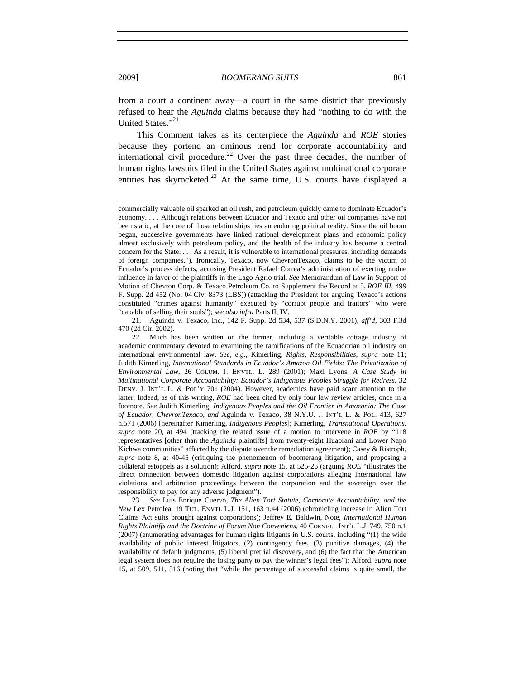from a court a continent away—a court in the same district that previously refused to hear the *Aguinda* claims because they had "nothing to do with the United States."<sup>21</sup>

This Comment takes as its centerpiece the *Aguinda* and *ROE* stories because they portend an ominous trend for corporate accountability and international civil procedure.<sup>22</sup> Over the past three decades, the number of human rights lawsuits filed in the United States against multinational corporate entities has skyrocketed.<sup>23</sup> At the same time, U.S. courts have displayed a

21. Aguinda v. Texaco, Inc., 142 F. Supp. 2d 534, 537 (S.D.N.Y. 2001), *aff'd*, 303 F.3d 470 (2d Cir. 2002).

22. Much has been written on the former, including a veritable cottage industry of academic commentary devoted to examining the ramifications of the Ecuadorian oil industry on international environmental law. *See, e.g.*, Kimerling, *Rights, Responsibilities*, *supra* note 11; Judith Kimerling, *International Standards in Ecuador's Amazon Oil Fields: The Privatization of Environmental Law*, 26 Colum. J. Envtl. L. 289 (2001); Maxi Lyons, *A Case Study in Multinational Corporate Accountability: Ecuador's Indigenous Peoples Struggle for Redress*, 32 DENV. J. INT'L L. & POL'Y 701 (2004). However, academics have paid scant attention to the latter. Indeed, as of this writing, *ROE* had been cited by only four law review articles, once in a footnote. *See* Judith Kimerling, *Indigenous Peoples and the Oil Frontier in Amazonia: The Case of Ecuador, ChevronTexaco, and* Aguinda v. Texaco, 38 N.Y.U. J. Int'l L. & Pol. 413, 627 n.571 (2006) [hereinafter Kimerling, *Indigenous Peoples*]; Kimerling, *Transnational Operations*, *supra* note 20, at 494 (tracking the related issue of a motion to intervene in *ROE* by "118 representatives [other than the *Aguinda* plaintiffs] from twenty-eight Huaorani and Lower Napo Kichwa communities" affected by the dispute over the remediation agreement); Casey & Ristroph, *supra* note 8, at 40-45 (critiquing the phenomenon of boomerang litigation, and proposing a collateral estoppels as a solution); Alford, *supra* note 15, at 525-26 (arguing *ROE* "illustrates the direct connection between domestic litigation against corporations alleging international law violations and arbitration proceedings between the corporation and the sovereign over the responsibility to pay for any adverse judgment").

23. *See* Luis Enrique Cuervo, *The Alien Tort Statute, Corporate Accountability, and the New Lex Petrolea, 19 Tul. Envrt. L.J. 151, 163 n.44 (2006)* (chronicling increase in Alien Tort Claims Act suits brought against corporations); Jeffrey E. Baldwin, Note, *International Human Rights Plaintiffs and the Doctrine of Forum Non Conveniens*, 40 CORNELL INT'L L.J. 749, 750 n.1 (2007) (enumerating advantages for human rights litigants in U.S. courts, including "(1) the wide availability of public interest litigators, (2) contingency fees, (3) punitive damages, (4) the availability of default judgments, (5) liberal pretrial discovery, and (6) the fact that the American legal system does not require the losing party to pay the winner's legal fees"); Alford, *supra* note 15, at 509, 511, 516 (noting that "while the percentage of successful claims is quite small, the

commercially valuable oil sparked an oil rush, and petroleum quickly came to dominate Ecuador's economy. . . . Although relations between Ecuador and Texaco and other oil companies have not been static, at the core of those relationships lies an enduring political reality. Since the oil boom began, successive governments have linked national development plans and economic policy almost exclusively with petroleum policy, and the health of the industry has become a central concern for the State. . . . As a result, it is vulnerable to international pressures, including demands of foreign companies."). Ironically, Texaco, now ChevronTexaco, claims to be the victim of Ecuador's process defects, accusing President Rafael Correa's administration of exerting undue influence in favor of the plaintiffs in the Lago Agrio trial. *See* Memorandum of Law in Support of Motion of Chevron Corp. & Texaco Petroleum Co. to Supplement the Record at 5, *ROE III*, 499 F. Supp. 2d 452 (No. 04 Civ. 8373 (LBS)) (attacking the President for arguing Texaco's actions constituted "crimes against humanity" executed by "corrupt people and traitors" who were "capable of selling their souls"); *see also infra* Parts II, IV.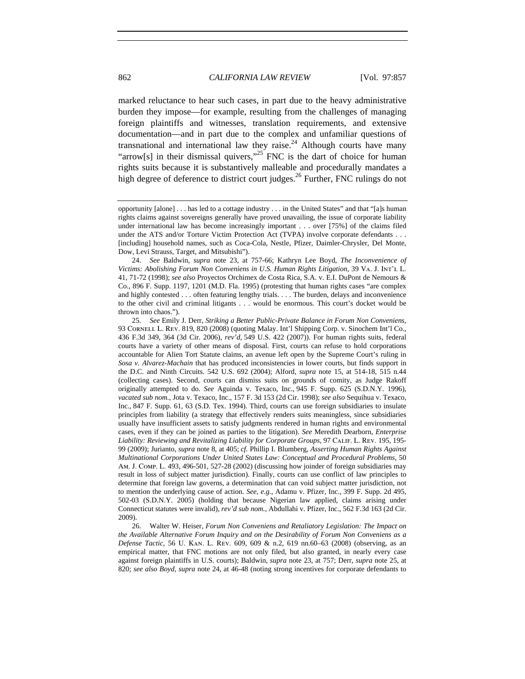marked reluctance to hear such cases, in part due to the heavy administrative burden they impose—for example, resulting from the challenges of managing foreign plaintiffs and witnesses, translation requirements, and extensive documentation—and in part due to the complex and unfamiliar questions of transnational and international law they raise.<sup>24</sup> Although courts have many "arrow[s] in their dismissal quivers,"<sup>25</sup> FNC is the dart of choice for human rights suits because it is substantively malleable and procedurally mandates a high degree of deference to district court judges.<sup>26</sup> Further, FNC rulings do not

25. *See* Emily J. Derr, *Striking a Better Public-Private Balance in Forum Non Conveniens*, 93 Cornell L. Rev. 819, 820 (2008) (quoting Malay. Int'l Shipping Corp. v. Sinochem Int'l Co., 436 F.3d 349, 364 (3d Cir. 2006), *rev'd*, 549 U.S. 422 (2007)). For human rights suits, federal courts have a variety of other means of disposal. First, courts can refuse to hold corporations accountable for Alien Tort Statute claims, an avenue left open by the Supreme Court's ruling in *Sosa v. Alvarez-Machain* that has produced inconsistencies in lower courts, but finds support in the D.C. and Ninth Circuits. 542 U.S. 692 (2004); Alford, *supra* note 15, at 514-18, 515 n.44 (collecting cases). Second, courts can dismiss suits on grounds of comity, as Judge Rakoff originally attempted to do. *See* Aguinda v. Texaco, Inc., 945 F. Supp. 625 (S.D.N.Y. 1996), *vacated sub nom.*, Jota v. Texaco, Inc., 157 F. 3d 153 (2d Cir. 1998); *see also* Sequihua v. Texaco, Inc., 847 F. Supp. 61, 63 (S.D. Tex. 1994). Third, courts can use foreign subsidiaries to insulate principles from liability (a strategy that effectively renders suits meaningless, since subsidiaries usually have insufficient assets to satisfy judgments rendered in human rights and environmental cases, even if they can be joined as parties to the litigation). *See* Meredith Dearborn, *Enterprise Liability: Reviewing and Revitalizing Liability for Corporate Groups*, 97 Calif. L. Rev. 195, 195- 99 (2009); Jurianto, *supra* note 8, at 405; *cf.* Phillip I. Blumberg, *Asserting Human Rights Against Multinational Corporations Under United States Law: Conceptual and Procedural Problems*, 50 Am. J. Comp. L. 493, 496-501, 527-28 (2002) (discussing how joinder of foreign subsidiaries may result in loss of subject matter jurisdiction). Finally, courts can use conflict of law principles to determine that foreign law governs, a determination that can void subject matter jurisdiction, not to mention the underlying cause of action. *See, e.g.*, Adamu v. Pfizer, Inc., 399 F. Supp. 2d 495, 502-03 (S.D.N.Y. 2005) (holding that because Nigerian law applied, claims arising under Connecticut statutes were invalid), *rev'd sub nom.*, Abdullahi v. Pfizer, Inc., 562 F.3d 163 (2d Cir. 2009).

26. Walter W. Heiser, *Forum Non Conveniens and Retaliatory Legislation: The Impact on the Available Alternative Forum Inquiry and on the Desirability of Forum Non Conveniens as a Defense Tactic*, 56 U. Kan. L. Rev. 609, 609 & n.2, 619 nn.60–63 (2008) (observing, as an empirical matter, that FNC motions are not only filed, but also granted, in nearly every case against foreign plaintiffs in U.S. courts); Baldwin, *supra* note 23, at 757; Derr, *supra* note 25, at 820; *see also Boyd, supra* note 24, at 46-48 (noting strong incentives for corporate defendants to

opportunity [alone] . . . has led to a cottage industry . . . in the United States" and that "[a]s human rights claims against sovereigns generally have proved unavailing, the issue of corporate liability under international law has become increasingly important . . . over [75%] of the claims filed under the ATS and/or Torture Victim Protection Act (TVPA) involve corporate defendants . . . [including] household names, such as Coca-Cola, Nestle, Pfizer, Daimler-Chrysler, Del Monte, Dow, Levi Strauss, Target, and Mitsubishi").

<sup>24.</sup> *See* Baldwin, *supra* note 23, at 757-66; Kathryn Lee Boyd, *The Inconvenience of Victims: Abolishing Forum Non Conveniens in U.S. Human Rights Litigation*, 39 Va. J. Int'l L. 41, 71-72 (1998); *see also* Proyectos Orchimex de Costa Rica, S.A. v. E.I. DuPont de Nemours & Co., 896 F. Supp. 1197, 1201 (M.D. Fla. 1995) (protesting that human rights cases "are complex and highly contested . . . often featuring lengthy trials. . . . The burden, delays and inconvenience to the other civil and criminal litigants . . . would be enormous. This court's docket would be thrown into chaos.").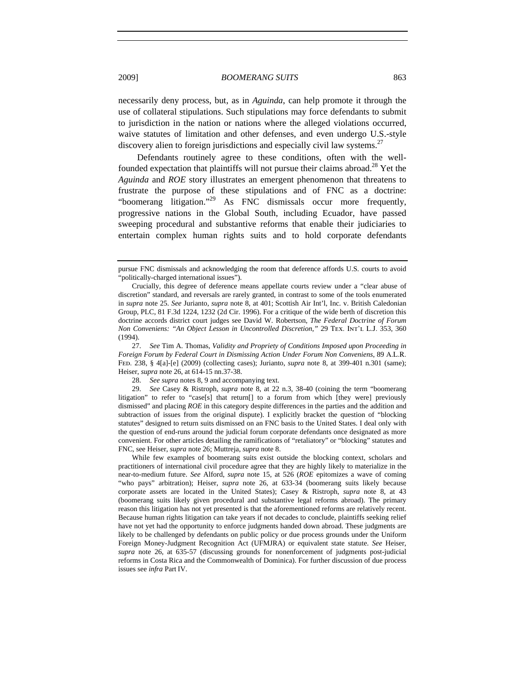2009] *BOOMERANG SUITS* 863

necessarily deny process, but, as in *Aguinda*, can help promote it through the use of collateral stipulations. Such stipulations may force defendants to submit to jurisdiction in the nation or nations where the alleged violations occurred, waive statutes of limitation and other defenses, and even undergo U.S.-style discovery alien to foreign jurisdictions and especially civil law systems.<sup>27</sup>

Defendants routinely agree to these conditions, often with the wellfounded expectation that plaintiffs will not pursue their claims abroad.<sup>28</sup> Yet the *Aguinda* and *ROE* story illustrates an emergent phenomenon that threatens to frustrate the purpose of these stipulations and of FNC as a doctrine: "boomerang litigation."<sup>29</sup> As FNC dismissals occur more frequently, progressive nations in the Global South, including Ecuador, have passed sweeping procedural and substantive reforms that enable their judiciaries to entertain complex human rights suits and to hold corporate defendants

While few examples of boomerang suits exist outside the blocking context, scholars and practitioners of international civil procedure agree that they are highly likely to materialize in the near-to-medium future. *See* Alford, *supra* note 15, at 526 (*ROE* epitomizes a wave of coming "who pays" arbitration); Heiser, *supra* note 26, at 633-34 (boomerang suits likely because corporate assets are located in the United States); Casey & Ristroph, *supra* note 8, at 43 (boomerang suits likely given procedural and substantive legal reforms abroad). The primary reason this litigation has not yet presented is that the aforementioned reforms are relatively recent. Because human rights litigation can take years if not decades to conclude, plaintiffs seeking relief have not yet had the opportunity to enforce judgments handed down abroad. These judgments are likely to be challenged by defendants on public policy or due process grounds under the Uniform Foreign Money-Judgment Recognition Act (UFMJRA) or equivalent state statute. *See* Heiser, *supra* note 26, at 635-57 (discussing grounds for nonenforcement of judgments post-judicial reforms in Costa Rica and the Commonwealth of Dominica). For further discussion of due process issues see *infra* Part IV.

pursue FNC dismissals and acknowledging the room that deference affords U.S. courts to avoid "politically-charged international issues").

Crucially, this degree of deference means appellate courts review under a "clear abuse of discretion" standard, and reversals are rarely granted, in contrast to some of the tools enumerated in *supra* note 25. *See* Jurianto, *supra* note 8, at 401; Scottish Air Int'l, Inc. v. British Caledonian Group, PLC, 81 F.3d 1224, 1232 (2d Cir. 1996). For a critique of the wide berth of discretion this doctrine accords district court judges see David W. Robertson, *The Federal Doctrine of Forum Non Conveniens: "An Object Lesson in Uncontrolled Discretion*,*"* 29 Tex. Int'l L.J. 353, 360 (1994).

<sup>27.</sup> *See* Tim A. Thomas, *Validity and Propriety of Conditions Imposed upon Proceeding in Foreign Forum by Federal Court in Dismissing Action Under Forum Non Conveniens*, 89 A.L.R. Fed. 238, § 4[a]-[e] (2009) (collecting cases); Jurianto, *supra* note 8, at 399-401 n.301 (same); Heiser, *supra* note 26, at 614-15 nn.37-38.

<sup>28.</sup> *See supra* notes 8, 9 and accompanying text.

<sup>29.</sup> *See* Casey & Ristroph, *supra* note 8, at 22 n.3, 38-40 (coining the term "boomerang litigation" to refer to "case[s] that return[] to a forum from which [they were] previously dismissed" and placing *ROE* in this category despite differences in the parties and the addition and subtraction of issues from the original dispute). I explicitly bracket the question of "blocking statutes" designed to return suits dismissed on an FNC basis to the United States. I deal only with the question of end-runs around the judicial forum corporate defendants once designated as more convenient. For other articles detailing the ramifications of "retaliatory" or "blocking" statutes and FNC, see Heiser, *supra* note 26; Muttreja, *supra* note 8.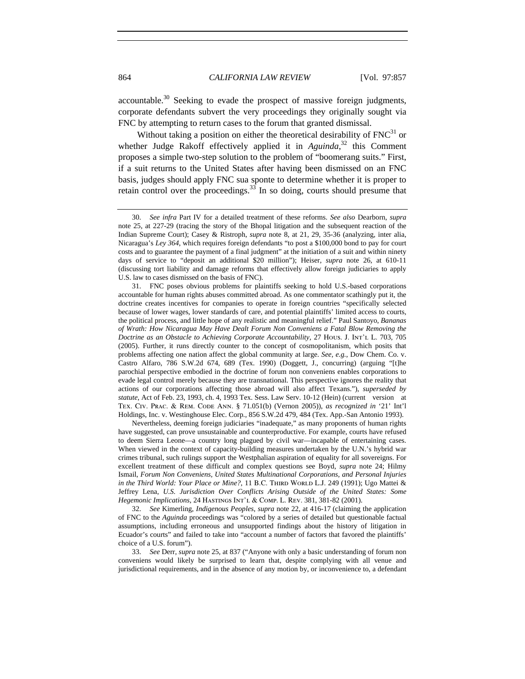accountable.<sup>30</sup> Seeking to evade the prospect of massive foreign judgments, corporate defendants subvert the very proceedings they originally sought via FNC by attempting to return cases to the forum that granted dismissal.

Without taking a position on either the theoretical desirability of  $FNC<sup>31</sup>$  or whether Judge Rakoff effectively applied it in *Aguinda*,<sup>32</sup> this Comment proposes a simple two-step solution to the problem of "boomerang suits." First, if a suit returns to the United States after having been dismissed on an FNC basis, judges should apply FNC sua sponte to determine whether it is proper to retain control over the proceedings. $33$  In so doing, courts should presume that

31. FNC poses obvious problems for plaintiffs seeking to hold U.S.-based corporations accountable for human rights abuses committed abroad. As one commentator scathingly put it, the doctrine creates incentives for companies to operate in foreign countries "specifically selected because of lower wages, lower standards of care, and potential plaintiffs' limited access to courts, the political process, and little hope of any realistic and meaningful relief." Paul Santoyo, *Bananas of Wrath: How Nicaragua May Have Dealt Forum Non Conveniens a Fatal Blow Removing the Doctrine as an Obstacle to Achieving Corporate Accountability*, 27 Hous. J. Int'l L. 703, 705 (2005). Further, it runs directly counter to the concept of cosmopolitanism, which posits that problems affecting one nation affect the global community at large. *See, e.g.*, Dow Chem. Co. v. Castro Alfaro, 786 S.W.2d 674, 689 (Tex. 1990) (Doggett, J., concurring) (arguing "[t]he parochial perspective embodied in the doctrine of forum non conveniens enables corporations to evade legal control merely because they are transnational. This perspective ignores the reality that actions of our corporations affecting those abroad will also affect Texans."), *superseded by statute*, Act of Feb. 23, 1993, ch. 4, 1993 Tex. Sess. Law Serv. 10-12 (Hein) (current version at Tex. Civ. Prac. & Rem. Code Ann. § 71.051(b) (Vernon 2005)), *as recognized in* '21' Int'l Holdings, Inc. v. Westinghouse Elec. Corp., 856 S.W.2d 479, 484 (Tex. App.-San Antonio 1993).

Nevertheless, deeming foreign judiciaries "inadequate," as many proponents of human rights have suggested, can prove unsustainable and counterproductive. For example, courts have refused to deem Sierra Leone—a country long plagued by civil war—incapable of entertaining cases. When viewed in the context of capacity-building measures undertaken by the U.N.'s hybrid war crimes tribunal, such rulings support the Westphalian aspiration of equality for all sovereigns. For excellent treatment of these difficult and complex questions see Boyd, *supra* note 24; Hilmy Ismail, *Forum Non Conveniens, United States Multinational Corporations, and Personal Injuries*  in the Third World: Your Place or Mine?, 11 B.C. THIRD WORLD L.J. 249 (1991); Ugo Mattei & Jeffrey Lena, *U.S. Jurisdiction Over Conflicts Arising Outside of the United States: Some Hegemonic Implications*, 24 Hastings Int'l & Comp. L. Rev. 381, 381-82 (2001).

32. *See* Kimerling, *Indigenous Peoples*, *supra* note 22, at 416-17 (claiming the application of FNC to the *Aguinda* proceedings was "colored by a series of detailed but questionable factual assumptions, including erroneous and unsupported findings about the history of litigation in Ecuador's courts" and failed to take into "account a number of factors that favored the plaintiffs' choice of a U.S. forum").

33. *See* Derr, *supra* note 25, at 837 ("Anyone with only a basic understanding of forum non conveniens would likely be surprised to learn that, despite complying with all venue and jurisdictional requirements, and in the absence of any motion by, or inconvenience to, a defendant

<sup>30.</sup> *See infra* Part IV for a detailed treatment of these reforms. *See also* Dearborn, *supra*  note 25, at 227-29 (tracing the story of the Bhopal litigation and the subsequent reaction of the Indian Supreme Court); Casey & Ristroph, *supra* note 8, at 21, 29, 35-36 (analyzing, inter alia, Nicaragua's *Ley 364*, which requires foreign defendants "to post a \$100,000 bond to pay for court costs and to guarantee the payment of a final judgment" at the initiation of a suit and within ninety days of service to "deposit an additional \$20 million"); Heiser, *supra* note 26, at 610-11 (discussing tort liability and damage reforms that effectively allow foreign judiciaries to apply U.S. law to cases dismissed on the basis of FNC).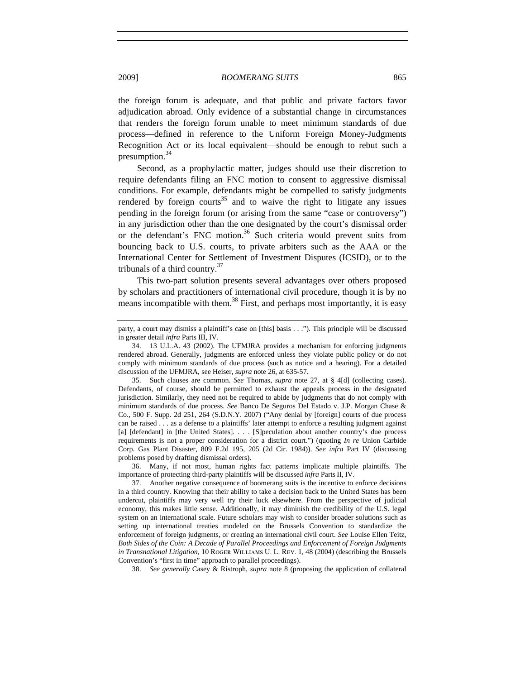the foreign forum is adequate, and that public and private factors favor adjudication abroad. Only evidence of a substantial change in circumstances that renders the foreign forum unable to meet minimum standards of due process—defined in reference to the Uniform Foreign Money-Judgments Recognition Act or its local equivalent—should be enough to rebut such a presumption.<sup>34</sup>

Second, as a prophylactic matter, judges should use their discretion to require defendants filing an FNC motion to consent to aggressive dismissal conditions. For example, defendants might be compelled to satisfy judgments rendered by foreign courts<sup>35</sup> and to waive the right to litigate any issues pending in the foreign forum (or arising from the same "case or controversy") in any jurisdiction other than the one designated by the court's dismissal order or the defendant's FNC motion.<sup>36</sup> Such criteria would prevent suits from bouncing back to U.S. courts, to private arbiters such as the AAA or the International Center for Settlement of Investment Disputes (ICSID), or to the tribunals of a third country. $37$ 

This two-part solution presents several advantages over others proposed by scholars and practitioners of international civil procedure, though it is by no means incompatible with them.<sup>38</sup> First, and perhaps most importantly, it is easy

35. Such clauses are common. *See* Thomas, *supra* note 27, at § 4[d] (collecting cases). Defendants, of course, should be permitted to exhaust the appeals process in the designated jurisdiction. Similarly, they need not be required to abide by judgments that do not comply with minimum standards of due process. *See* Banco De Seguros Del Estado v. J.P. Morgan Chase & Co., 500 F. Supp. 2d 251, 264 (S.D.N.Y. 2007) ("Any denial by [foreign] courts of due process can be raised . . . as a defense to a plaintiffs' later attempt to enforce a resulting judgment against [a] [defendant] in [the United States]. . . . [S]peculation about another country's due process requirements is not a proper consideration for a district court.") (quoting *In re* Union Carbide Corp. Gas Plant Disaster, 809 F.2d 195, 205 (2d Cir. 1984)). *See infra* Part IV (discussing problems posed by drafting dismissal orders).

36. Many, if not most, human rights fact patterns implicate multiple plaintiffs. The importance of protecting third-party plaintiffs will be discussed *infra* Parts II, IV.

37. Another negative consequence of boomerang suits is the incentive to enforce decisions in a third country. Knowing that their ability to take a decision back to the United States has been undercut, plaintiffs may very well try their luck elsewhere. From the perspective of judicial economy, this makes little sense. Additionally, it may diminish the credibility of the U.S. legal system on an international scale. Future scholars may wish to consider broader solutions such as setting up international treaties modeled on the Brussels Convention to standardize the enforcement of foreign judgments, or creating an international civil court. *See* Louise Ellen Teitz, *Both Sides of the Coin: A Decade of Parallel Proceedings and Enforcement of Foreign Judgments in Transnational Litigation*, 10 ROGER WILLIAMS U. L. REV. 1, 48 (2004) (describing the Brussels Convention's "first in time" approach to parallel proceedings).

38. *See generally* Casey & Ristroph, *supra* note 8 (proposing the application of collateral

party, a court may dismiss a plaintiff's case on [this] basis . . ."). This principle will be discussed in greater detail *infra* Parts III, IV.

<sup>34. 13</sup> U.L.A. 43 (2002). The UFMJRA provides a mechanism for enforcing judgments rendered abroad. Generally, judgments are enforced unless they violate public policy or do not comply with minimum standards of due process (such as notice and a hearing). For a detailed discussion of the UFMJRA, see Heiser, *supra* note 26, at 635-57.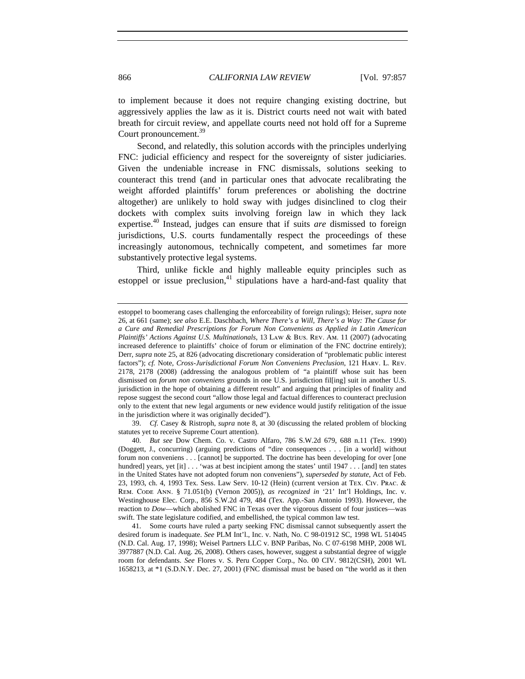to implement because it does not require changing existing doctrine, but aggressively applies the law as it is. District courts need not wait with bated breath for circuit review, and appellate courts need not hold off for a Supreme Court pronouncement.<sup>39</sup>

Second, and relatedly, this solution accords with the principles underlying FNC: judicial efficiency and respect for the sovereignty of sister judiciaries. Given the undeniable increase in FNC dismissals, solutions seeking to counteract this trend (and in particular ones that advocate recalibrating the weight afforded plaintiffs' forum preferences or abolishing the doctrine altogether) are unlikely to hold sway with judges disinclined to clog their dockets with complex suits involving foreign law in which they lack expertise.40 Instead, judges can ensure that if suits *are* dismissed to foreign jurisdictions, U.S. courts fundamentally respect the proceedings of these increasingly autonomous, technically competent, and sometimes far more substantively protective legal systems.

Third, unlike fickle and highly malleable equity principles such as estoppel or issue preclusion,<sup>41</sup> stipulations have a hard-and-fast quality that

39. *Cf.* Casey & Ristroph, *supra* note 8, at 30 (discussing the related problem of blocking statutes yet to receive Supreme Court attention).

41. Some courts have ruled a party seeking FNC dismissal cannot subsequently assert the desired forum is inadequate. *See* PLM Int'l., Inc. v. Nath, No. C 98-01912 SC, 1998 WL 514045 (N.D. Cal. Aug. 17, 1998); Weisel Partners LLC v. BNP Paribas, No. C 07-6198 MHP, 2008 WL 3977887 (N.D. Cal. Aug. 26, 2008). Others cases, however, suggest a substantial degree of wiggle room for defendants. *See* Flores v. S. Peru Copper Corp., No. 00 CIV. 9812(CSH), 2001 WL 1658213, at \*1 (S.D.N.Y. Dec. 27, 2001) (FNC dismissal must be based on "the world as it then

estoppel to boomerang cases challenging the enforceability of foreign rulings); Heiser, *supra* note 26, at 661 (same); *see also* E.E. Daschbach, *Where There's a Will, There's a Way: The Cause for a Cure and Remedial Prescriptions for Forum Non Conveniens as Applied in Latin American Plaintiffs' Actions Against U.S. Multinationals*, 13 Law & Bus. Rev. Am. 11 (2007) (advocating increased deference to plaintiffs' choice of forum or elimination of the FNC doctrine entirely); Derr, *supra* note 25, at 826 (advocating discretionary consideration of "problematic public interest factors"); *cf.* Note, *Cross-Jurisdictional Forum Non Conveniens Preclusion*, 121 Harv. L. Rev. 2178, 2178 (2008) (addressing the analogous problem of "a plaintiff whose suit has been dismissed on *forum non conveniens* grounds in one U.S. jurisdiction fil[ing] suit in another U.S. jurisdiction in the hope of obtaining a different result" and arguing that principles of finality and repose suggest the second court "allow those legal and factual differences to counteract preclusion only to the extent that new legal arguments or new evidence would justify relitigation of the issue in the jurisdiction where it was originally decided").

<sup>40.</sup> *But see* Dow Chem. Co. v. Castro Alfaro, 786 S.W.2d 679, 688 n.11 (Tex. 1990) (Doggett, J., concurring) (arguing predictions of "dire consequences . . . [in a world] without forum non conveniens . . . [cannot] be supported. The doctrine has been developing for over [one hundred] years, yet [it] . . . 'was at best incipient among the states' until 1947 . . . [and] ten states in the United States have not adopted forum non conveniens"), *superseded by statute*, Act of Feb. 23, 1993, ch. 4, 1993 Tex. Sess. Law Serv. 10-12 (Hein) (current version at Tex. Civ. Prac. & Rem. Code Ann. § 71.051(b) (Vernon 2005)), *as recognized in* '21' Int'l Holdings, Inc. v. Westinghouse Elec. Corp., 856 S.W.2d 479, 484 (Tex. App.-San Antonio 1993). However, the reaction to *Dow*—which abolished FNC in Texas over the vigorous dissent of four justices—was swift. The state legislature codified, and embellished, the typical common law test.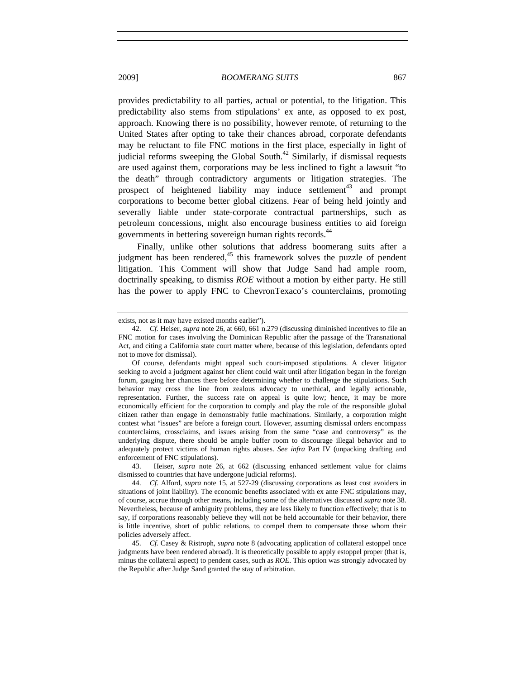provides predictability to all parties, actual or potential, to the litigation. This predictability also stems from stipulations' ex ante, as opposed to ex post, approach. Knowing there is no possibility, however remote, of returning to the United States after opting to take their chances abroad, corporate defendants may be reluctant to file FNC motions in the first place, especially in light of judicial reforms sweeping the Global South.<sup>42</sup> Similarly, if dismissal requests are used against them, corporations may be less inclined to fight a lawsuit "to the death" through contradictory arguments or litigation strategies. The prospect of heightened liability may induce settlement<sup>43</sup> and prompt corporations to become better global citizens. Fear of being held jointly and severally liable under state-corporate contractual partnerships, such as petroleum concessions, might also encourage business entities to aid foreign governments in bettering sovereign human rights records.<sup>44</sup>

Finally, unlike other solutions that address boomerang suits after a judgment has been rendered, $45$  this framework solves the puzzle of pendent litigation. This Comment will show that Judge Sand had ample room, doctrinally speaking, to dismiss *ROE* without a motion by either party. He still has the power to apply FNC to ChevronTexaco's counterclaims, promoting

43. Heiser, *supra* note 26, at 662 (discussing enhanced settlement value for claims dismissed to countries that have undergone judicial reforms).

44. *Cf.* Alford, *supra* note 15, at 527-29 (discussing corporations as least cost avoiders in situations of joint liability). The economic benefits associated with ex ante FNC stipulations may, of course, accrue through other means, including some of the alternatives discussed *supra* note 38. Nevertheless, because of ambiguity problems, they are less likely to function effectively; that is to say, if corporations reasonably believe they will not be held accountable for their behavior, there is little incentive, short of public relations, to compel them to compensate those whom their policies adversely affect.

45. *Cf.* Casey & Ristroph, *supra* note 8 (advocating application of collateral estoppel once judgments have been rendered abroad). It is theoretically possible to apply estoppel proper (that is, minus the collateral aspect) to pendent cases, such as *ROE*. This option was strongly advocated by the Republic after Judge Sand granted the stay of arbitration.

exists, not as it may have existed months earlier").

<sup>42.</sup> *Cf.* Heiser, *supra* note 26, at 660, 661 n.279 (discussing diminished incentives to file an FNC motion for cases involving the Dominican Republic after the passage of the Transnational Act, and citing a California state court matter where, because of this legislation, defendants opted not to move for dismissal).

Of course, defendants might appeal such court-imposed stipulations. A clever litigator seeking to avoid a judgment against her client could wait until after litigation began in the foreign forum, gauging her chances there before determining whether to challenge the stipulations. Such behavior may cross the line from zealous advocacy to unethical, and legally actionable, representation. Further, the success rate on appeal is quite low; hence, it may be more economically efficient for the corporation to comply and play the role of the responsible global citizen rather than engage in demonstrably futile machinations. Similarly, a corporation might contest what "issues" are before a foreign court. However, assuming dismissal orders encompass counterclaims, crossclaims, and issues arising from the same "case and controversy" as the underlying dispute, there should be ample buffer room to discourage illegal behavior and to adequately protect victims of human rights abuses. *See infra* Part IV (unpacking drafting and enforcement of FNC stipulations).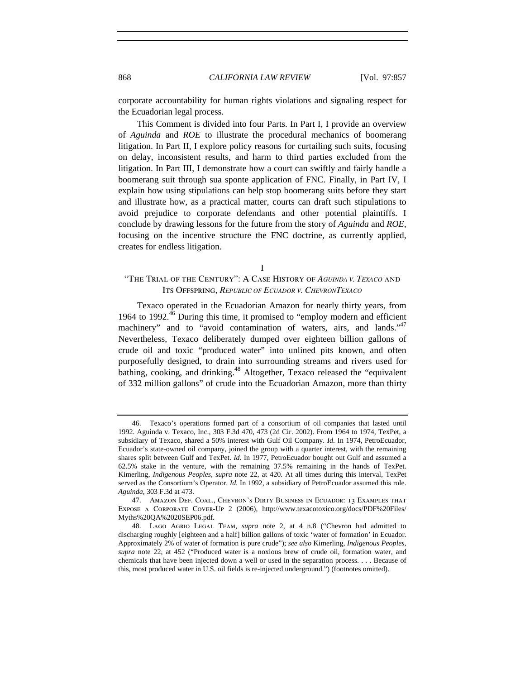corporate accountability for human rights violations and signaling respect for the Ecuadorian legal process.

This Comment is divided into four Parts. In Part I, I provide an overview of *Aguinda* and *ROE* to illustrate the procedural mechanics of boomerang litigation. In Part II, I explore policy reasons for curtailing such suits, focusing on delay, inconsistent results, and harm to third parties excluded from the litigation. In Part III, I demonstrate how a court can swiftly and fairly handle a boomerang suit through sua sponte application of FNC. Finally, in Part IV, I explain how using stipulations can help stop boomerang suits before they start and illustrate how, as a practical matter, courts can draft such stipulations to avoid prejudice to corporate defendants and other potential plaintiffs. I conclude by drawing lessons for the future from the story of *Aguinda* and *ROE*, focusing on the incentive structure the FNC doctrine, as currently applied, creates for endless litigation.

I

## "The Trial of the Century": A Case History of *AGUINDA V. TEXACO* and Its Offspring, *REPUBLIC OF ECUADOR V. CHEVRONTEXACO*

Texaco operated in the Ecuadorian Amazon for nearly thirty years, from 1964 to 1992. $46$  During this time, it promised to "employ modern and efficient machinery" and to "avoid contamination of waters, airs, and lands."<sup>47</sup> Nevertheless, Texaco deliberately dumped over eighteen billion gallons of crude oil and toxic "produced water" into unlined pits known, and often purposefully designed, to drain into surrounding streams and rivers used for bathing, cooking, and drinking.<sup>48</sup> Altogether, Texaco released the "equivalent" of 332 million gallons" of crude into the Ecuadorian Amazon, more than thirty

<sup>46.</sup> Texaco's operations formed part of a consortium of oil companies that lasted until 1992. Aguinda v. Texaco, Inc., 303 F.3d 470, 473 (2d Cir. 2002). From 1964 to 1974, TexPet, a subsidiary of Texaco, shared a 50% interest with Gulf Oil Company. *Id.* In 1974, PetroEcuador, Ecuador's state-owned oil company, joined the group with a quarter interest, with the remaining shares split between Gulf and TexPet. *Id.* In 1977, PetroEcuador bought out Gulf and assumed a 62.5% stake in the venture, with the remaining 37.5% remaining in the hands of TexPet. Kimerling, *Indigenous Peoples*, *supra* note 22, at 420. At all times during this interval, TexPet served as the Consortium's Operator. *Id.* In 1992, a subsidiary of PetroEcuador assumed this role. *Aguinda*, 303 F.3d at 473.

<sup>47.</sup> Amazon Def. Coal., Chevron's Dirty Business in Ecuador: 13 Examples that Expose a Corporate Cover-Up 2 (2006), http://www.texacotoxico.org/docs/PDF%20Files/ Myths%20QA%2020SEP06.pdf.

<sup>48.</sup> Lago Agrio Legal Team, *supra* note 2, at 4 n.8 ("Chevron had admitted to discharging roughly [eighteen and a half] billion gallons of toxic 'water of formation' in Ecuador. Approximately 2% of water of formation is pure crude"); *see also* Kimerling, *Indigenous Peoples*, *supra* note 22, at 452 ("Produced water is a noxious brew of crude oil, formation water, and chemicals that have been injected down a well or used in the separation process. . . . Because of this, most produced water in U.S. oil fields is re-injected underground.") (footnotes omitted).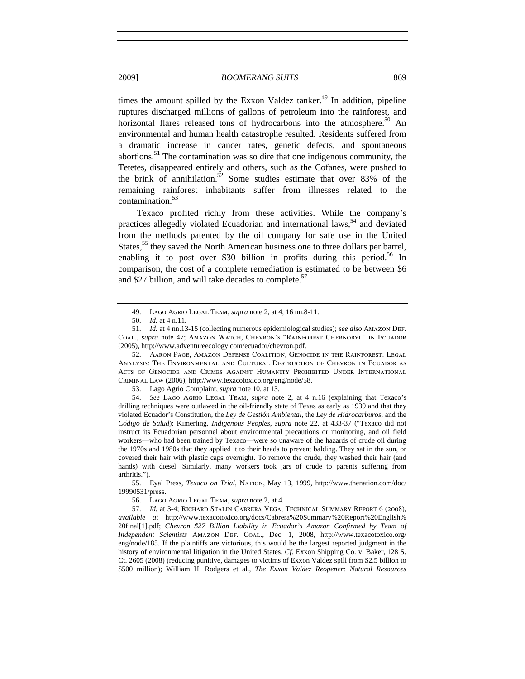times the amount spilled by the Exxon Valdez tanker.<sup>49</sup> In addition, pipeline ruptures discharged millions of gallons of petroleum into the rainforest, and horizontal flares released tons of hydrocarbons into the atmosphere.<sup>50</sup> An environmental and human health catastrophe resulted. Residents suffered from a dramatic increase in cancer rates, genetic defects, and spontaneous abortions.51 The contamination was so dire that one indigenous community, the Tetetes, disappeared entirely and others, such as the Cofanes, were pushed to the brink of annihilation.<sup>52</sup> Some studies estimate that over 83% of the remaining rainforest inhabitants suffer from illnesses related to the contamination.<sup>53</sup>

Texaco profited richly from these activities. While the company's practices allegedly violated Ecuadorian and international laws,  $54$  and deviated from the methods patented by the oil company for safe use in the United States,<sup>55</sup> they saved the North American business one to three dollars per barrel, enabling it to post over \$30 billion in profits during this period.<sup>56</sup> In comparison, the cost of a complete remediation is estimated to be between \$6 and \$27 billion, and will take decades to complete. $57$ 

52. Aaron Page, Amazon Defense Coalition, Genocide in the Rainforest: Legal Analysis: The Environmental and Cultural Destruction of Chevron in Ecuador as Acts of Genocide and Crimes Against Humanity Prohibited Under International Criminal Law (2006), http://www.texacotoxico.org/eng/node/58.

53. Lago Agrio Complaint, *supra* note 10, at 13.

54. *See* Lago Agrio Legal Team, *supra* note 2, at 4 n.16 (explaining that Texaco's drilling techniques were outlawed in the oil-friendly state of Texas as early as 1939 and that they violated Ecuador's Constitution, the *Ley de Gestión Ambiental*, the *Ley de Hidrocarburos*, and the *Código de Salud*); Kimerling, *Indigenous Peoples*, *supra* note 22, at 433-37 ("Texaco did not instruct its Ecuadorian personnel about environmental precautions or monitoring, and oil field workers—who had been trained by Texaco—were so unaware of the hazards of crude oil during the 1970s and 1980s that they applied it to their heads to prevent balding. They sat in the sun, or covered their hair with plastic caps overnight. To remove the crude, they washed their hair (and hands) with diesel. Similarly, many workers took jars of crude to parents suffering from arthritis.").

55. Eyal Press, *Texaco on Trial*, Nation, May 13, 1999, http://www.thenation.com/doc/ 19990531/press.

56. Lago Agrio Legal Team, *supra* note 2, at 4.

57. *Id.* at 3-4; Richard Stalin Cabrera Vega, Technical Summary Report 6 (2008), *available at* http://www.texacotoxico.org/docs/Cabrera%20Summary%20Report%20English% 20final[1].pdf; *Chevron \$27 Billion Liability in Ecuador's Amazon Confirmed by Team of Independent Scientists* Amazon Def. Coal., Dec. 1, 2008, http://www.texacotoxico.org/ eng/node/185. If the plaintiffs are victorious, this would be the largest reported judgment in the history of environmental litigation in the United States. *Cf.* Exxon Shipping Co. v. Baker, 128 S. Ct. 2605 (2008) (reducing punitive, damages to victims of Exxon Valdez spill from \$2.5 billion to \$500 million); William H. Rodgers et al., *The Exxon Valdez Reopener: Natural Resources* 

<sup>49.</sup> Lago Agrio Legal Team, *supra* note 2, at 4, 16 nn.8-11.

<sup>50.</sup> *Id.* at 4 n.11.

<sup>51.</sup> *Id.* at 4 nn.13-15 (collecting numerous epidemiological studies); *see also* Amazon Def. Coal., *supra* note 47; Amazon Watch, Chevron's "Rainforest Chernobyl" in Ecuador (2005), http://www.adventureecology.com/ecuador/chevron.pdf.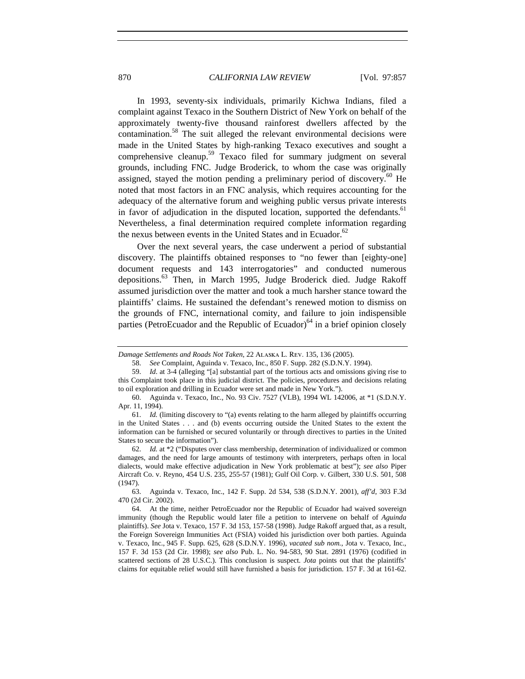In 1993, seventy-six individuals, primarily Kichwa Indians, filed a complaint against Texaco in the Southern District of New York on behalf of the approximately twenty-five thousand rainforest dwellers affected by the contamination.<sup>58</sup> The suit alleged the relevant environmental decisions were made in the United States by high-ranking Texaco executives and sought a comprehensive cleanup.<sup>59</sup> Texaco filed for summary judgment on several grounds, including FNC. Judge Broderick, to whom the case was originally assigned, stayed the motion pending a preliminary period of discovery.<sup>60</sup> He noted that most factors in an FNC analysis, which requires accounting for the adequacy of the alternative forum and weighing public versus private interests in favor of adjudication in the disputed location, supported the defendants.<sup>61</sup> Nevertheless, a final determination required complete information regarding the nexus between events in the United States and in Ecuador. $62$ 

Over the next several years, the case underwent a period of substantial discovery. The plaintiffs obtained responses to "no fewer than [eighty-one] document requests and 143 interrogatories" and conducted numerous depositions.<sup>63</sup> Then, in March 1995, Judge Broderick died. Judge Rakoff assumed jurisdiction over the matter and took a much harsher stance toward the plaintiffs' claims. He sustained the defendant's renewed motion to dismiss on the grounds of FNC, international comity, and failure to join indispensible parties (PetroEcuador and the Republic of Ecuador)<sup>64</sup> in a brief opinion closely

62. *Id.* at \*2 ("Disputes over class membership, determination of individualized or common damages, and the need for large amounts of testimony with interpreters, perhaps often in local dialects, would make effective adjudication in New York problematic at best"); *see also* Piper Aircraft Co. v. Reyno*,* 454 U.S. 235, 255-57 (1981); Gulf Oil Corp. v. Gilbert, 330 U.S. 501, 508 (1947).

63. Aguinda v. Texaco, Inc., 142 F. Supp. 2d 534, 538 (S.D.N.Y. 2001), *aff'd*, 303 F.3d 470 (2d Cir. 2002).

64. At the time, neither PetroEcuador nor the Republic of Ecuador had waived sovereign immunity (though the Republic would later file a petition to intervene on behalf of *Aguinda* plaintiffs). *See* Jota v. Texaco, 157 F. 3d 153, 157-58 (1998). Judge Rakoff argued that, as a result, the Foreign Sovereign Immunities Act (FSIA) voided his jurisdiction over both parties. Aguinda v. Texaco, Inc., 945 F. Supp. 625, 628 (S.D.N.Y. 1996), *vacated sub nom.*, Jota v. Texaco, Inc., 157 F. 3d 153 (2d Cir. 1998); *see also* Pub. L. No. 94-583, 90 Stat. 2891 (1976) (codified in scattered sections of 28 U.S.C.). This conclusion is suspect. *Jota* points out that the plaintiffs' claims for equitable relief would still have furnished a basis for jurisdiction. 157 F. 3d at 161-62.

*Damage Settlements and Roads Not Taken*, 22 Alaska L. Rev. 135, 136 (2005).

<sup>58.</sup> *See* Complaint, Aguinda v. Texaco, Inc., 850 F. Supp. 282 (S.D.N.Y. 1994).

<sup>59.</sup> *Id*. at 3-4 (alleging "[a] substantial part of the tortious acts and omissions giving rise to this Complaint took place in this judicial district. The policies, procedures and decisions relating to oil exploration and drilling in Ecuador were set and made in New York.").

<sup>60.</sup> Aguinda v. Texaco, Inc., No. 93 Civ. 7527 (VLB), 1994 WL 142006, at \*1 (S.D.N.Y. Apr. 11, 1994).

<sup>61.</sup> *Id.* (limiting discovery to "(a) events relating to the harm alleged by plaintiffs occurring in the United States . . . and (b) events occurring outside the United States to the extent the information can be furnished or secured voluntarily or through directives to parties in the United States to secure the information").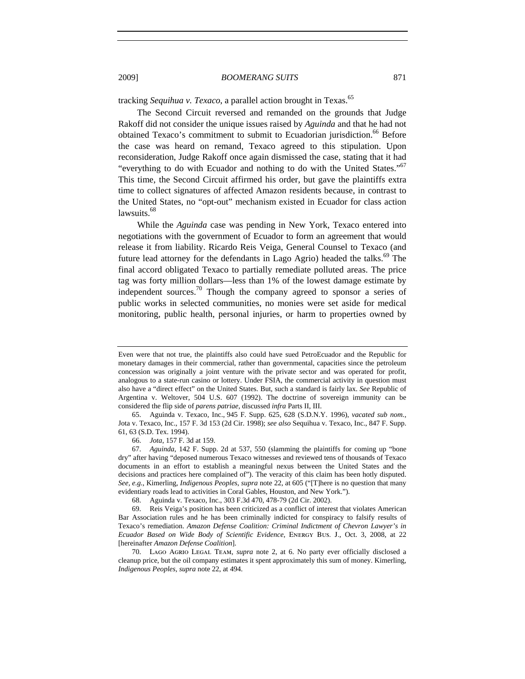tracking *Sequihua v. Texaco*, a parallel action brought in Texas.<sup>65</sup>

The Second Circuit reversed and remanded on the grounds that Judge Rakoff did not consider the unique issues raised by *Aguinda* and that he had not obtained Texaco's commitment to submit to Ecuadorian jurisdiction.<sup>66</sup> Before the case was heard on remand, Texaco agreed to this stipulation. Upon reconsideration, Judge Rakoff once again dismissed the case, stating that it had "everything to do with Ecuador and nothing to do with the United States."<sup>67</sup> This time, the Second Circuit affirmed his order, but gave the plaintiffs extra time to collect signatures of affected Amazon residents because, in contrast to the United States, no "opt-out" mechanism existed in Ecuador for class action lawsuits.<sup>68</sup>

While the *Aguinda* case was pending in New York, Texaco entered into negotiations with the government of Ecuador to form an agreement that would release it from liability. Ricardo Reis Veiga, General Counsel to Texaco (and future lead attorney for the defendants in Lago Agrio) headed the talks.<sup>69</sup> The final accord obligated Texaco to partially remediate polluted areas. The price tag was forty million dollars—less than 1% of the lowest damage estimate by independent sources.<sup>70</sup> Though the company agreed to sponsor a series of public works in selected communities, no monies were set aside for medical monitoring, public health, personal injuries, or harm to properties owned by

65. Aguinda v. Texaco, Inc., 945 F. Supp. 625, 628 (S.D.N.Y. 1996), *vacated sub nom.*, Jota v. Texaco, Inc., 157 F. 3d 153 (2d Cir. 1998); *see also* Sequihua v. Texaco, Inc., 847 F. Supp. 61, 63 (S.D. Tex. 1994).

69. Reis Veiga's position has been criticized as a conflict of interest that violates American Bar Association rules and he has been criminally indicted for conspiracy to falsify results of Texaco's remediation. *Amazon Defense Coalition: Criminal Indictment of Chevron Lawyer's in Ecuador Based on Wide Body of Scientific Evidence*, Energy Bus. J., Oct. 3, 2008, at 22 [hereinafter *Amazon Defense Coalition*].

70. Lago Agrio Legal Team, *supra* note 2, at 6. No party ever officially disclosed a cleanup price, but the oil company estimates it spent approximately this sum of money. Kimerling, *Indigenous Peoples*, *supra* note 22, at 494.

Even were that not true, the plaintiffs also could have sued PetroEcuador and the Republic for monetary damages in their commercial, rather than governmental, capacities since the petroleum concession was originally a joint venture with the private sector and was operated for profit, analogous to a state-run casino or lottery. Under FSIA, the commercial activity in question must also have a "direct effect" on the United States. But, such a standard is fairly lax. *See* Republic of Argentina v. Weltover, 504 U.S. 607 (1992). The doctrine of sovereign immunity can be considered the flip side of *parens patriae*, discussed *infra* Parts II, III.

<sup>66.</sup> *Jota*, 157 F. 3d at 159.

<sup>67.</sup> *Aguinda*, 142 F. Supp. 2d at 537, 550 (slamming the plaintiffs for coming up "bone dry" after having "deposed numerous Texaco witnesses and reviewed tens of thousands of Texaco documents in an effort to establish a meaningful nexus between the United States and the decisions and practices here complained of"). The veracity of this claim has been hotly disputed. *See, e.g.*, Kimerling, *Indigenous Peoples*, *supra* note 22, at 605 ("[T]here is no question that many evidentiary roads lead to activities in Coral Gables, Houston, and New York.").

<sup>68.</sup> Aguinda v. Texaco, Inc., 303 F.3d 470, 478-79 (2d Cir. 2002).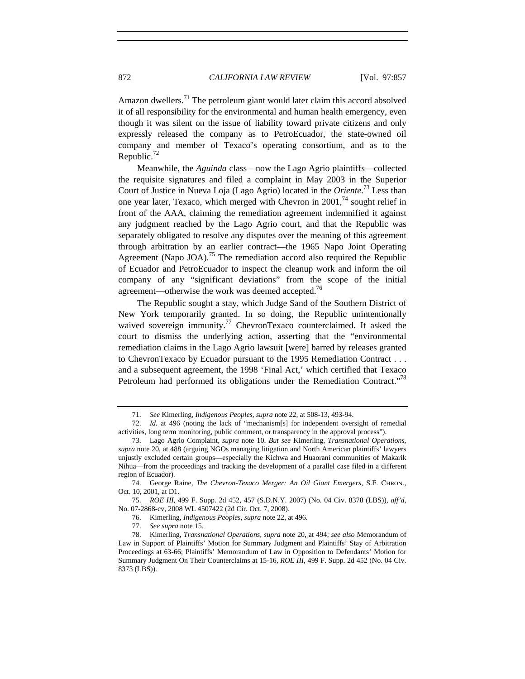Amazon dwellers.<sup>71</sup> The petroleum giant would later claim this accord absolved it of all responsibility for the environmental and human health emergency, even though it was silent on the issue of liability toward private citizens and only expressly released the company as to PetroEcuador, the state-owned oil company and member of Texaco's operating consortium, and as to the Republic. $72$ 

Meanwhile, the *Aguinda* class—now the Lago Agrio plaintiffs—collected the requisite signatures and filed a complaint in May 2003 in the Superior Court of Justice in Nueva Loja (Lago Agrio) located in the *Oriente*. 73 Less than one year later, Texaco, which merged with Chevron in  $2001<sup>74</sup>$  sought relief in front of the AAA, claiming the remediation agreement indemnified it against any judgment reached by the Lago Agrio court, and that the Republic was separately obligated to resolve any disputes over the meaning of this agreement through arbitration by an earlier contract—the 1965 Napo Joint Operating Agreement (Napo JOA).<sup>75</sup> The remediation accord also required the Republic of Ecuador and PetroEcuador to inspect the cleanup work and inform the oil company of any "significant deviations" from the scope of the initial agreement—otherwise the work was deemed accepted.<sup>76</sup>

The Republic sought a stay, which Judge Sand of the Southern District of New York temporarily granted. In so doing, the Republic unintentionally waived sovereign immunity.<sup>77</sup> ChevronTexaco counterclaimed. It asked the court to dismiss the underlying action, asserting that the "environmental remediation claims in the Lago Agrio lawsuit [were] barred by releases granted to ChevronTexaco by Ecuador pursuant to the 1995 Remediation Contract . . . and a subsequent agreement, the 1998 'Final Act,' which certified that Texaco Petroleum had performed its obligations under the Remediation Contract."<sup>78</sup>

74. George Raine, *The Chevron-Texaco Merger: An Oil Giant Emergers*, S.F. Chron., Oct. 10, 2001, at D1.

75. *ROE III*, 499 F. Supp. 2d 452, 457 (S.D.N.Y. 2007) (No. 04 Civ. 8378 (LBS)), *aff'd*, No. 07-2868-cv, 2008 WL 4507422 (2d Cir. Oct. 7, 2008).

76. Kimerling, *Indigenous Peoples*, *supra* note 22, at 496.

77. *See supra* note 15.

<sup>71.</sup> *See* Kimerling, *Indigenous Peoples*, *supra* note 22, at 508-13, 493-94.

<sup>72.</sup> *Id.* at 496 (noting the lack of "mechanism[s] for independent oversight of remedial activities, long term monitoring, public comment, or transparency in the approval process").

<sup>73.</sup> Lago Agrio Complaint, *supra* note 10. *But see* Kimerling, *Transnational Operations*, *supra* note 20, at 488 (arguing NGOs managing litigation and North American plaintiffs' lawyers unjustly excluded certain groups—especially the Kichwa and Huaorani communities of Makarik Nihua—from the proceedings and tracking the development of a parallel case filed in a different region of Ecuador).

<sup>78.</sup> Kimerling, *Transnational Operations*, *supra* note 20, at 494; *see also* Memorandum of Law in Support of Plaintiffs' Motion for Summary Judgment and Plaintiffs' Stay of Arbitration Proceedings at 63-66; Plaintiffs' Memorandum of Law in Opposition to Defendants' Motion for Summary Judgment On Their Counterclaims at 15-16, *ROE III*, 499 F. Supp. 2d 452 (No. 04 Civ. 8373 (LBS)).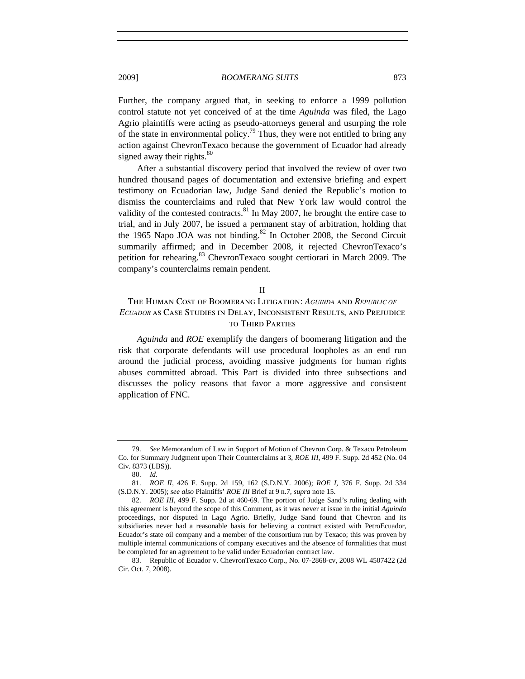Further, the company argued that, in seeking to enforce a 1999 pollution control statute not yet conceived of at the time *Aguinda* was filed, the Lago Agrio plaintiffs were acting as pseudo-attorneys general and usurping the role of the state in environmental policy.<sup>79</sup> Thus, they were not entitled to bring any action against ChevronTexaco because the government of Ecuador had already signed away their rights. $80$ 

After a substantial discovery period that involved the review of over two hundred thousand pages of documentation and extensive briefing and expert testimony on Ecuadorian law, Judge Sand denied the Republic's motion to dismiss the counterclaims and ruled that New York law would control the validity of the contested contracts. $81$  In May 2007, he brought the entire case to trial, and in July 2007, he issued a permanent stay of arbitration, holding that the 1965 Napo JOA was not binding. $82$  In October 2008, the Second Circuit summarily affirmed; and in December 2008, it rejected ChevronTexaco's petition for rehearing.<sup>83</sup> ChevronTexaco sought certiorari in March 2009. The company's counterclaims remain pendent.

II

## The Human Cost of Boomerang Litigation: *AGUINDA* and *REPUBLIC OF ECUADOR* as Case Studies in Delay, Inconsistent Results, and Prejudice to Third Parties

*Aguinda* and *ROE* exemplify the dangers of boomerang litigation and the risk that corporate defendants will use procedural loopholes as an end run around the judicial process, avoiding massive judgments for human rights abuses committed abroad. This Part is divided into three subsections and discusses the policy reasons that favor a more aggressive and consistent application of FNC.

<sup>79.</sup> *See* Memorandum of Law in Support of Motion of Chevron Corp. & Texaco Petroleum Co. for Summary Judgment upon Their Counterclaims at 3, *ROE III*, 499 F. Supp. 2d 452 (No. 04 Civ. 8373 (LBS)).

<sup>80.</sup> *Id.*

<sup>81.</sup> *ROE II*, 426 F. Supp. 2d 159, 162 (S.D.N.Y. 2006); *ROE I*, 376 F. Supp. 2d 334 (S.D.N.Y. 2005); *see also* Plaintiffs' *ROE III* Brief at 9 n.7, *supra* note 15.

<sup>82.</sup> *ROE III*, 499 F. Supp. 2d at 460-69. The portion of Judge Sand's ruling dealing with this agreement is beyond the scope of this Comment, as it was never at issue in the initial *Aguinda* proceedings, nor disputed in Lago Agrio. Briefly, Judge Sand found that Chevron and its subsidiaries never had a reasonable basis for believing a contract existed with PetroEcuador, Ecuador's state oil company and a member of the consortium run by Texaco; this was proven by multiple internal communications of company executives and the absence of formalities that must be completed for an agreement to be valid under Ecuadorian contract law.

<sup>83.</sup> Republic of Ecuador v. ChevronTexaco Corp., No. 07-2868-cv, 2008 WL 4507422 (2d Cir. Oct. 7, 2008).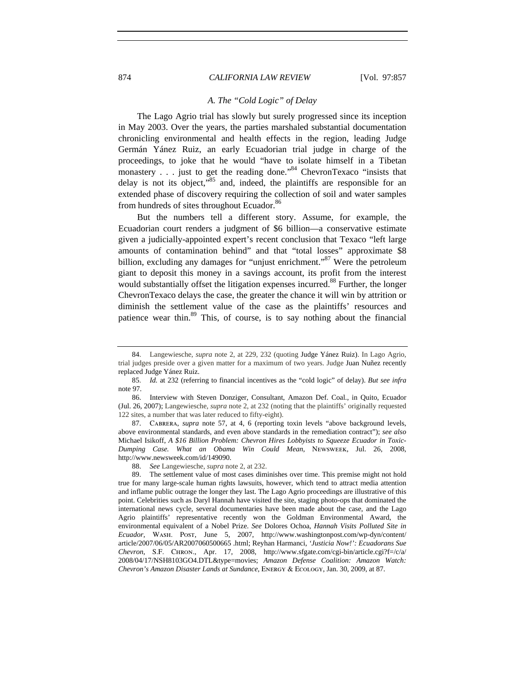#### 874 *CALIFORNIA LAW REVIEW* [Vol. 97:857

## *A. The "Cold Logic" of Delay*

The Lago Agrio trial has slowly but surely progressed since its inception in May 2003. Over the years, the parties marshaled substantial documentation chronicling environmental and health effects in the region, leading Judge Germán Yánez Ruiz, an early Ecuadorian trial judge in charge of the proceedings, to joke that he would "have to isolate himself in a Tibetan monastery . . . just to get the reading done."<sup>84</sup> ChevronTexaco "insists that delay is not its object,"<sup>85</sup> and, indeed, the plaintiffs are responsible for an extended phase of discovery requiring the collection of soil and water samples from hundreds of sites throughout Ecuador.<sup>86</sup>

But the numbers tell a different story. Assume, for example, the Ecuadorian court renders a judgment of \$6 billion—a conservative estimate given a judicially-appointed expert's recent conclusion that Texaco "left large amounts of contamination behind" and that "total losses" approximate \$8 billion, excluding any damages for "unjust enrichment."<sup>87</sup> Were the petroleum giant to deposit this money in a savings account, its profit from the interest would substantially offset the litigation expenses incurred.<sup>88</sup> Further, the longer ChevronTexaco delays the case, the greater the chance it will win by attrition or diminish the settlement value of the case as the plaintiffs' resources and patience wear thin.<sup>89</sup> This, of course, is to say nothing about the financial

<sup>84.</sup> Langewiesche, *supra* note 2, at 229, 232 (quoting Judge Yánez Ruiz). In Lago Agrio, trial judges preside over a given matter for a maximum of two years. Judge Juan Nuñez recently replaced Judge Yánez Ruiz.

<sup>85.</sup> *Id.* at 232 (referring to financial incentives as the "cold logic" of delay). *But see infra* note 97.

<sup>86.</sup> Interview with Steven Donziger, Consultant, Amazon Def. Coal., in Quito, Ecuador (Jul. 26, 2007); Langewiesche, *supra* note 2, at 232 (noting that the plaintiffs' originally requested 122 sites, a number that was later reduced to fifty-eight).

<sup>87.</sup> Cabrera, *supra* note 57, at 4, 6 (reporting toxin levels "above background levels, above environmental standards, and even above standards in the remediation contract"); *see also*  Michael Isikoff, *A \$16 Billion Problem: Chevron Hires Lobbyists to Squeeze Ecuador in Toxic-Dumping Case. What an Obama Win Could Mean*, Newsweek, Jul. 26, 2008, http://www.newsweek.com/id/149090.

<sup>88.</sup> *See* Langewiesche, *supra* note 2, at 232.

<sup>89.</sup> The settlement value of most cases diminishes over time. This premise might not hold true for many large-scale human rights lawsuits, however, which tend to attract media attention and inflame public outrage the longer they last. The Lago Agrio proceedings are illustrative of this point. Celebrities such as Daryl Hannah have visited the site, staging photo-ops that dominated the international news cycle, several documentaries have been made about the case, and the Lago Agrio plaintiffs' representative recently won the Goldman Environmental Award, the environmental equivalent of a Nobel Prize. *See* Dolores Ochoa, *Hannah Visits Polluted Site in Ecuador*, Wash. Post, June 5, 2007, http://www.washingtonpost.com/wp-dyn/content/ article/2007/06/05/AR2007060500665 .html; Reyhan Harmanci, *'Justicia Now!': Ecuadorans Sue Chevron*, S.F. Chron., Apr. 17, 2008, http://www.sfgate.com/cgi-bin/article.cgi?f=/c/a/ 2008/04/17/NSH8103GO4.DTL&type=movies; *Amazon Defense Coalition: Amazon Watch: Chevron's Amazon Disaster Lands at Sundance*, Energy & Ecology, Jan. 30, 2009, at 87.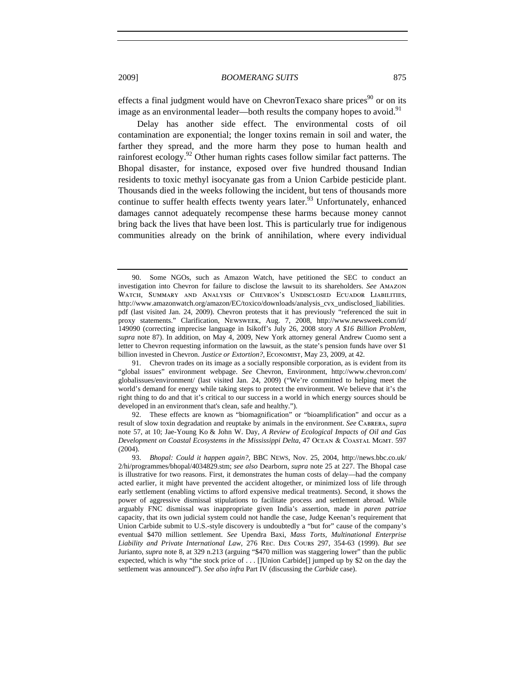effects a final judgment would have on ChevronTexaco share prices $90$  or on its image as an environmental leader—both results the company hopes to avoid.<sup>91</sup>

Delay has another side effect. The environmental costs of oil contamination are exponential; the longer toxins remain in soil and water, the farther they spread, and the more harm they pose to human health and rainforest ecology.<sup>92</sup> Other human rights cases follow similar fact patterns. The Bhopal disaster, for instance, exposed over five hundred thousand Indian residents to toxic methyl isocyanate gas from a Union Carbide pesticide plant. Thousands died in the weeks following the incident, but tens of thousands more continue to suffer health effects twenty years later.<sup>93</sup> Unfortunately, enhanced damages cannot adequately recompense these harms because money cannot bring back the lives that have been lost. This is particularly true for indigenous communities already on the brink of annihilation, where every individual

91. Chevron trades on its image as a socially responsible corporation, as is evident from its "global issues" environment webpage. *See* Chevron, Environment, http://www.chevron.com/ globalissues/environment/ (last visited Jan. 24, 2009) ("We're committed to helping meet the world's demand for energy while taking steps to protect the environment. We believe that it's the right thing to do and that it's critical to our success in a world in which energy sources should be developed in an environment that's clean, safe and healthy.").

92. These effects are known as "biomagnification" or "bioamplification" and occur as a result of slow toxin degradation and reuptake by animals in the environment. *See* Cabrera, *supra* note 57, at 10; Jae-Young Ko & John W. Day, *A Review of Ecological Impacts of Oil and Gas Development on Coastal Ecosystems in the Mississippi Delta*, 47 Ocean & Coastal Mgmt. 597 (2004).

93. *Bhopal: Could it happen again?*, BBC NEWS, Nov. 25, 2004, http://news.bbc.co.uk/ 2/hi/programmes/bhopal/4034829.stm; *see also* Dearborn, *supra* note 25 at 227. The Bhopal case is illustrative for two reasons. First, it demonstrates the human costs of delay—had the company acted earlier, it might have prevented the accident altogether, or minimized loss of life through early settlement (enabling victims to afford expensive medical treatments). Second, it shows the power of aggressive dismissal stipulations to facilitate process and settlement abroad. While arguably FNC dismissal was inappropriate given India's assertion, made in *paren patriae* capacity, that its own judicial system could not handle the case, Judge Keenan's requirement that Union Carbide submit to U.S.-style discovery is undoubtedly a "but for" cause of the company's eventual \$470 million settlement. *See* Upendra Baxi, *Mass Torts, Multinational Enterprise Liability and Private International Law*, 276 Rec. Des Cours 297, 354-63 (1999). *But see*  Jurianto, *supra* note 8, at 329 n.213 (arguing "\$470 million was staggering lower" than the public expected, which is why "the stock price of . . . []Union Carbide[] jumped up by \$2 on the day the settlement was announced"). *See also infra* Part IV (discussing the *Carbide* case).

<sup>90.</sup> Some NGOs, such as Amazon Watch, have petitioned the SEC to conduct an investigation into Chevron for failure to disclose the lawsuit to its shareholders. *See* Amazon Watch, Summary and Analysis of Chevron's Undisclosed Ecuador Liabilities, http://www.amazonwatch.org/amazon/EC/toxico/downloads/analysis\_cvx\_undisclosed\_liabilities. pdf (last visited Jan. 24, 2009). Chevron protests that it has previously "referenced the suit in proxy statements." Clarification, Newsweek, Aug. 7, 2008, http://www.newsweek.com/id/ 149090 (correcting imprecise language in Isikoff's July 26, 2008 story *A \$16 Billion Problem*, *supra* note 87). In addition, on May 4, 2009, New York attorney general Andrew Cuomo sent a letter to Chevron requesting information on the lawsuit, as the state's pension funds have over \$1 billion invested in Chevron. *Justice or Extortion?*, Economist, May 23, 2009, at 42.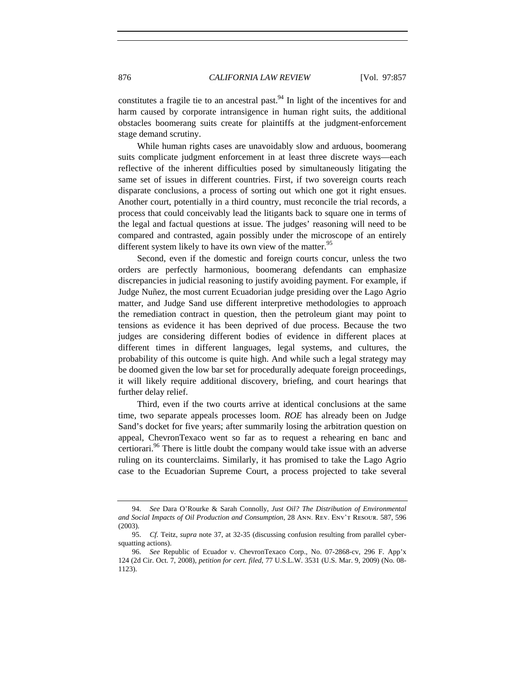constitutes a fragile tie to an ancestral past.<sup>94</sup> In light of the incentives for and harm caused by corporate intransigence in human right suits, the additional obstacles boomerang suits create for plaintiffs at the judgment-enforcement stage demand scrutiny.

While human rights cases are unavoidably slow and arduous, boomerang suits complicate judgment enforcement in at least three discrete ways—each reflective of the inherent difficulties posed by simultaneously litigating the same set of issues in different countries. First, if two sovereign courts reach disparate conclusions, a process of sorting out which one got it right ensues. Another court, potentially in a third country, must reconcile the trial records, a process that could conceivably lead the litigants back to square one in terms of the legal and factual questions at issue. The judges' reasoning will need to be compared and contrasted, again possibly under the microscope of an entirely different system likely to have its own view of the matter.<sup>95</sup>

Second, even if the domestic and foreign courts concur, unless the two orders are perfectly harmonious, boomerang defendants can emphasize discrepancies in judicial reasoning to justify avoiding payment. For example, if Judge Nuñez, the most current Ecuadorian judge presiding over the Lago Agrio matter, and Judge Sand use different interpretive methodologies to approach the remediation contract in question, then the petroleum giant may point to tensions as evidence it has been deprived of due process. Because the two judges are considering different bodies of evidence in different places at different times in different languages, legal systems, and cultures, the probability of this outcome is quite high. And while such a legal strategy may be doomed given the low bar set for procedurally adequate foreign proceedings, it will likely require additional discovery, briefing, and court hearings that further delay relief.

Third, even if the two courts arrive at identical conclusions at the same time, two separate appeals processes loom. *ROE* has already been on Judge Sand's docket for five years; after summarily losing the arbitration question on appeal, ChevronTexaco went so far as to request a rehearing en banc and certiorari.<sup>96</sup> There is little doubt the company would take issue with an adverse ruling on its counterclaims. Similarly, it has promised to take the Lago Agrio case to the Ecuadorian Supreme Court, a process projected to take several

<sup>94.</sup> *See* Dara O'Rourke & Sarah Connolly, *Just Oil? The Distribution of Environmental and Social Impacts of Oil Production and Consumption*, 28 Ann. Rev. Env't Resour. 587, 596 (2003).

<sup>95.</sup> *Cf.* Teitz, *supra* note 37, at 32-35 (discussing confusion resulting from parallel cybersquatting actions).

<sup>96.</sup> *See* Republic of Ecuador v. ChevronTexaco Corp., No. 07-2868-cv, 296 F. App'x 124 (2d Cir. Oct. 7, 2008), *petition for cert. filed*, 77 U.S.L.W. 3531 (U.S. Mar. 9, 2009) (No. 08- 1123).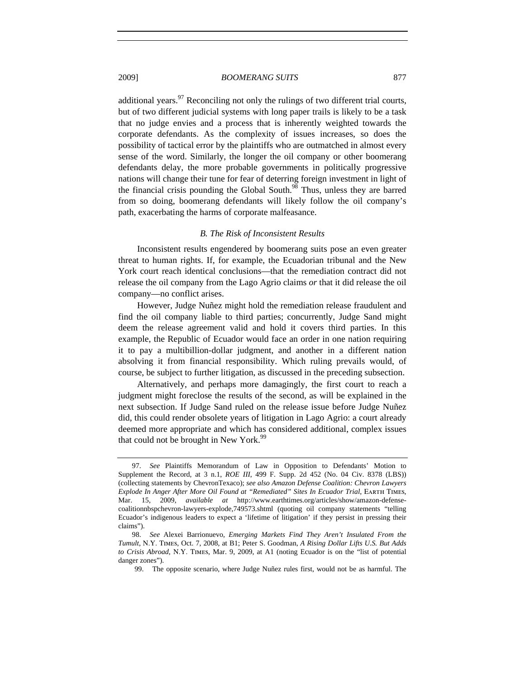2009] *BOOMERANG SUITS* 877

additional years.<sup>97</sup> Reconciling not only the rulings of two different trial courts, but of two different judicial systems with long paper trails is likely to be a task that no judge envies and a process that is inherently weighted towards the corporate defendants. As the complexity of issues increases, so does the possibility of tactical error by the plaintiffs who are outmatched in almost every sense of the word. Similarly, the longer the oil company or other boomerang defendants delay, the more probable governments in politically progressive nations will change their tune for fear of deterring foreign investment in light of the financial crisis pounding the Global South. $98$  Thus, unless they are barred from so doing, boomerang defendants will likely follow the oil company's path, exacerbating the harms of corporate malfeasance.

## *B. The Risk of Inconsistent Results*

Inconsistent results engendered by boomerang suits pose an even greater threat to human rights. If, for example, the Ecuadorian tribunal and the New York court reach identical conclusions—that the remediation contract did not release the oil company from the Lago Agrio claims *or* that it did release the oil company—no conflict arises.

However, Judge Nuñez might hold the remediation release fraudulent and find the oil company liable to third parties; concurrently, Judge Sand might deem the release agreement valid and hold it covers third parties. In this example, the Republic of Ecuador would face an order in one nation requiring it to pay a multibillion-dollar judgment, and another in a different nation absolving it from financial responsibility. Which ruling prevails would, of course, be subject to further litigation, as discussed in the preceding subsection.

Alternatively, and perhaps more damagingly, the first court to reach a judgment might foreclose the results of the second, as will be explained in the next subsection. If Judge Sand ruled on the release issue before Judge Nuñez did, this could render obsolete years of litigation in Lago Agrio: a court already deemed more appropriate and which has considered additional, complex issues that could not be brought in New York.<sup>99</sup>

<sup>97.</sup> *See* Plaintiffs Memorandum of Law in Opposition to Defendants' Motion to Supplement the Record, at 3 n.1, *ROE III*, 499 F. Supp. 2d 452 (No. 04 Civ. 8378 (LBS)) (collecting statements by ChevronTexaco); *see also Amazon Defense Coalition: Chevron Lawyers Explode In Anger After More Oil Found at "Remediated" Sites In Ecuador Trial*, Earth Times, Mar. 15, 2009, *available at* http://www.earthtimes.org/articles/show/amazon-defensecoalitionnbspchevron-lawyers-explode,749573.shtml (quoting oil company statements "telling Ecuador's indigenous leaders to expect a 'lifetime of litigation' if they persist in pressing their claims").

<sup>98.</sup> *See* Alexei Barrionuevo, *Emerging Markets Find They Aren't Insulated From the Tumult*, N.Y. Times, Oct. 7, 2008, at B1; Peter S. Goodman, *A Rising Dollar Lifts U.S. But Adds to Crisis Abroad*, N.Y. Times, Mar. 9, 2009, at A1 (noting Ecuador is on the "list of potential danger zones").

 <sup>99.</sup> The opposite scenario, where Judge Nuñez rules first, would not be as harmful. The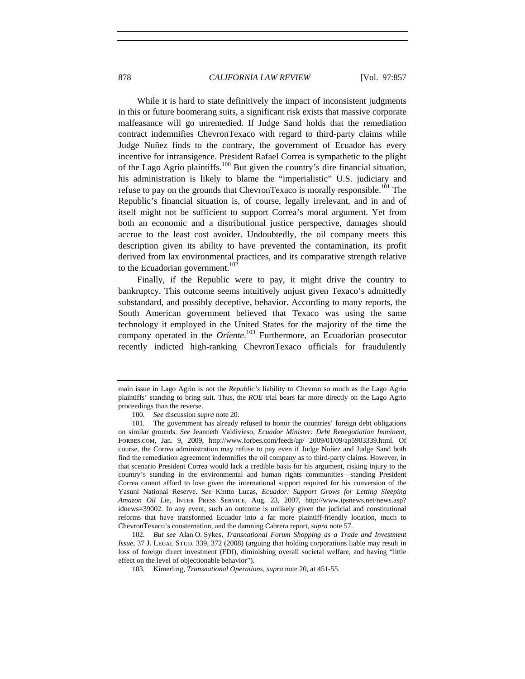While it is hard to state definitively the impact of inconsistent judgments in this or future boomerang suits, a significant risk exists that massive corporate malfeasance will go unremedied. If Judge Sand holds that the remediation contract indemnifies ChevronTexaco with regard to third-party claims while Judge Nuñez finds to the contrary, the government of Ecuador has every incentive for intransigence. President Rafael Correa is sympathetic to the plight of the Lago Agrio plaintiffs.<sup>100</sup> But given the country's dire financial situation, his administration is likely to blame the "imperialistic" U.S. judiciary and refuse to pay on the grounds that ChevronTexaco is morally responsible.<sup>101</sup> The Republic's financial situation is, of course, legally irrelevant, and in and of itself might not be sufficient to support Correa's moral argument. Yet from both an economic and a distributional justice perspective, damages should accrue to the least cost avoider. Undoubtedly, the oil company meets this description given its ability to have prevented the contamination, its profit derived from lax environmental practices, and its comparative strength relative to the Ecuadorian government.<sup>102</sup>

Finally, if the Republic were to pay, it might drive the country to bankruptcy. This outcome seems intuitively unjust given Texaco's admittedly substandard, and possibly deceptive, behavior. According to many reports, the South American government believed that Texaco was using the same technology it employed in the United States for the majority of the time the company operated in the *Oriente*. 103 Furthermore, an Ecuadorian prosecutor recently indicted high-ranking ChevronTexaco officials for fraudulently

main issue in Lago Agrio is not the *Republic's* liability to Chevron so much as the Lago Agrio plaintiffs' standing to bring suit. Thus, the *ROE* trial bears far more directly on the Lago Agrio proceedings than the reverse.

<sup>100.</sup> *See* discussion *supra* note 20.

<sup>101.</sup> The government has already refused to honor the countries' foreign debt obligations on similar grounds. *See* Jeanneth Valdivieso, *Ecuador Minister: Debt Renegotiation Imminent*, Forbes.com, Jan. 9, 2009, http://www.forbes.com/feeds/ap/ 2009/01/09/ap5903339.html. Of course, the Correa administration may refuse to pay even if Judge Nuñez and Judge Sand both find the remediation agreement indemnifies the oil company as to third-party claims. However, in that scenario President Correa would lack a credible basis for his argument, risking injury to the country's standing in the environmental and human rights communities—standing President Correa cannot afford to lose given the international support required for his conversion of the Yasuní National Reserve. *See* Kintto Lucas, *Ecuador: Support Grows for Letting Sleeping Amazon Oil Lie*, Inter Press Service, Aug. 23, 2007, http://www.ipsnews.net/news.asp? idnews=39002. In any event, such an outcome is unlikely given the judicial and constitutional reforms that have transformed Ecuador into a far more plaintiff-friendly location, much to ChevronTexaco's consternation, and the damning Cabrera report, *supra* note 57.

<sup>102.</sup> *But see* Alan O. Sykes, *Transnational Forum Shopping as a Trade and Investment Issue*, 37 J. LEGAL STUD. 339, 372 (2008) (arguing that holding corporations liable may result in loss of foreign direct investment (FDI), diminishing overall societal welfare, and having "little effect on the level of objectionable behavior").

<sup>103.</sup> Kimerling, *Transnational Operations*, *supra* note 20, at 451-55.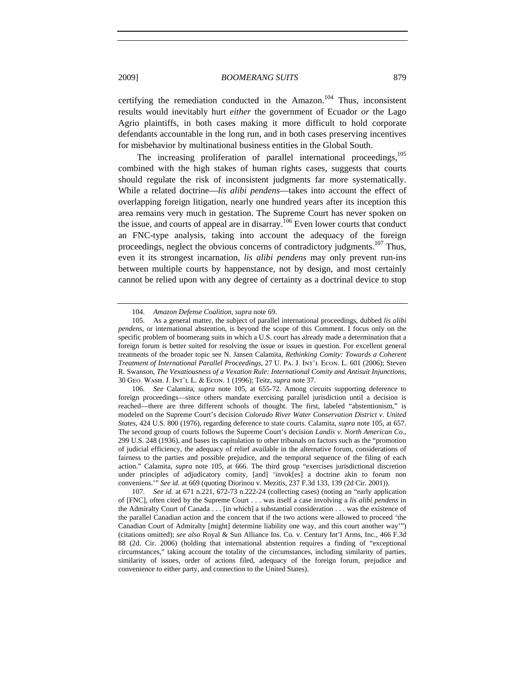certifying the remediation conducted in the Amazon.<sup>104</sup> Thus, inconsistent results would inevitably hurt *either* the government of Ecuador *or* the Lago Agrio plaintiffs, in both cases making it more difficult to hold corporate defendants accountable in the long run, and in both cases preserving incentives for misbehavior by multinational business entities in the Global South.

The increasing proliferation of parallel international proceedings,  $^{105}$ combined with the high stakes of human rights cases, suggests that courts should regulate the risk of inconsistent judgments far more systematically. While a related doctrine—*lis alibi pendens*—takes into account the effect of overlapping foreign litigation, nearly one hundred years after its inception this area remains very much in gestation. The Supreme Court has never spoken on the issue, and courts of appeal are in disarray.<sup>106</sup> Even lower courts that conduct an FNC-type analysis, taking into account the adequacy of the foreign proceedings, neglect the obvious concerns of contradictory judgments.<sup>107</sup> Thus, even it its strongest incarnation, *lis alibi pendens* may only prevent run-ins between multiple courts by happenstance, not by design, and most certainly cannot be relied upon with any degree of certainty as a doctrinal device to stop

<sup>104.</sup> *Amazon Defense Coalition*, *supra* note 69.

<sup>105.</sup> As a general matter, the subject of parallel international proceedings, dubbed *lis alibi pendens*, or international abstention, is beyond the scope of this Comment. I focus only on the specific problem of boomerang suits in which a U.S. court has already made a determination that a foreign forum is better suited for resolving the issue or issues in question. For excellent general treatments of the broader topic see N. Jansen Calamita, *Rethinking Comity: Towards a Coherent Treatment of International Parallel Proceedings*, 27 U. Pa. J. Int'l Econ. L. 601 (2006); Steven R. Swanson, *The Vexatiousness of a Vexation Rule: International Comity and Antisuit Injunctions*, 30 Geo. Wash. J. Int'l L. & Econ. 1 (1996); Teitz, *supra* note 37.

<sup>106.</sup> *See* Calamita, *supra* note 105, at 655-72. Among circuits supporting deference to foreign proceedings—since others mandate exercising parallel jurisdiction until a decision is reached—there are three different schools of thought. The first, labeled "abstentionism," is modeled on the Supreme Court's decision *Colorado River Water Conservation District v. United States*, 424 U.S. 800 (1976), regarding deference to state courts. Calamita, *supra* note 105, at 657. The second group of courts follows the Supreme Court's decision *Landis v. North American Co.*, 299 U.S. 248 (1936), and bases its capitulation to other tribunals on factors such as the "promotion of judicial efficiency, the adequacy of relief available in the alternative forum, considerations of fairness to the parties and possible prejudice, and the temporal sequence of the filing of each action." Calamita, *supra* note 105, at 666. The third group "exercises jurisdictional discretion under principles of adjudicatory comity, [and] 'invok[es] a doctrine akin to forum non conveniens.'" *See id.* at 669 (quoting Diorinou v. Mezitis, 237 F.3d 133, 139 (2d Cir. 2001)).

<sup>107.</sup> *See id.* at 671 n.221, 672-73 n.222-24 (collecting cases) (noting an "early application of [FNC], often cited by the Supreme Court . . . was itself a case involving a *lis alibi pendens* in the Admiralty Court of Canada . . . [in which] a substantial consideration . . . was the existence of the parallel Canadian action and the concern that if the two actions were allowed to proceed 'the Canadian Court of Admiralty [might] determine liability one way, and this court another way'") (citations omitted); *see also* Royal & Sun Alliance Ins. Co. v. Century Int'l Arms, Inc., 466 F.3d 88 (2d. Cir. 2006) (holding that international abstention requires a finding of "exceptional circumstances," taking account the totality of the circumstances, including similarity of parties, similarity of issues, order of actions filed, adequacy of the foreign forum, prejudice and convenience to either party, and connection to the United States).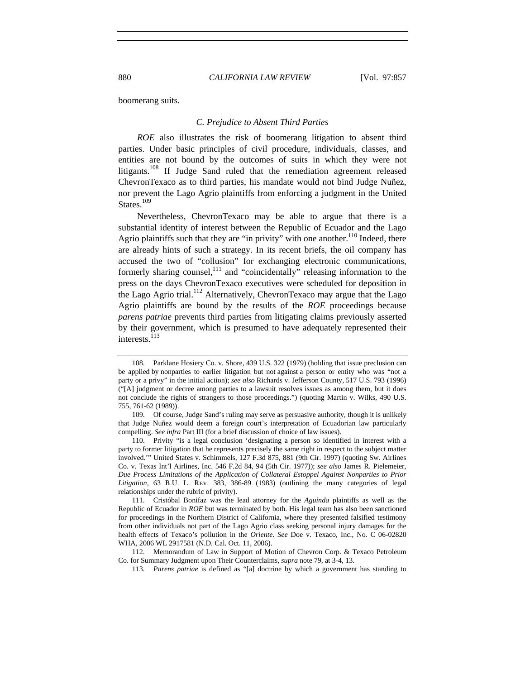boomerang suits.

## *C. Prejudice to Absent Third Parties*

*ROE* also illustrates the risk of boomerang litigation to absent third parties. Under basic principles of civil procedure, individuals, classes, and entities are not bound by the outcomes of suits in which they were not litigants.<sup>108</sup> If Judge Sand ruled that the remediation agreement released ChevronTexaco as to third parties, his mandate would not bind Judge Nuñez, nor prevent the Lago Agrio plaintiffs from enforcing a judgment in the United States.<sup>109</sup>

Nevertheless, ChevronTexaco may be able to argue that there is a substantial identity of interest between the Republic of Ecuador and the Lago Agrio plaintiffs such that they are "in privity" with one another.<sup>110</sup> Indeed, there are already hints of such a strategy. In its recent briefs, the oil company has accused the two of "collusion" for exchanging electronic communications, formerly sharing counsel,<sup>111</sup> and "coincidentally" releasing information to the press on the days ChevronTexaco executives were scheduled for deposition in the Lago Agrio trial.<sup>112</sup> Alternatively, ChevronTexaco may argue that the Lago Agrio plaintiffs are bound by the results of the *ROE* proceedings because *parens patriae* prevents third parties from litigating claims previously asserted by their government, which is presumed to have adequately represented their interests.<sup>113</sup>

<sup>108.</sup> Parklane Hosiery Co. v. Shore, 439 U.S. 322 (1979) (holding that issue preclusion can be applied by nonparties to earlier litigation but not against a person or entity who was "not a party or a privy" in the initial action); *see also* Richards v. Jefferson County, 517 U.S. 793 (1996) ("[A] judgment or decree among parties to a lawsuit resolves issues as among them, but it does not conclude the rights of strangers to those proceedings.") (quoting Martin v. Wilks, 490 U.S. 755, 761-62 (1989)).

<sup>109.</sup> Of course, Judge Sand's ruling may serve as persuasive authority, though it is unlikely that Judge Nuñez would deem a foreign court's interpretation of Ecuadorian law particularly compelling. *See infra* Part III (for a brief discussion of choice of law issues).

<sup>110.</sup> Privity "is a legal conclusion 'designating a person so identified in interest with a party to former litigation that he represents precisely the same right in respect to the subject matter involved.'" United States v. Schimmels, 127 F.3d 875, 881 (9th Cir. 1997) (quoting Sw. Airlines Co. v. Texas Int'l Airlines, Inc. 546 F.2d 84, 94 (5th Cir. 1977)); *see also* James R. Pielemeier, *Due Process Limitations of the Application of Collateral Estoppel Against Nonparties to Prior Litigation*, 63 B.U. L. Rev. 383, 386-89 (1983) (outlining the many categories of legal relationships under the rubric of privity).

<sup>111.</sup> Cristóbal Bonifaz was the lead attorney for the *Aguinda* plaintiffs as well as the Republic of Ecuador in *ROE* but was terminated by both. His legal team has also been sanctioned for proceedings in the Northern District of California, where they presented falsified testimony from other individuals not part of the Lago Agrio class seeking personal injury damages for the health effects of Texaco's pollution in the *Oriente*. *See* Doe v. Texaco, Inc., No. C 06-02820 WHA, 2006 WL 2917581 (N.D. Cal. Oct. 11, 2006).

<sup>112.</sup> Memorandum of Law in Support of Motion of Chevron Corp. & Texaco Petroleum Co. for Summary Judgment upon Their Counterclaims, *supra* note 79, at 3-4, 13.

<sup>113.</sup> *Parens patriae* is defined as "[a] doctrine by which a government has standing to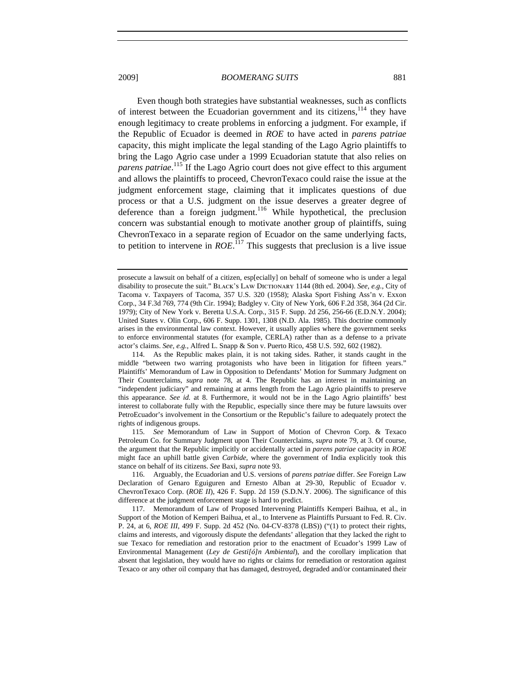Even though both strategies have substantial weaknesses, such as conflicts of interest between the Ecuadorian government and its citizens, $114$  they have enough legitimacy to create problems in enforcing a judgment. For example, if the Republic of Ecuador is deemed in *ROE* to have acted in *parens patriae* capacity, this might implicate the legal standing of the Lago Agrio plaintiffs to bring the Lago Agrio case under a 1999 Ecuadorian statute that also relies on *parens patriae*. 115 If the Lago Agrio court does not give effect to this argument and allows the plaintiffs to proceed, ChevronTexaco could raise the issue at the judgment enforcement stage, claiming that it implicates questions of due process or that a U.S. judgment on the issue deserves a greater degree of deference than a foreign judgment.<sup>116</sup> While hypothetical, the preclusion concern was substantial enough to motivate another group of plaintiffs, suing ChevronTexaco in a separate region of Ecuador on the same underlying facts, to petition to intervene in  $ROE<sup>117</sup>$  This suggests that preclusion is a live issue

prosecute a lawsuit on behalf of a citizen, esp[ecially] on behalf of someone who is under a legal disability to prosecute the suit." Black's Law Dictionary 1144 (8th ed. 2004). *See, e.g.*, City of Tacoma v. Taxpayers of Tacoma, 357 U.S. 320 (1958); Alaska Sport Fishing Ass'n v. Exxon Corp., 34 F.3d 769, 774 (9th Cir. 1994); Badgley v. City of New York*,* 606 F.2d 358, 364 (2d Cir. 1979); City of New York v. Beretta U.S.A. Corp., 315 F. Supp. 2d 256, 256-66 (E.D.N.Y. 2004); United States v. Olin Corp., 606 F. Supp. 1301, 1308 (N.D. Ala. 1985). This doctrine commonly arises in the environmental law context. However, it usually applies where the government seeks to enforce environmental statutes (for example, CERLA) rather than as a defense to a private actor's claims. *See, e.g.*, Alfred L. Snapp & Son v. Puerto Rico, 458 U.S. 592, 602 (1982).

<sup>114.</sup> As the Republic makes plain, it is not taking sides. Rather, it stands caught in the middle "between two warring protagonists who have been in litigation for fifteen years." Plaintiffs' Memorandum of Law in Opposition to Defendants' Motion for Summary Judgment on Their Counterclaims, *supra* note 78, at 4. The Republic has an interest in maintaining an "independent judiciary" and remaining at arms length from the Lago Agrio plaintiffs to preserve this appearance. *See id.* at 8. Furthermore, it would not be in the Lago Agrio plaintiffs' best interest to collaborate fully with the Republic, especially since there may be future lawsuits over PetroEcuador's involvement in the Consortium or the Republic's failure to adequately protect the rights of indigenous groups.

<sup>115.</sup> *See* Memorandum of Law in Support of Motion of Chevron Corp. & Texaco Petroleum Co. for Summary Judgment upon Their Counterclaims, *supra* note 79, at 3. Of course, the argument that the Republic implicitly or accidentally acted in *parens patriae* capacity in *ROE* might face an uphill battle given *Carbide*, where the government of India explicitly took this stance on behalf of its citizens. *See* Baxi, *supra* note 93.

<sup>116.</sup> Arguably, the Ecuadorian and U.S. versions of *parens patriae* differ. *See* Foreign Law Declaration of Genaro Eguiguren and Ernesto Alban at 29-30, Republic of Ecuador v. ChevronTexaco Corp. (*ROE II*), 426 F. Supp. 2d 159 (S.D.N.Y. 2006). The significance of this difference at the judgment enforcement stage is hard to predict.

<sup>117.</sup> Memorandum of Law of Proposed Intervening Plaintiffs Kemperi Baihua, et al., in Support of the Motion of Kemperi Baihua, et al., to Intervene as Plaintiffs Pursuant to Fed. R. Civ. P. 24, at 6, *ROE III*, 499 F. Supp. 2d 452 (No. 04-CV-8378 (LBS)) ("(1) to protect their rights, claims and interests, and vigorously dispute the defendants' allegation that they lacked the right to sue Texaco for remediation and restoration prior to the enactment of Ecuador's 1999 Law of Environmental Management (*Ley de Gesti[ó]n Ambiental*), and the corollary implication that absent that legislation, they would have no rights or claims for remediation or restoration against Texaco or any other oil company that has damaged, destroyed, degraded and/or contaminated their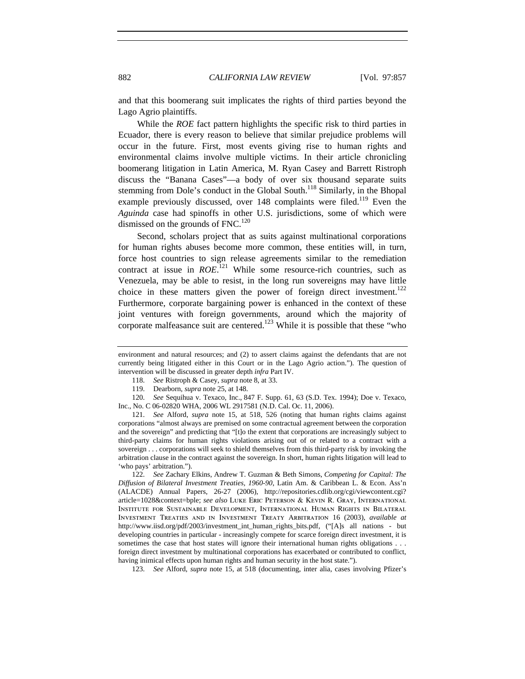and that this boomerang suit implicates the rights of third parties beyond the Lago Agrio plaintiffs.

While the *ROE* fact pattern highlights the specific risk to third parties in Ecuador, there is every reason to believe that similar prejudice problems will occur in the future. First, most events giving rise to human rights and environmental claims involve multiple victims. In their article chronicling boomerang litigation in Latin America, M. Ryan Casey and Barrett Ristroph discuss the "Banana Cases"—a body of over six thousand separate suits stemming from Dole's conduct in the Global South.<sup>118</sup> Similarly, in the Bhopal example previously discussed, over 148 complaints were filed.<sup>119</sup> Even the *Aguinda* case had spinoffs in other U.S. jurisdictions, some of which were dismissed on the grounds of FNC.<sup>120</sup>

Second, scholars project that as suits against multinational corporations for human rights abuses become more common, these entities will, in turn, force host countries to sign release agreements similar to the remediation contract at issue in *ROE*. 121 While some resource-rich countries, such as Venezuela, may be able to resist, in the long run sovereigns may have little choice in these matters given the power of foreign direct investment.<sup>122</sup> Furthermore, corporate bargaining power is enhanced in the context of these joint ventures with foreign governments, around which the majority of corporate malfeasance suit are centered.<sup>123</sup> While it is possible that these "who

118. *See* Ristroph & Casey, *supra* note 8, at 33.

120. *See* Sequihua v. Texaco, Inc., 847 F. Supp. 61, 63 (S.D. Tex. 1994); Doe v. Texaco, Inc., No. C 06-02820 WHA, 2006 WL 2917581 (N.D. Cal. Oc. 11, 2006).

121. *See* Alford, *supra* note 15, at 518, 526 (noting that human rights claims against corporations "almost always are premised on some contractual agreement between the corporation and the sovereign" and predicting that "[t]o the extent that corporations are increasingly subject to third-party claims for human rights violations arising out of or related to a contract with a sovereign . . . corporations will seek to shield themselves from this third-party risk by invoking the arbitration clause in the contract against the sovereign. In short, human rights litigation will lead to 'who pays' arbitration.").

122. *See* Zachary Elkins, Andrew T. Guzman & Beth Simons, *Competing for Capital: The Diffusion of Bilateral Investment Treaties, 1960-90*, Latin Am. & Caribbean L. & Econ. Ass'n (ALACDE) Annual Papers, 26-27 (2006), http://repositories.cdlib.org/cgi/viewcontent.cgi? article=1028&context=bple; *see also* Luke Eric Peterson & Kevin R. Gray, International Institute for Sustainable Development, International Human Rights in Bilateral Investment Treaties and in Investment Treaty Arbitration 16 (2003), *available at* http://www.iisd.org/pdf/2003/investment\_int\_human\_rights\_bits.pdf, ("[A]s all nations - but developing countries in particular - increasingly compete for scarce foreign direct investment, it is sometimes the case that host states will ignore their international human rights obligations . . . foreign direct investment by multinational corporations has exacerbated or contributed to conflict, having inimical effects upon human rights and human security in the host state.").

123. *See* Alford, *supra* note 15, at 518 (documenting, inter alia, cases involving Pfizer's

environment and natural resources; and (2) to assert claims against the defendants that are not currently being litigated either in this Court or in the Lago Agrio action."). The question of intervention will be discussed in greater depth *infra* Part IV.

<sup>119.</sup> Dearborn, *supra* note 25, at 148.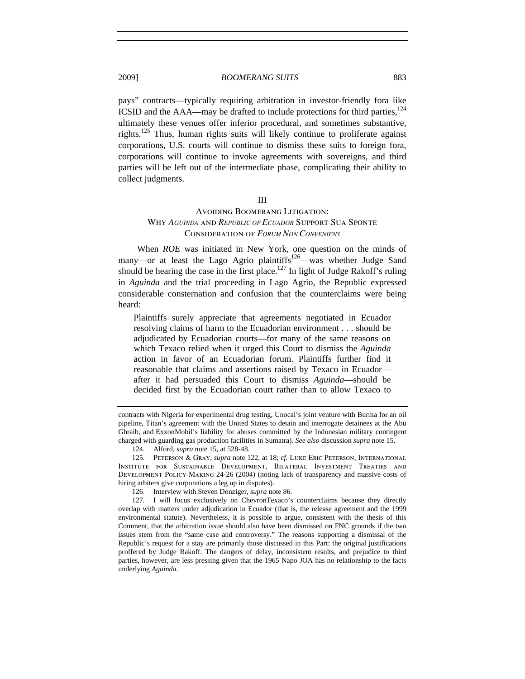pays" contracts—typically requiring arbitration in investor-friendly fora like ICSID and the  $AAA$ —may be drafted to include protections for third parties, $^{124}$ ultimately these venues offer inferior procedural, and sometimes substantive, rights.<sup>125</sup> Thus, human rights suits will likely continue to proliferate against corporations, U.S. courts will continue to dismiss these suits to foreign fora, corporations will continue to invoke agreements with sovereigns, and third parties will be left out of the intermediate phase, complicating their ability to collect judgments.

#### III

## Avoiding Boomerang Litigation: Why *AGUINDA* and *REPUBLIC OF ECUADOR* Support Sua Sponte Consideration of *FORUM NON CONVENIENS*

When *ROE* was initiated in New York, one question on the minds of many—or at least the Lago Agrio plaintiffs<sup>126</sup>—was whether Judge Sand should be hearing the case in the first place.<sup>127</sup> In light of Judge Rakoff's ruling in *Aguinda* and the trial proceeding in Lago Agrio, the Republic expressed considerable consternation and confusion that the counterclaims were being heard:

Plaintiffs surely appreciate that agreements negotiated in Ecuador resolving claims of harm to the Ecuadorian environment . . . should be adjudicated by Ecuadorian courts—for many of the same reasons on which Texaco relied when it urged this Court to dismiss the *Aguinda* action in favor of an Ecuadorian forum. Plaintiffs further find it reasonable that claims and assertions raised by Texaco in Ecuador after it had persuaded this Court to dismiss *Aguinda*—should be decided first by the Ecuadorian court rather than to allow Texaco to

contracts with Nigeria for experimental drug testing, Unocal's joint venture with Burma for an oil pipeline, Titan's agreement with the United States to detain and interrogate detainees at the Abu Ghraib, and ExxonMobil's liability for abuses committed by the Indonesian military contingent charged with guarding gas production facilities in Sumatra). *See also* discussion *supra* note 15.

<sup>124.</sup> Alford, *supra* note 15, at 528-48.

<sup>125.</sup> Peterson & Gray, *supra* note 122, at 18; *cf.* Luke Eric Peterson, International Institute for Sustainable Development, Bilateral Investment Treaties and Development Policy-Making 24-26 (2004) (noting lack of transparency and massive costs of hiring arbiters give corporations a leg up in disputes).

<sup>126.</sup> Interview with Steven Donziger, *supra* note 86.

<sup>127.</sup> I will focus exclusively on ChevronTexaco's counterclaims because they directly overlap with matters under adjudication in Ecuador (that is, the release agreement and the 1999 environmental statute). Nevertheless, it is possible to argue, consistent with the thesis of this Comment, that the arbitration issue should also have been dismissed on FNC grounds if the two issues stem from the "same case and controversy." The reasons supporting a dismissal of the Republic's request for a stay are primarily those discussed in this Part: the original justifications proffered by Judge Rakoff. The dangers of delay, inconsistent results, and prejudice to third parties, however, are less pressing given that the 1965 Napo JOA has no relationship to the facts underlying *Aguinda*.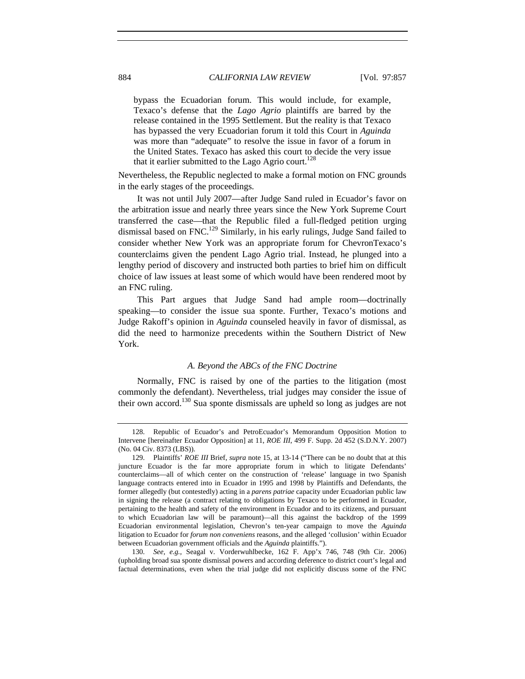bypass the Ecuadorian forum. This would include, for example, Texaco's defense that the *Lago Agrio* plaintiffs are barred by the release contained in the 1995 Settlement. But the reality is that Texaco has bypassed the very Ecuadorian forum it told this Court in *Aguinda* was more than "adequate" to resolve the issue in favor of a forum in the United States. Texaco has asked this court to decide the very issue that it earlier submitted to the Lago Agrio court.<sup>128</sup>

Nevertheless, the Republic neglected to make a formal motion on FNC grounds in the early stages of the proceedings.

It was not until July 2007—after Judge Sand ruled in Ecuador's favor on the arbitration issue and nearly three years since the New York Supreme Court transferred the case—that the Republic filed a full-fledged petition urging dismissal based on FNC.<sup>129</sup> Similarly, in his early rulings, Judge Sand failed to consider whether New York was an appropriate forum for ChevronTexaco's counterclaims given the pendent Lago Agrio trial. Instead, he plunged into a lengthy period of discovery and instructed both parties to brief him on difficult choice of law issues at least some of which would have been rendered moot by an FNC ruling.

This Part argues that Judge Sand had ample room—doctrinally speaking—to consider the issue sua sponte. Further, Texaco's motions and Judge Rakoff's opinion in *Aguinda* counseled heavily in favor of dismissal, as did the need to harmonize precedents within the Southern District of New York.

## *A. Beyond the ABCs of the FNC Doctrine*

Normally, FNC is raised by one of the parties to the litigation (most commonly the defendant). Nevertheless, trial judges may consider the issue of their own accord.<sup>130</sup> Sua sponte dismissals are upheld so long as judges are not

130. *See, e.g.*, Seagal v. Vorderwuhlbecke, 162 F. App'x 746, 748 (9th Cir. 2006) (upholding broad sua sponte dismissal powers and according deference to district court's legal and factual determinations, even when the trial judge did not explicitly discuss some of the FNC

<sup>128.</sup> Republic of Ecuador's and PetroEcuador's Memorandum Opposition Motion to Intervene [hereinafter Ecuador Opposition] at 11, *ROE III*, 499 F. Supp. 2d 452 (S.D.N.Y. 2007) (No. 04 Civ. 8373 (LBS)).

<sup>129.</sup> Plaintiffs' *ROE III* Brief, *supra* note 15, at 13-14 ("There can be no doubt that at this juncture Ecuador is the far more appropriate forum in which to litigate Defendants' counterclaims—all of which center on the construction of 'release' language in two Spanish language contracts entered into in Ecuador in 1995 and 1998 by Plaintiffs and Defendants, the former allegedly (but contestedly) acting in a *parens patriae* capacity under Ecuadorian public law in signing the release (a contract relating to obligations by Texaco to be performed in Ecuador, pertaining to the health and safety of the environment in Ecuador and to its citizens, and pursuant to which Ecuadorian law will be paramount)—all this against the backdrop of the 1999 Ecuadorian environmental legislation, Chevron's ten-year campaign to move the *Aguinda*  litigation to Ecuador for *forum non conveniens* reasons, and the alleged 'collusion' within Ecuador between Ecuadorian government officials and the *Aguinda* plaintiffs.").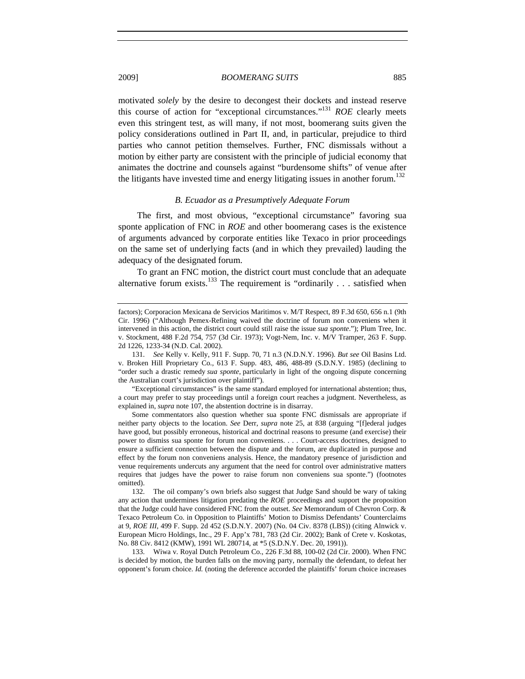motivated *solely* by the desire to decongest their dockets and instead reserve this course of action for "exceptional circumstances."131 *ROE* clearly meets even this stringent test, as will many, if not most, boomerang suits given the policy considerations outlined in Part II, and, in particular, prejudice to third parties who cannot petition themselves. Further, FNC dismissals without a motion by either party are consistent with the principle of judicial economy that animates the doctrine and counsels against "burdensome shifts" of venue after the litigants have invested time and energy litigating issues in another forum.<sup>132</sup>

## *B. Ecuador as a Presumptively Adequate Forum*

The first, and most obvious, "exceptional circumstance" favoring sua sponte application of FNC in *ROE* and other boomerang cases is the existence of arguments advanced by corporate entities like Texaco in prior proceedings on the same set of underlying facts (and in which they prevailed) lauding the adequacy of the designated forum.

To grant an FNC motion, the district court must conclude that an adequate alternative forum exists.<sup>133</sup> The requirement is "ordinarily  $\dots$  satisfied when

"Exceptional circumstances" is the same standard employed for international abstention; thus, a court may prefer to stay proceedings until a foreign court reaches a judgment. Nevertheless, as explained in, *supra* note 107, the abstention doctrine is in disarray.

Some commentators also question whether sua sponte FNC dismissals are appropriate if neither party objects to the location. *See* Derr, *supra* note 25, at 838 (arguing "[f]ederal judges have good, but possibly erroneous, historical and doctrinal reasons to presume (and exercise) their power to dismiss sua sponte for forum non conveniens. . . . Court-access doctrines, designed to ensure a sufficient connection between the dispute and the forum, are duplicated in purpose and effect by the forum non conveniens analysis. Hence, the mandatory presence of jurisdiction and venue requirements undercuts any argument that the need for control over administrative matters requires that judges have the power to raise forum non conveniens sua sponte.") (footnotes omitted).

132. The oil company's own briefs also suggest that Judge Sand should be wary of taking any action that undermines litigation predating the *ROE* proceedings and support the proposition that the Judge could have considered FNC from the outset. *See* Memorandum of Chevron Corp. & Texaco Petroleum Co. in Opposition to Plaintiffs' Motion to Dismiss Defendants' Counterclaims at 9, *ROE III*, 499 F. Supp. 2d 452 (S.D.N.Y. 2007) (No. 04 Civ. 8378 (LBS)) (citing Alnwick v. European Micro Holdings, Inc., 29 F. App'x 781, 783 (2d Cir. 2002); Bank of Crete v. Koskotas, No. 88 Civ. 8412 (KMW), 1991 WL 280714, at \*5 (S.D.N.Y. Dec. 20, 1991)).

133. Wiwa v. Royal Dutch Petroleum Co., 226 F.3d 88, 100-02 (2d Cir. 2000). When FNC is decided by motion, the burden falls on the moving party, normally the defendant, to defeat her opponent's forum choice. *Id.* (noting the deference accorded the plaintiffs' forum choice increases

factors); Corporacion Mexicana de Servicios Maritimos v. M/T Respect, 89 F.3d 650, 656 n.1 (9th Cir. 1996) ("Although Pemex-Refining waived the doctrine of forum non conveniens when it intervened in this action, the district court could still raise the issue *sua sponte*."); Plum Tree, Inc. v. Stockment, 488 F.2d 754, 757 (3d Cir. 1973); Vogt-Nem, Inc. v. M/V Tramper, 263 F. Supp. 2d 1226, 1233-34 (N.D. Cal. 2002).

<sup>131.</sup> *See* Kelly v. Kelly, 911 F. Supp. 70, 71 n.3 (N.D.N.Y. 1996). *But see* Oil Basins Ltd. v. Broken Hill Proprietary Co., 613 F. Supp. 483, 486, 488-89 (S.D.N.Y. 1985) (declining to "order such a drastic remedy *sua sponte*, particularly in light of the ongoing dispute concerning the Australian court's jurisdiction over plaintiff").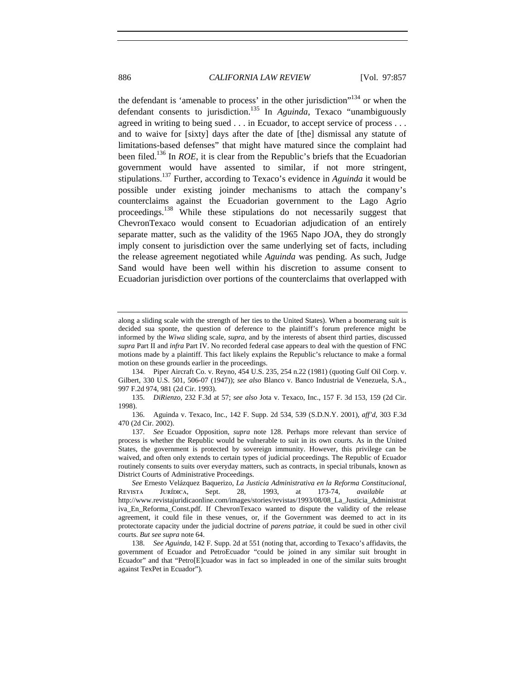the defendant is 'amenable to process' in the other jurisdiction $134$  or when the defendant consents to jurisdiction.<sup>135</sup> In *Aguinda*, Texaco "unambiguously agreed in writing to being sued . . . in Ecuador, to accept service of process . . . and to waive for [sixty] days after the date of [the] dismissal any statute of limitations-based defenses" that might have matured since the complaint had been filed.136 In *ROE*, it is clear from the Republic's briefs that the Ecuadorian government would have assented to similar, if not more stringent, stipulations.137 Further, according to Texaco's evidence in *Aguinda* it would be possible under existing joinder mechanisms to attach the company's counterclaims against the Ecuadorian government to the Lago Agrio proceedings.<sup>138</sup> While these stipulations do not necessarily suggest that ChevronTexaco would consent to Ecuadorian adjudication of an entirely separate matter, such as the validity of the 1965 Napo JOA, they do strongly imply consent to jurisdiction over the same underlying set of facts, including the release agreement negotiated while *Aguinda* was pending. As such, Judge Sand would have been well within his discretion to assume consent to Ecuadorian jurisdiction over portions of the counterclaims that overlapped with

136. Aguinda v. Texaco, Inc., 142 F. Supp. 2d 534, 539 (S.D.N.Y. 2001), *aff'd*, 303 F.3d 470 (2d Cir. 2002).

along a sliding scale with the strength of her ties to the United States). When a boomerang suit is decided sua sponte, the question of deference to the plaintiff's forum preference might be informed by the *Wiwa* sliding scale, *supra*, and by the interests of absent third parties, discussed *supra* Part II and *infra* Part IV. No recorded federal case appears to deal with the question of FNC motions made by a plaintiff. This fact likely explains the Republic's reluctance to make a formal motion on these grounds earlier in the proceedings.

<sup>134.</sup> Piper Aircraft Co. v. Reyno, 454 U.S. 235, 254 n.22 (1981) (quoting Gulf Oil Corp. v. Gilbert, 330 U.S. 501, 506-07 (1947)); *see also* Blanco v. Banco Industrial de Venezuela, S.A., 997 F.2d 974, 981 (2d Cir. 1993).

<sup>135.</sup> *DiRienzo*, 232 F.3d at 57; *see also* Jota v. Texaco, Inc., 157 F. 3d 153, 159 (2d Cir. 1998).

<sup>137.</sup> *See* Ecuador Opposition, *supra* note 128. Perhaps more relevant than service of process is whether the Republic would be vulnerable to suit in its own courts. As in the United States, the government is protected by sovereign immunity. However, this privilege can be waived, and often only extends to certain types of judicial proceedings. The Republic of Ecuador routinely consents to suits over everyday matters, such as contracts, in special tribunals, known as District Courts of Administrative Proceedings.

*See* Ernesto Velázquez Baquerizo, *La Justicia Administrativa en la Reforma Constitucional*, Revista Jurídica, Sept. 28, 1993, at 173-74, *available at* http://www.revistajuridicaonline.com/images/stories/revistas/1993/08/08\_La\_Justicia\_Administrat iva\_En\_Reforma\_Const.pdf. If ChevronTexaco wanted to dispute the validity of the release agreement, it could file in these venues, or, if the Government was deemed to act in its protectorate capacity under the judicial doctrine of *parens patriae*, it could be sued in other civil courts. *But see supra* note 64.

<sup>138.</sup> *See Aguinda*, 142 F. Supp. 2d at 551 (noting that, according to Texaco's affidavits, the government of Ecuador and PetroEcuador "could be joined in any similar suit brought in Ecuador" and that "Petro[E]cuador was in fact so impleaded in one of the similar suits brought against TexPet in Ecuador").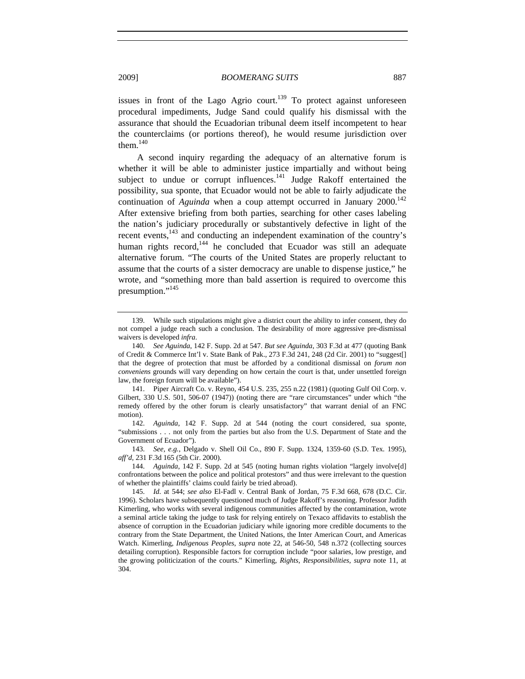issues in front of the Lago Agrio court.<sup>139</sup> To protect against unforeseen procedural impediments, Judge Sand could qualify his dismissal with the assurance that should the Ecuadorian tribunal deem itself incompetent to hear the counterclaims (or portions thereof), he would resume jurisdiction over them. $140$ 

A second inquiry regarding the adequacy of an alternative forum is whether it will be able to administer justice impartially and without being subject to undue or corrupt influences. $141$  Judge Rakoff entertained the possibility, sua sponte, that Ecuador would not be able to fairly adjudicate the continuation of *Aguinda* when a coup attempt occurred in January  $2000$ .<sup>142</sup> After extensive briefing from both parties, searching for other cases labeling the nation's judiciary procedurally or substantively defective in light of the recent events,<sup>143</sup> and conducting an independent examination of the country's human rights record,<sup>144</sup> he concluded that Ecuador was still an adequate alternative forum. "The courts of the United States are properly reluctant to assume that the courts of a sister democracy are unable to dispense justice," he wrote, and "something more than bald assertion is required to overcome this presumption."<sup>145</sup>

141. Piper Aircraft Co. v. Reyno*,* 454 U.S. 235, 255 n.22 (1981) (quoting Gulf Oil Corp. v. Gilbert, 330 U.S. 501, 506-07 (1947)) (noting there are "rare circumstances" under which "the remedy offered by the other forum is clearly unsatisfactory" that warrant denial of an FNC motion).

142. *Aguinda*, 142 F. Supp. 2d at 544 (noting the court considered, sua sponte, "submissions . . . not only from the parties but also from the U.S. Department of State and the Government of Ecuador").

143. *See, e.g.*, Delgado v. Shell Oil Co., 890 F. Supp. 1324, 1359-60 (S.D. Tex. 1995), *aff'd*, 231 F.3d 165 (5th Cir. 2000).

144. *Aguinda*, 142 F. Supp. 2d at 545 (noting human rights violation "largely involve[d] confrontations between the police and political protestors" and thus were irrelevant to the question of whether the plaintiffs' claims could fairly be tried abroad).

145. *Id.* at 544; *see also* El-Fadl v. Central Bank of Jordan, 75 F.3d 668, 678 (D.C. Cir. 1996). Scholars have subsequently questioned much of Judge Rakoff's reasoning. Professor Judith Kimerling, who works with several indigenous communities affected by the contamination, wrote a seminal article taking the judge to task for relying entirely on Texaco affidavits to establish the absence of corruption in the Ecuadorian judiciary while ignoring more credible documents to the contrary from the State Department, the United Nations, the Inter American Court, and Americas Watch. Kimerling, *Indigenous Peoples*, *supra* note 22, at 546-50, 548 n.372 (collecting sources detailing corruption). Responsible factors for corruption include "poor salaries, low prestige, and the growing politicization of the courts." Kimerling, *Rights, Responsibilities*, *supra* note 11, at 304.

<sup>139.</sup> While such stipulations might give a district court the ability to infer consent, they do not compel a judge reach such a conclusion. The desirability of more aggressive pre-dismissal waivers is developed *infra*.

<sup>140.</sup> *See Aguinda*, 142 F. Supp. 2d at 547. *But see Aguinda*, 303 F.3d at 477 (quoting Bank of Credit & Commerce Int'l v. State Bank of Pak., 273 F.3d 241, 248 (2d Cir. 2001) to "suggest[] that the degree of protection that must be afforded by a conditional dismissal on *forum non conveniens* grounds will vary depending on how certain the court is that, under unsettled foreign law, the foreign forum will be available").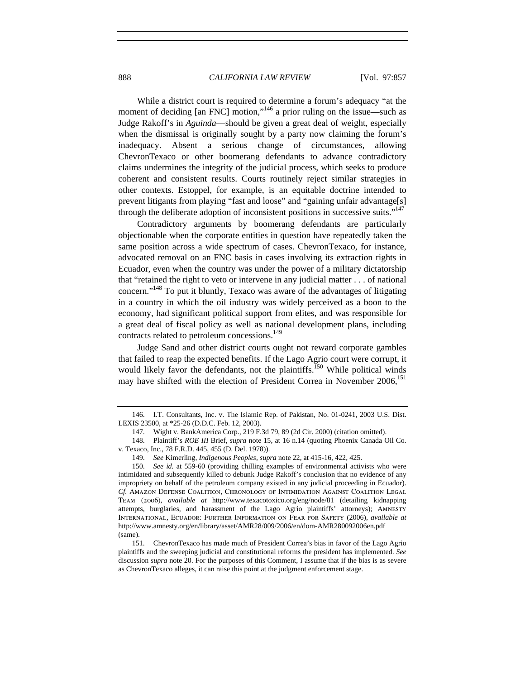While a district court is required to determine a forum's adequacy "at the moment of deciding [an FNC] motion,"<sup>146</sup> a prior ruling on the issue—such as Judge Rakoff's in *Aguinda*—should be given a great deal of weight, especially when the dismissal is originally sought by a party now claiming the forum's inadequacy. Absent a serious change of circumstances, allowing ChevronTexaco or other boomerang defendants to advance contradictory claims undermines the integrity of the judicial process, which seeks to produce coherent and consistent results. Courts routinely reject similar strategies in other contexts. Estoppel, for example, is an equitable doctrine intended to prevent litigants from playing "fast and loose" and "gaining unfair advantage[s] through the deliberate adoption of inconsistent positions in successive suits."<sup>147</sup>

Contradictory arguments by boomerang defendants are particularly objectionable when the corporate entities in question have repeatedly taken the same position across a wide spectrum of cases. ChevronTexaco, for instance, advocated removal on an FNC basis in cases involving its extraction rights in Ecuador, even when the country was under the power of a military dictatorship that "retained the right to veto or intervene in any judicial matter . . . of national concern."<sup>148</sup> To put it bluntly, Texaco was aware of the advantages of litigating in a country in which the oil industry was widely perceived as a boon to the economy, had significant political support from elites, and was responsible for a great deal of fiscal policy as well as national development plans, including contracts related to petroleum concessions.<sup>149</sup>

Judge Sand and other district courts ought not reward corporate gambles that failed to reap the expected benefits. If the Lago Agrio court were corrupt, it would likely favor the defendants, not the plaintiffs.<sup>150</sup> While political winds may have shifted with the election of President Correa in November 2006,<sup>151</sup>

<sup>146.</sup> I.T. Consultants, Inc. v. The Islamic Rep. of Pakistan, No. 01-0241, 2003 U.S. Dist. LEXIS 23500, at \*25-26 (D.D.C. Feb. 12, 2003).

<sup>147.</sup> Wight v. BankAmerica Corp., 219 F.3d 79, 89 (2d Cir. 2000) (citation omitted).

<sup>148.</sup> Plaintiff's *ROE III* Brief, *supra* note 15, at 16 n.14 (quoting Phoenix Canada Oil Co. v. Texaco, Inc., 78 F.R.D. 445, 455 (D. Del. 1978)).

<sup>149.</sup> *See* Kimerling, *Indigenous Peoples*, *supra* note 22, at 415-16, 422, 425.

<sup>150.</sup> *See id.* at 559-60 (providing chilling examples of environmental activists who were intimidated and subsequently killed to debunk Judge Rakoff's conclusion that no evidence of any impropriety on behalf of the petroleum company existed in any judicial proceeding in Ecuador). *Cf.* Amazon Defense Coalition, Chronology of Intimidation Against Coalition Legal Team (2006), *available at* http://www.texacotoxico.org/eng/node/81 (detailing kidnapping attempts, burglaries, and harassment of the Lago Agrio plaintiffs' attorneys); Amnesty International, Ecuador: Further Information on Fear for Safety (2006), *available at* http://www.amnesty.org/en/library/asset/AMR28/009/2006/en/dom-AMR280092006en.pdf (same).

<sup>151.</sup> ChevronTexaco has made much of President Correa's bias in favor of the Lago Agrio plaintiffs and the sweeping judicial and constitutional reforms the president has implemented. *See*  discussion *supra* note 20. For the purposes of this Comment, I assume that if the bias is as severe as ChevronTexaco alleges, it can raise this point at the judgment enforcement stage.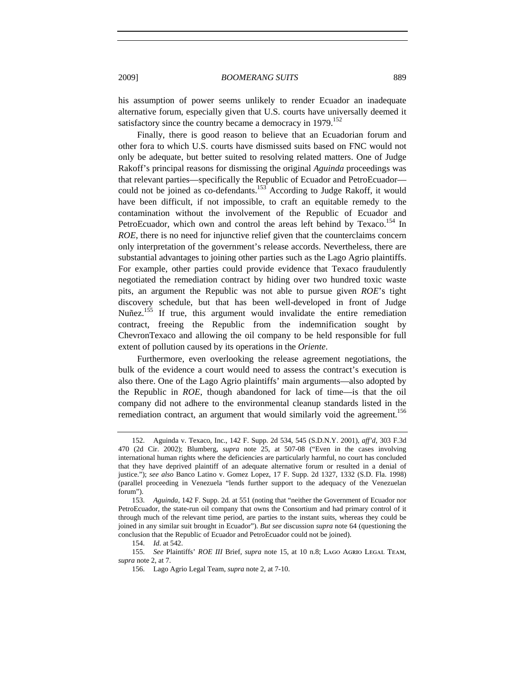his assumption of power seems unlikely to render Ecuador an inadequate alternative forum, especially given that U.S. courts have universally deemed it satisfactory since the country became a democracy in 1979.<sup>152</sup>

Finally, there is good reason to believe that an Ecuadorian forum and other fora to which U.S. courts have dismissed suits based on FNC would not only be adequate, but better suited to resolving related matters. One of Judge Rakoff's principal reasons for dismissing the original *Aguinda* proceedings was that relevant parties—specifically the Republic of Ecuador and PetroEcuador could not be joined as co-defendants.<sup>153</sup> According to Judge Rakoff, it would have been difficult, if not impossible, to craft an equitable remedy to the contamination without the involvement of the Republic of Ecuador and PetroEcuador, which own and control the areas left behind by Texaco.<sup>154</sup> In *ROE*, there is no need for injunctive relief given that the counterclaims concern only interpretation of the government's release accords. Nevertheless, there are substantial advantages to joining other parties such as the Lago Agrio plaintiffs. For example, other parties could provide evidence that Texaco fraudulently negotiated the remediation contract by hiding over two hundred toxic waste pits, an argument the Republic was not able to pursue given *ROE*'s tight discovery schedule, but that has been well-developed in front of Judge Nuñez.<sup>155</sup> If true, this argument would invalidate the entire remediation contract, freeing the Republic from the indemnification sought by ChevronTexaco and allowing the oil company to be held responsible for full extent of pollution caused by its operations in the *Oriente*.

Furthermore, even overlooking the release agreement negotiations, the bulk of the evidence a court would need to assess the contract's execution is also there. One of the Lago Agrio plaintiffs' main arguments—also adopted by the Republic in *ROE*, though abandoned for lack of time—is that the oil company did not adhere to the environmental cleanup standards listed in the remediation contract, an argument that would similarly void the agreement.<sup>156</sup>

<sup>152.</sup> Aguinda v. Texaco, Inc., 142 F. Supp. 2d 534, 545 (S.D.N.Y. 2001), *aff'd*, 303 F.3d 470 (2d Cir. 2002); Blumberg, *supra* note 25, at 507-08 ("Even in the cases involving international human rights where the deficiencies are particularly harmful, no court has concluded that they have deprived plaintiff of an adequate alternative forum or resulted in a denial of justice."); *see also* Banco Latino v. Gomez Lopez, 17 F. Supp. 2d 1327, 1332 (S.D. Fla. 1998) (parallel proceeding in Venezuela "lends further support to the adequacy of the Venezuelan forum").

<sup>153.</sup> *Aguinda*, 142 F. Supp. 2d*.* at 551 (noting that "neither the Government of Ecuador nor PetroEcuador, the state-run oil company that owns the Consortium and had primary control of it through much of the relevant time period, are parties to the instant suits, whereas they could be joined in any similar suit brought in Ecuador"). *But see* discussion *supra* note 64 (questioning the conclusion that the Republic of Ecuador and PetroEcuador could not be joined).

<sup>154.</sup> *Id.* at 542.

<sup>155.</sup> *See* Plaintiffs' *ROE III* Brief, *supra* note 15, at 10 n.8; Lago Agrio Legal Team, *supra* note 2, at 7.

<sup>156.</sup> Lago Agrio Legal Team, *supra* note 2, at 7-10.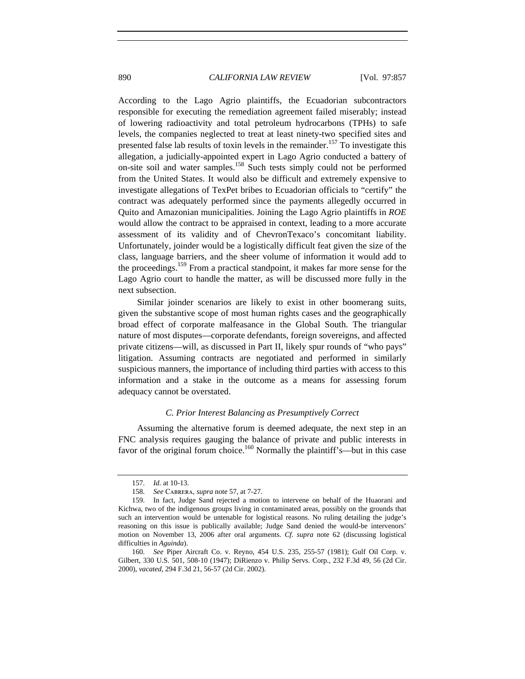According to the Lago Agrio plaintiffs, the Ecuadorian subcontractors responsible for executing the remediation agreement failed miserably; instead of lowering radioactivity and total petroleum hydrocarbons (TPHs) to safe levels, the companies neglected to treat at least ninety-two specified sites and presented false lab results of toxin levels in the remainder.<sup>157</sup> To investigate this allegation, a judicially-appointed expert in Lago Agrio conducted a battery of on-site soil and water samples.<sup>158</sup> Such tests simply could not be performed from the United States. It would also be difficult and extremely expensive to investigate allegations of TexPet bribes to Ecuadorian officials to "certify" the contract was adequately performed since the payments allegedly occurred in Quito and Amazonian municipalities. Joining the Lago Agrio plaintiffs in *ROE* would allow the contract to be appraised in context, leading to a more accurate assessment of its validity and of ChevronTexaco's concomitant liability. Unfortunately, joinder would be a logistically difficult feat given the size of the class, language barriers, and the sheer volume of information it would add to the proceedings.159 From a practical standpoint, it makes far more sense for the Lago Agrio court to handle the matter, as will be discussed more fully in the next subsection.

Similar joinder scenarios are likely to exist in other boomerang suits, given the substantive scope of most human rights cases and the geographically broad effect of corporate malfeasance in the Global South. The triangular nature of most disputes—corporate defendants, foreign sovereigns, and affected private citizens—will, as discussed in Part II, likely spur rounds of "who pays" litigation. Assuming contracts are negotiated and performed in similarly suspicious manners, the importance of including third parties with access to this information and a stake in the outcome as a means for assessing forum adequacy cannot be overstated.

## *C. Prior Interest Balancing as Presumptively Correct*

Assuming the alternative forum is deemed adequate, the next step in an FNC analysis requires gauging the balance of private and public interests in favor of the original forum choice.<sup>160</sup> Normally the plaintiff's—but in this case

<sup>157.</sup> *Id.* at 10-13.

<sup>158.</sup> *See* Cabrera, *supra* note 57, at 7-27.

<sup>159.</sup> In fact, Judge Sand rejected a motion to intervene on behalf of the Huaorani and Kichwa, two of the indigenous groups living in contaminated areas, possibly on the grounds that such an intervention would be untenable for logistical reasons. No ruling detailing the judge's reasoning on this issue is publically available; Judge Sand denied the would-be intervenors' motion on November 13, 2006 after oral arguments. *Cf. supra* note 62 (discussing logistical difficulties in *Aguinda*).

<sup>160.</sup> *See* Piper Aircraft Co. v. Reyno*,* 454 U.S. 235, 255-57 (1981); Gulf Oil Corp. v. Gilbert, 330 U.S. 501, 508-10 (1947); DiRienzo v. Philip Servs. Corp., 232 F.3d 49, 56 (2d Cir. 2000), *vacated*, 294 F.3d 21, 56-57 (2d Cir. 2002).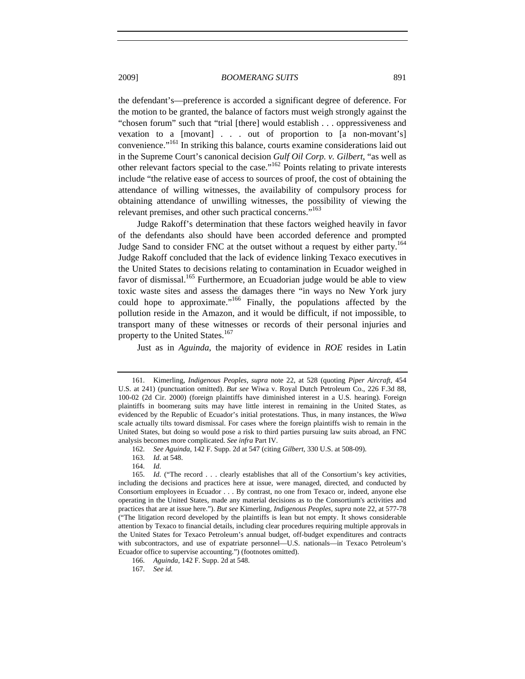the defendant's—preference is accorded a significant degree of deference. For the motion to be granted, the balance of factors must weigh strongly against the "chosen forum" such that "trial [there] would establish . . . oppressiveness and vexation to a [movant] . . . out of proportion to [a non-movant's] convenience."161 In striking this balance, courts examine considerations laid out in the Supreme Court's canonical decision *Gulf Oil Corp. v. Gilbert*, "as well as other relevant factors special to the case."162 Points relating to private interests include "the relative ease of access to sources of proof, the cost of obtaining the attendance of willing witnesses, the availability of compulsory process for obtaining attendance of unwilling witnesses, the possibility of viewing the relevant premises, and other such practical concerns."<sup>163</sup>

Judge Rakoff's determination that these factors weighed heavily in favor of the defendants also should have been accorded deference and prompted Judge Sand to consider FNC at the outset without a request by either party.<sup>164</sup> Judge Rakoff concluded that the lack of evidence linking Texaco executives in the United States to decisions relating to contamination in Ecuador weighed in favor of dismissal.<sup>165</sup> Furthermore, an Ecuadorian judge would be able to view toxic waste sites and assess the damages there "in ways no New York jury could hope to approximate."<sup>166</sup> Finally, the populations affected by the pollution reside in the Amazon, and it would be difficult, if not impossible, to transport many of these witnesses or records of their personal injuries and property to the United States.<sup>167</sup>

Just as in *Aguinda*, the majority of evidence in *ROE* resides in Latin

164. *Id.*

167. *See id.*

<sup>161.</sup> Kimerling, *Indigenous Peoples*, *supra* note 22, at 528 (quoting *Piper Aircraft*, 454 U.S. at 241) (punctuation omitted). *But see* Wiwa v. Royal Dutch Petroleum Co., 226 F.3d 88, 100-02 (2d Cir. 2000) (foreign plaintiffs have diminished interest in a U.S. hearing). Foreign plaintiffs in boomerang suits may have little interest in remaining in the United States, as evidenced by the Republic of Ecuador's initial protestations. Thus, in many instances, the *Wiwa* scale actually tilts toward dismissal. For cases where the foreign plaintiffs wish to remain in the United States, but doing so would pose a risk to third parties pursuing law suits abroad, an FNC analysis becomes more complicated. *See infra* Part IV.

<sup>162.</sup> *See Aguinda*, 142 F. Supp. 2d at 547 (citing *Gilbert*, 330 U.S. at 508-09).

<sup>163.</sup> *Id.* at 548.

<sup>165.</sup> *Id.* ("The record . . . clearly establishes that all of the Consortium's key activities, including the decisions and practices here at issue, were managed, directed, and conducted by Consortium employees in Ecuador . . . By contrast, no one from Texaco or, indeed, anyone else operating in the United States, made any material decisions as to the Consortium's activities and practices that are at issue here."). *But see* Kimerling, *Indigenous Peoples*, *supra* note 22, at 577-78 ("The litigation record developed by the plaintiffs is lean but not empty. It shows considerable attention by Texaco to financial details, including clear procedures requiring multiple approvals in the United States for Texaco Petroleum's annual budget, off-budget expenditures and contracts with subcontractors, and use of expatriate personnel—U.S. nationals—in Texaco Petroleum's Ecuador office to supervise accounting.") (footnotes omitted).

<sup>166.</sup> *Aguinda*, 142 F. Supp. 2d at 548.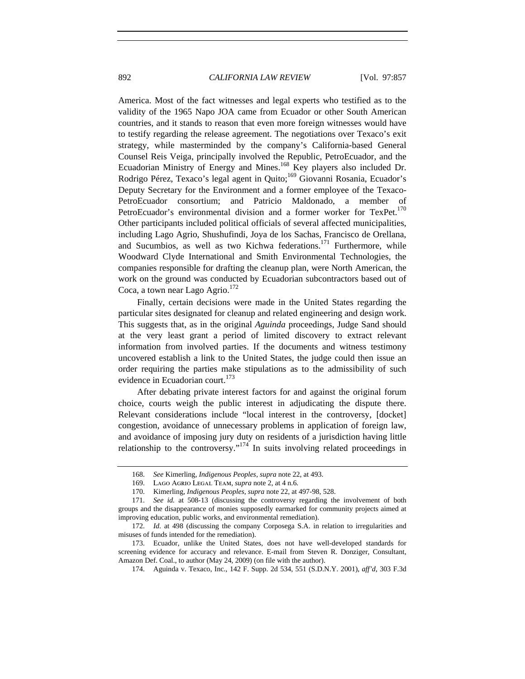America. Most of the fact witnesses and legal experts who testified as to the validity of the 1965 Napo JOA came from Ecuador or other South American countries, and it stands to reason that even more foreign witnesses would have to testify regarding the release agreement. The negotiations over Texaco's exit strategy, while masterminded by the company's California-based General Counsel Reis Veiga, principally involved the Republic, PetroEcuador, and the Ecuadorian Ministry of Energy and Mines.<sup>168</sup> Key players also included Dr. Rodrigo Pérez, Texaco's legal agent in Quito;<sup>169</sup> Giovanni Rosania, Ecuador's Deputy Secretary for the Environment and a former employee of the Texaco-PetroEcuador consortium; and Patricio Maldonado, a member of PetroEcuador's environmental division and a former worker for TexPet.<sup>170</sup> Other participants included political officials of several affected municipalities, including Lago Agrio, Shushufindi, Joya de los Sachas, Francisco de Orellana, and Sucumbios, as well as two Kichwa federations.<sup>171</sup> Furthermore, while Woodward Clyde International and Smith Environmental Technologies, the companies responsible for drafting the cleanup plan, were North American, the work on the ground was conducted by Ecuadorian subcontractors based out of Coca, a town near Lago Agrio. $172$ 

Finally, certain decisions were made in the United States regarding the particular sites designated for cleanup and related engineering and design work. This suggests that, as in the original *Aguinda* proceedings, Judge Sand should at the very least grant a period of limited discovery to extract relevant information from involved parties. If the documents and witness testimony uncovered establish a link to the United States, the judge could then issue an order requiring the parties make stipulations as to the admissibility of such evidence in Ecuadorian court.<sup>173</sup>

After debating private interest factors for and against the original forum choice, courts weigh the public interest in adjudicating the dispute there. Relevant considerations include "local interest in the controversy, [docket] congestion, avoidance of unnecessary problems in application of foreign law, and avoidance of imposing jury duty on residents of a jurisdiction having little relationship to the controversy."<sup>174</sup> In suits involving related proceedings in

<sup>168.</sup> *See* Kimerling, *Indigenous Peoples*, *supra* note 22, at 493.

<sup>169.</sup> Lago Agrio Legal Team, *supra* note 2, at 4 n.6.

<sup>170.</sup> Kimerling, *Indigenous Peoples*, *supra* note 22, at 497-98, 528.

<sup>171.</sup> *See id.* at 508-13 (discussing the controversy regarding the involvement of both groups and the disappearance of monies supposedly earmarked for community projects aimed at improving education, public works, and environmental remediation).

<sup>172.</sup> *Id.* at 498 (discussing the company Corposega S.A. in relation to irregularities and misuses of funds intended for the remediation).

<sup>173.</sup> Ecuador, unlike the United States, does not have well-developed standards for screening evidence for accuracy and relevance. E-mail from Steven R. Donziger, Consultant, Amazon Def. Coal., to author (May 24, 2009) (on file with the author).

<sup>174.</sup> Aguinda v. Texaco, Inc., 142 F. Supp. 2d 534, 551 (S.D.N.Y. 2001), *aff'd*, 303 F.3d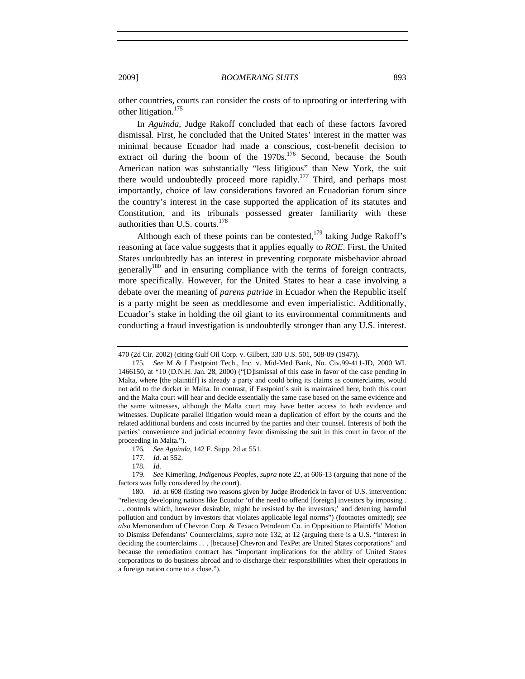other countries, courts can consider the costs of to uprooting or interfering with other litigation.<sup>175</sup>

In *Aguinda*, Judge Rakoff concluded that each of these factors favored dismissal. First, he concluded that the United States' interest in the matter was minimal because Ecuador had made a conscious, cost-benefit decision to extract oil during the boom of the  $1970s$ .<sup>176</sup> Second, because the South American nation was substantially "less litigious" than New York, the suit there would undoubtedly proceed more rapidly.<sup>177</sup> Third, and perhaps most importantly, choice of law considerations favored an Ecuadorian forum since the country's interest in the case supported the application of its statutes and Constitution, and its tribunals possessed greater familiarity with these authorities than U.S. courts. $178$ 

Although each of these points can be contested, $1^{79}$  taking Judge Rakoff's reasoning at face value suggests that it applies equally to *ROE*. First, the United States undoubtedly has an interest in preventing corporate misbehavior abroad generally<sup>180</sup> and in ensuring compliance with the terms of foreign contracts, more specifically. However, for the United States to hear a case involving a debate over the meaning of *parens patriae* in Ecuador when the Republic itself is a party might be seen as meddlesome and even imperialistic. Additionally, Ecuador's stake in holding the oil giant to its environmental commitments and conducting a fraud investigation is undoubtedly stronger than any U.S. interest.

180. *Id.* at 608 (listing two reasons given by Judge Broderick in favor of U.S. intervention: "relieving developing nations like Ecuador 'of the need to offend [foreign] investors by imposing .

. . controls which, however desirable, might be resisted by the investors;' and deterring harmful pollution and conduct by investors that violates applicable legal norms") (footnotes omitted); *see also* Memorandum of Chevron Corp. & Texaco Petroleum Co. in Opposition to Plaintiffs' Motion to Dismiss Defendants' Counterclaims, *supra* note 132, at 12 (arguing there is a U.S. "interest in deciding the counterclaims . . . [because] Chevron and TexPet are United States corporations" and because the remediation contract has "important implications for the ability of United States corporations to do business abroad and to discharge their responsibilities when their operations in a foreign nation come to a close.").

<sup>470 (2</sup>d Cir. 2002) (citing Gulf Oil Corp. v. Gilbert, 330 U.S. 501, 508-09 (1947)).

<sup>175.</sup> *See* M & I Eastpoint Tech., Inc. v. Mid-Med Bank, No. Civ.99-411-JD, 2000 WL 1466150, at \*10 (D.N.H. Jan. 28, 2000) ("[D]ismissal of this case in favor of the case pending in Malta, where [the plaintiff] is already a party and could bring its claims as counterclaims, would not add to the docket in Malta. In contrast, if Eastpoint's suit is maintained here, both this court and the Malta court will hear and decide essentially the same case based on the same evidence and the same witnesses, although the Malta court may have better access to both evidence and witnesses. Duplicate parallel litigation would mean a duplication of effort by the courts and the related additional burdens and costs incurred by the parties and their counsel. Interests of both the parties' convenience and judicial economy favor dismissing the suit in this court in favor of the proceeding in Malta.").

<sup>176.</sup> *See Aguinda*, 142 F. Supp. 2d at 551.

<sup>177.</sup> *Id.* at 552.

<sup>178.</sup> *Id.*

<sup>179.</sup> *See* Kimerling, *Indigenous Peoples*, *supra* note 22, at 606-13 (arguing that none of the factors was fully considered by the court).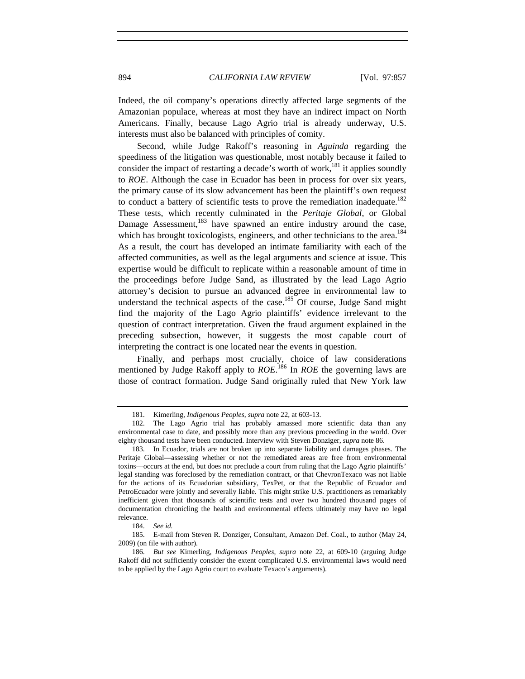Indeed, the oil company's operations directly affected large segments of the Amazonian populace, whereas at most they have an indirect impact on North Americans. Finally, because Lago Agrio trial is already underway, U.S. interests must also be balanced with principles of comity.

Second, while Judge Rakoff's reasoning in *Aguinda* regarding the speediness of the litigation was questionable, most notably because it failed to consider the impact of restarting a decade's worth of work,<sup>181</sup> it applies soundly to *ROE*. Although the case in Ecuador has been in process for over six years, the primary cause of its slow advancement has been the plaintiff's own request to conduct a battery of scientific tests to prove the remediation inadequate.<sup>182</sup> These tests, which recently culminated in the *Peritaje Global*, or Global Damage Assessment,  $183$  have spawned an entire industry around the case, which has brought toxicologists, engineers, and other technicians to the area.<sup>184</sup> As a result, the court has developed an intimate familiarity with each of the affected communities, as well as the legal arguments and science at issue. This expertise would be difficult to replicate within a reasonable amount of time in the proceedings before Judge Sand, as illustrated by the lead Lago Agrio attorney's decision to pursue an advanced degree in environmental law to understand the technical aspects of the case.<sup>185</sup> Of course, Judge Sand might find the majority of the Lago Agrio plaintiffs' evidence irrelevant to the question of contract interpretation. Given the fraud argument explained in the preceding subsection, however, it suggests the most capable court of interpreting the contract is one located near the events in question.

Finally, and perhaps most crucially, choice of law considerations mentioned by Judge Rakoff apply to *ROE*. 186 In *ROE* the governing laws are those of contract formation. Judge Sand originally ruled that New York law

184. *See id.*

<sup>181.</sup> Kimerling, *Indigenous Peoples*, *supra* note 22, at 603-13.

<sup>182.</sup> The Lago Agrio trial has probably amassed more scientific data than any environmental case to date, and possibly more than any previous proceeding in the world. Over eighty thousand tests have been conducted. Interview with Steven Donziger, *supra* note 86.

<sup>183.</sup> In Ecuador, trials are not broken up into separate liability and damages phases. The Peritaje Global—assessing whether or not the remediated areas are free from environmental toxins—occurs at the end, but does not preclude a court from ruling that the Lago Agrio plaintiffs' legal standing was foreclosed by the remediation contract, or that ChevronTexaco was not liable for the actions of its Ecuadorian subsidiary, TexPet, or that the Republic of Ecuador and PetroEcuador were jointly and severally liable. This might strike U.S. practitioners as remarkably inefficient given that thousands of scientific tests and over two hundred thousand pages of documentation chronicling the health and environmental effects ultimately may have no legal relevance.

<sup>185.</sup> E-mail from Steven R. Donziger, Consultant, Amazon Def. Coal., to author (May 24, 2009) (on file with author).

<sup>186.</sup> *But see* Kimerling, *Indigenous Peoples*, *supra* note 22, at 609-10 (arguing Judge Rakoff did not sufficiently consider the extent complicated U.S. environmental laws would need to be applied by the Lago Agrio court to evaluate Texaco's arguments).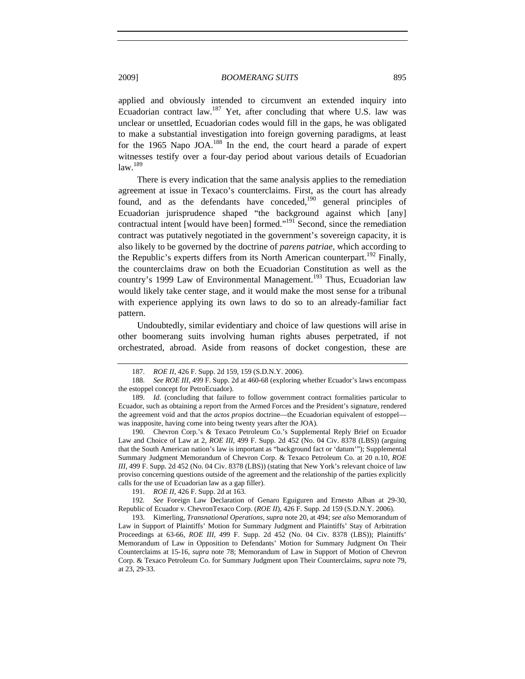applied and obviously intended to circumvent an extended inquiry into Ecuadorian contract law.<sup>187</sup> Yet, after concluding that where U.S. law was unclear or unsettled, Ecuadorian codes would fill in the gaps, he was obligated to make a substantial investigation into foreign governing paradigms, at least for the 1965 Napo JOA.<sup>188</sup> In the end, the court heard a parade of expert witnesses testify over a four-day period about various details of Ecuadorian  $law.<sup>189</sup>$ 

There is every indication that the same analysis applies to the remediation agreement at issue in Texaco's counterclaims. First, as the court has already found, and as the defendants have conceded,  $190$  general principles of Ecuadorian jurisprudence shaped "the background against which [any] contractual intent [would have been] formed."<sup>191</sup> Second, since the remediation contract was putatively negotiated in the government's sovereign capacity, it is also likely to be governed by the doctrine of *parens patriae*, which according to the Republic's experts differs from its North American counterpart.<sup>192</sup> Finally, the counterclaims draw on both the Ecuadorian Constitution as well as the country's 1999 Law of Environmental Management.<sup>193</sup> Thus, Ecuadorian law would likely take center stage, and it would make the most sense for a tribunal with experience applying its own laws to do so to an already-familiar fact pattern.

Undoubtedly, similar evidentiary and choice of law questions will arise in other boomerang suits involving human rights abuses perpetrated, if not orchestrated, abroad. Aside from reasons of docket congestion, these are

188. *See ROE III*, 499 F. Supp. 2d at 460-68 (exploring whether Ecuador's laws encompass the estoppel concept for PetroEcuador).

190. Chevron Corp.'s & Texaco Petroleum Co.'s Supplemental Reply Brief on Ecuador Law and Choice of Law at 2, *ROE III*, 499 F. Supp. 2d 452 (No. 04 Civ. 8378 (LBS)) (arguing that the South American nation's law is important as "background fact or 'datum'"); Supplemental Summary Judgment Memorandum of Chevron Corp. & Texaco Petroleum Co. at 20 n.10, *ROE III*, 499 F. Supp. 2d 452 (No. 04 Civ. 8378 (LBS)) (stating that New York's relevant choice of law proviso concerning questions outside of the agreement and the relationship of the parties explicitly calls for the use of Ecuadorian law as a gap filler).

191. *ROE II*, 426 F. Supp. 2d at 163.

192*. See* Foreign Law Declaration of Genaro Eguiguren and Ernesto Alban at 29-30, Republic of Ecuador v. ChevronTexaco Corp. (*ROE II*), 426 F. Supp. 2d 159 (S.D.N.Y. 2006).

193. Kimerling, *Transnational Operations*, *supra* note 20, at 494; *see also* Memorandum of Law in Support of Plaintiffs' Motion for Summary Judgment and Plaintiffs' Stay of Arbitration Proceedings at 63-66, *ROE III*, 499 F. Supp. 2d 452 (No. 04 Civ. 8378 (LBS)); Plaintiffs' Memorandum of Law in Opposition to Defendants' Motion for Summary Judgment On Their Counterclaims at 15-16, *supra* note 78; Memorandum of Law in Support of Motion of Chevron Corp. & Texaco Petroleum Co. for Summary Judgment upon Their Counterclaims, *supra* note 79, at 23, 29-33.

<sup>187.</sup> *ROE II*, 426 F. Supp. 2d 159, 159 (S.D.N.Y. 2006).

<sup>189.</sup> *Id.* (concluding that failure to follow government contract formalities particular to Ecuador, such as obtaining a report from the Armed Forces and the President's signature, rendered the agreement void and that the *actos propios* doctrine—the Ecuadorian equivalent of estoppel was inapposite, having come into being twenty years after the JOA).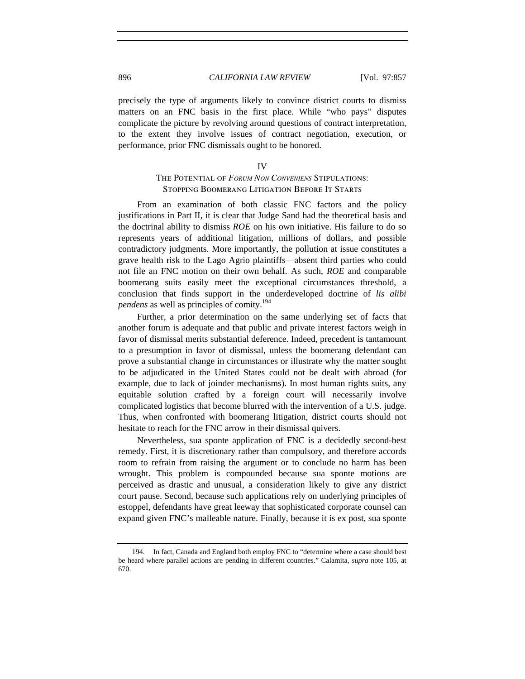precisely the type of arguments likely to convince district courts to dismiss matters on an FNC basis in the first place. While "who pays" disputes complicate the picture by revolving around questions of contract interpretation, to the extent they involve issues of contract negotiation, execution, or performance, prior FNC dismissals ought to be honored.

#### IV

## The Potential of *FORUM NON CONVENIENS* Stipulations: Stopping Boomerang Litigation Before It Starts

From an examination of both classic FNC factors and the policy justifications in Part II, it is clear that Judge Sand had the theoretical basis and the doctrinal ability to dismiss *ROE* on his own initiative. His failure to do so represents years of additional litigation, millions of dollars, and possible contradictory judgments. More importantly, the pollution at issue constitutes a grave health risk to the Lago Agrio plaintiffs—absent third parties who could not file an FNC motion on their own behalf. As such, *ROE* and comparable boomerang suits easily meet the exceptional circumstances threshold, a conclusion that finds support in the underdeveloped doctrine of *lis alibi pendens* as well as principles of comity.<sup>194</sup>

Further, a prior determination on the same underlying set of facts that another forum is adequate and that public and private interest factors weigh in favor of dismissal merits substantial deference. Indeed, precedent is tantamount to a presumption in favor of dismissal, unless the boomerang defendant can prove a substantial change in circumstances or illustrate why the matter sought to be adjudicated in the United States could not be dealt with abroad (for example, due to lack of joinder mechanisms). In most human rights suits, any equitable solution crafted by a foreign court will necessarily involve complicated logistics that become blurred with the intervention of a U.S. judge. Thus, when confronted with boomerang litigation, district courts should not hesitate to reach for the FNC arrow in their dismissal quivers.

Nevertheless, sua sponte application of FNC is a decidedly second-best remedy. First, it is discretionary rather than compulsory, and therefore accords room to refrain from raising the argument or to conclude no harm has been wrought. This problem is compounded because sua sponte motions are perceived as drastic and unusual, a consideration likely to give any district court pause. Second, because such applications rely on underlying principles of estoppel, defendants have great leeway that sophisticated corporate counsel can expand given FNC's malleable nature. Finally, because it is ex post, sua sponte

<sup>194.</sup> In fact, Canada and England both employ FNC to "determine where a case should best be heard where parallel actions are pending in different countries." Calamita, *supra* note 105, at 670.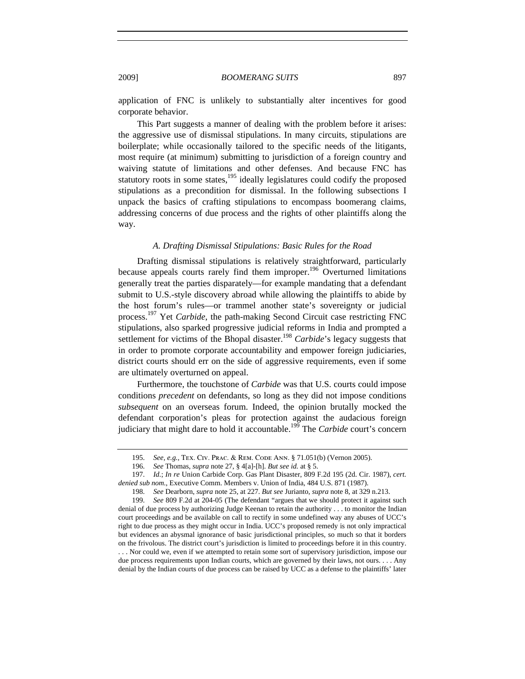application of FNC is unlikely to substantially alter incentives for good corporate behavior.

This Part suggests a manner of dealing with the problem before it arises: the aggressive use of dismissal stipulations. In many circuits, stipulations are boilerplate; while occasionally tailored to the specific needs of the litigants, most require (at minimum) submitting to jurisdiction of a foreign country and waiving statute of limitations and other defenses. And because FNC has statutory roots in some states, $195$  ideally legislatures could codify the proposed stipulations as a precondition for dismissal. In the following subsections I unpack the basics of crafting stipulations to encompass boomerang claims, addressing concerns of due process and the rights of other plaintiffs along the way.

## *A. Drafting Dismissal Stipulations: Basic Rules for the Road*

Drafting dismissal stipulations is relatively straightforward, particularly because appeals courts rarely find them improper.<sup>196</sup> Overturned limitations generally treat the parties disparately—for example mandating that a defendant submit to U.S.-style discovery abroad while allowing the plaintiffs to abide by the host forum's rules—or trammel another state's sovereignty or judicial process. 197 Yet *Carbide*, the path-making Second Circuit case restricting FNC stipulations, also sparked progressive judicial reforms in India and prompted a settlement for victims of the Bhopal disaster.<sup>198</sup> *Carbide*'s legacy suggests that in order to promote corporate accountability and empower foreign judiciaries, district courts should err on the side of aggressive requirements, even if some are ultimately overturned on appeal.

Furthermore, the touchstone of *Carbide* was that U.S. courts could impose conditions *precedent* on defendants, so long as they did not impose conditions *subsequent* on an overseas forum. Indeed, the opinion brutally mocked the defendant corporation's pleas for protection against the audacious foreign judiciary that might dare to hold it accountable.199 The *Carbide* court's concern

. . . Nor could we, even if we attempted to retain some sort of supervisory jurisdiction, impose our due process requirements upon Indian courts, which are governed by their laws, not ours. . . . Any denial by the Indian courts of due process can be raised by UCC as a defense to the plaintiffs' later

<sup>195.</sup> *See, e.g.*, Tex. Civ. Prac. & Rem. Code Ann. § 71.051(b) (Vernon 2005).

<sup>196.</sup> *See* Thomas, *supra* note 27, § 4[a]-[h]. *But see id.* at § 5.

<sup>197.</sup> *Id.*; *In re* Union Carbide Corp. Gas Plant Disaster, 809 F.2d 195 (2d. Cir. 1987), *cert. denied sub nom.*, Executive Comm. Members v. Union of India, 484 U.S. 871 (1987).

<sup>198.</sup> *See* Dearborn, *supra* note 25, at 227. *But see* Jurianto, *supra* note 8, at 329 n.213.

<sup>199.</sup> *See* 809 F.2d at 204-05 (The defendant "argues that we should protect it against such denial of due process by authorizing Judge Keenan to retain the authority . . . to monitor the Indian court proceedings and be available on call to rectify in some undefined way any abuses of UCC's right to due process as they might occur in India. UCC's proposed remedy is not only impractical but evidences an abysmal ignorance of basic jurisdictional principles, so much so that it borders on the frivolous. The district court's jurisdiction is limited to proceedings before it in this country.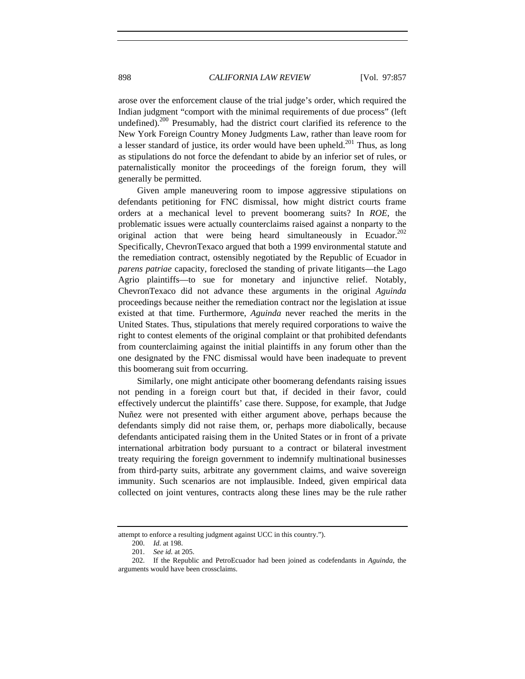arose over the enforcement clause of the trial judge's order, which required the Indian judgment "comport with the minimal requirements of due process" (left undefined).<sup>200</sup> Presumably, had the district court clarified its reference to the New York Foreign Country Money Judgments Law, rather than leave room for a lesser standard of justice, its order would have been upheld.<sup>201</sup> Thus, as long as stipulations do not force the defendant to abide by an inferior set of rules, or paternalistically monitor the proceedings of the foreign forum, they will generally be permitted.

Given ample maneuvering room to impose aggressive stipulations on defendants petitioning for FNC dismissal, how might district courts frame orders at a mechanical level to prevent boomerang suits? In *ROE*, the problematic issues were actually counterclaims raised against a nonparty to the original action that were being heard simultaneously in Ecuador.<sup>202</sup> Specifically, ChevronTexaco argued that both a 1999 environmental statute and the remediation contract, ostensibly negotiated by the Republic of Ecuador in *parens patriae* capacity, foreclosed the standing of private litigants—the Lago Agrio plaintiffs—to sue for monetary and injunctive relief. Notably, ChevronTexaco did not advance these arguments in the original *Aguinda* proceedings because neither the remediation contract nor the legislation at issue existed at that time. Furthermore, *Aguinda* never reached the merits in the United States. Thus, stipulations that merely required corporations to waive the right to contest elements of the original complaint or that prohibited defendants from counterclaiming against the initial plaintiffs in any forum other than the one designated by the FNC dismissal would have been inadequate to prevent this boomerang suit from occurring.

Similarly, one might anticipate other boomerang defendants raising issues not pending in a foreign court but that, if decided in their favor, could effectively undercut the plaintiffs' case there. Suppose, for example, that Judge Nuñez were not presented with either argument above, perhaps because the defendants simply did not raise them, or, perhaps more diabolically, because defendants anticipated raising them in the United States or in front of a private international arbitration body pursuant to a contract or bilateral investment treaty requiring the foreign government to indemnify multinational businesses from third-party suits, arbitrate any government claims, and waive sovereign immunity. Such scenarios are not implausible. Indeed, given empirical data collected on joint ventures, contracts along these lines may be the rule rather

attempt to enforce a resulting judgment against UCC in this country.").

<sup>200.</sup> *Id.* at 198.

<sup>201.</sup> *See id.* at 205.

<sup>202.</sup> If the Republic and PetroEcuador had been joined as codefendants in *Aguinda*, the arguments would have been crossclaims.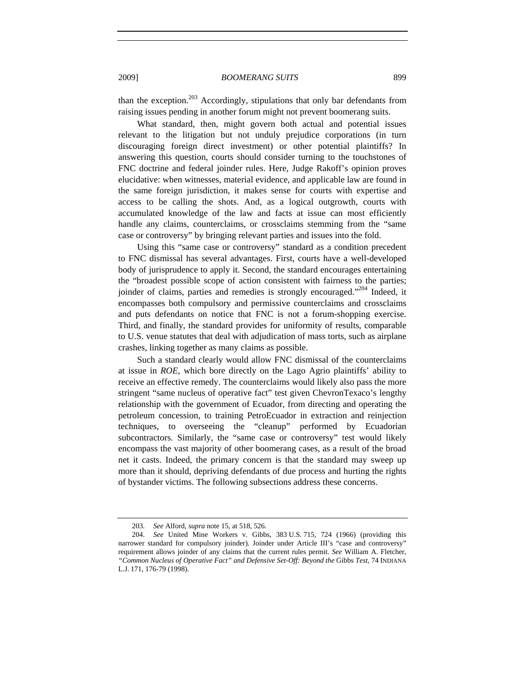than the exception.<sup>203</sup> Accordingly, stipulations that only bar defendants from raising issues pending in another forum might not prevent boomerang suits.

What standard, then, might govern both actual and potential issues relevant to the litigation but not unduly prejudice corporations (in turn discouraging foreign direct investment) or other potential plaintiffs? In answering this question, courts should consider turning to the touchstones of FNC doctrine and federal joinder rules. Here, Judge Rakoff's opinion proves elucidative: when witnesses, material evidence, and applicable law are found in the same foreign jurisdiction, it makes sense for courts with expertise and access to be calling the shots. And, as a logical outgrowth, courts with accumulated knowledge of the law and facts at issue can most efficiently handle any claims, counterclaims, or crossclaims stemming from the "same case or controversy" by bringing relevant parties and issues into the fold.

Using this "same case or controversy" standard as a condition precedent to FNC dismissal has several advantages. First, courts have a well-developed body of jurisprudence to apply it. Second, the standard encourages entertaining the "broadest possible scope of action consistent with fairness to the parties; joinder of claims, parties and remedies is strongly encouraged."<sup>204</sup> Indeed, it encompasses both compulsory and permissive counterclaims and crossclaims and puts defendants on notice that FNC is not a forum-shopping exercise. Third, and finally, the standard provides for uniformity of results, comparable to U.S. venue statutes that deal with adjudication of mass torts, such as airplane crashes, linking together as many claims as possible.

Such a standard clearly would allow FNC dismissal of the counterclaims at issue in *ROE*, which bore directly on the Lago Agrio plaintiffs' ability to receive an effective remedy. The counterclaims would likely also pass the more stringent "same nucleus of operative fact" test given ChevronTexaco's lengthy relationship with the government of Ecuador, from directing and operating the petroleum concession, to training PetroEcuador in extraction and reinjection techniques, to overseeing the "cleanup" performed by Ecuadorian subcontractors. Similarly, the "same case or controversy" test would likely encompass the vast majority of other boomerang cases, as a result of the broad net it casts. Indeed, the primary concern is that the standard may sweep up more than it should, depriving defendants of due process and hurting the rights of bystander victims. The following subsections address these concerns.

<sup>203.</sup> *See* Alford, *supra* note 15, at 518, 526.

<sup>204.</sup> *See* United Mine Workers v. Gibbs, 383 U.S. 715, 724 (1966) (providing this narrower standard for compulsory joinder). Joinder under Article III's "case and controversy" requirement allows joinder of any claims that the current rules permit. *See* William A. Fletcher, *"Common Nucleus of Operative Fact" and Defensive Set-Off: Beyond the* Gibbs *Test*, 74 INDIANA L.J. 171, 176-79 (1998).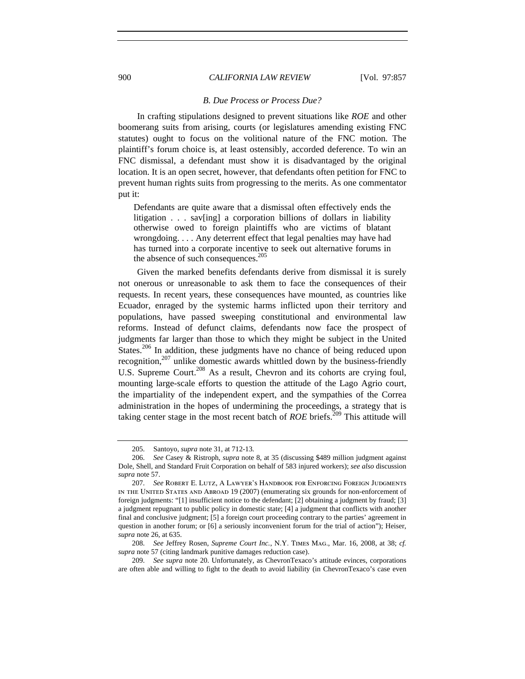### *B. Due Process or Process Due?*

In crafting stipulations designed to prevent situations like *ROE* and other boomerang suits from arising, courts (or legislatures amending existing FNC statutes) ought to focus on the volitional nature of the FNC motion. The plaintiff's forum choice is, at least ostensibly, accorded deference. To win an FNC dismissal, a defendant must show it is disadvantaged by the original location. It is an open secret, however, that defendants often petition for FNC to prevent human rights suits from progressing to the merits. As one commentator put it:

Defendants are quite aware that a dismissal often effectively ends the litigation . . . sav[ing] a corporation billions of dollars in liability otherwise owed to foreign plaintiffs who are victims of blatant wrongdoing. . . . Any deterrent effect that legal penalties may have had has turned into a corporate incentive to seek out alternative forums in the absence of such consequences.<sup>205</sup>

Given the marked benefits defendants derive from dismissal it is surely not onerous or unreasonable to ask them to face the consequences of their requests. In recent years, these consequences have mounted, as countries like Ecuador, enraged by the systemic harms inflicted upon their territory and populations, have passed sweeping constitutional and environmental law reforms. Instead of defunct claims, defendants now face the prospect of judgments far larger than those to which they might be subject in the United States.<sup>206</sup> In addition, these judgments have no chance of being reduced upon recognition, $207$  unlike domestic awards whittled down by the business-friendly U.S. Supreme Court.<sup>208</sup> As a result, Chevron and its cohorts are crying foul, mounting large-scale efforts to question the attitude of the Lago Agrio court, the impartiality of the independent expert, and the sympathies of the Correa administration in the hopes of undermining the proceedings, a strategy that is taking center stage in the most recent batch of *ROE* briefs.<sup>209</sup> This attitude will

<sup>205.</sup> Santoyo, *supra* note 31, at 712-13.

<sup>206.</sup> *See* Casey & Ristroph, *supra* note 8, at 35 (discussing \$489 million judgment against Dole, Shell, and Standard Fruit Corporation on behalf of 583 injured workers); *see also* discussion *supra* note 57.

<sup>207.</sup> *See* Robert E. Lutz, A Lawyer's Handbook for Enforcing Foreign Judgments in the United States and Abroad 19 (2007) (enumerating six grounds for non-enforcement of foreign judgments: "[1] insufficient notice to the defendant; [2] obtaining a judgment by fraud; [3] a judgment repugnant to public policy in domestic state; [4] a judgment that conflicts with another final and conclusive judgment; [5] a foreign court proceeding contrary to the parties' agreement in question in another forum; or [6] a seriously inconvenient forum for the trial of action"); Heiser, *supra* note 26, at 635.

<sup>208.</sup> *See* Jeffrey Rosen, *Supreme Court Inc.*, N.Y. Times Mag., Mar. 16, 2008, at 38; *cf. supra* note 57 (citing landmark punitive damages reduction case).

<sup>209.</sup> *See supra* note 20. Unfortunately, as ChevronTexaco's attitude evinces, corporations are often able and willing to fight to the death to avoid liability (in ChevronTexaco's case even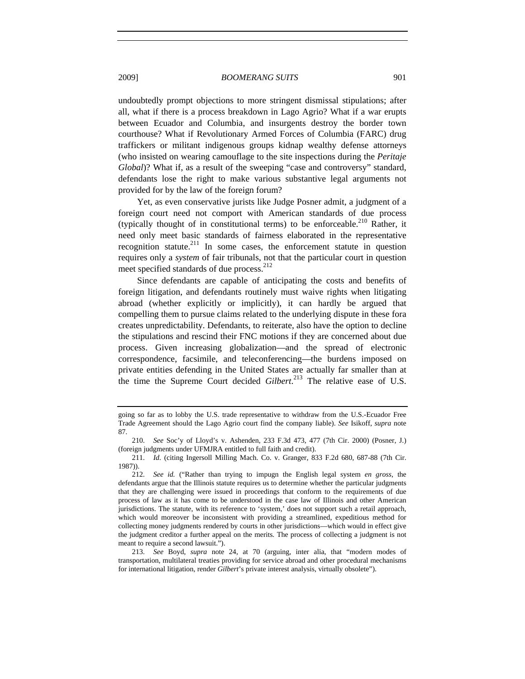undoubtedly prompt objections to more stringent dismissal stipulations; after all, what if there is a process breakdown in Lago Agrio? What if a war erupts between Ecuador and Columbia, and insurgents destroy the border town courthouse? What if Revolutionary Armed Forces of Columbia (FARC) drug traffickers or militant indigenous groups kidnap wealthy defense attorneys (who insisted on wearing camouflage to the site inspections during the *Peritaje Global*)? What if, as a result of the sweeping "case and controversy" standard, defendants lose the right to make various substantive legal arguments not provided for by the law of the foreign forum?

Yet, as even conservative jurists like Judge Posner admit, a judgment of a foreign court need not comport with American standards of due process (typically thought of in constitutional terms) to be enforceable.<sup>210</sup> Rather, it need only meet basic standards of fairness elaborated in the representative recognition statute.<sup>211</sup> In some cases, the enforcement statute in question requires only a *system* of fair tribunals, not that the particular court in question meet specified standards of due process.<sup>212</sup>

Since defendants are capable of anticipating the costs and benefits of foreign litigation, and defendants routinely must waive rights when litigating abroad (whether explicitly or implicitly), it can hardly be argued that compelling them to pursue claims related to the underlying dispute in these fora creates unpredictability. Defendants, to reiterate, also have the option to decline the stipulations and rescind their FNC motions if they are concerned about due process. Given increasing globalization—and the spread of electronic correspondence, facsimile, and teleconferencing—the burdens imposed on private entities defending in the United States are actually far smaller than at the time the Supreme Court decided *Gilbert*. 213 The relative ease of U.S.

213. *See* Boyd, *supra* note 24, at 70 (arguing, inter alia, that "modern modes of transportation, multilateral treaties providing for service abroad and other procedural mechanisms for international litigation, render *Gilbert*'s private interest analysis, virtually obsolete").

going so far as to lobby the U.S. trade representative to withdraw from the U.S.-Ecuador Free Trade Agreement should the Lago Agrio court find the company liable). *See* Isikoff, *supra* note 87.

<sup>210.</sup> *See* Soc'y of Lloyd's v. Ashenden, 233 F.3d 473, 477 (7th Cir. 2000) (Posner, J.) (foreign judgments under UFMJRA entitled to full faith and credit).

<sup>211.</sup> *Id.* (citing Ingersoll Milling Mach. Co. v. Granger, 833 F.2d 680, 687-88 (7th Cir. 1987)).

<sup>212.</sup> *See id.* ("Rather than trying to impugn the English legal system *en gross*, the defendants argue that the Illinois statute requires us to determine whether the particular judgments that they are challenging were issued in proceedings that conform to the requirements of due process of law as it has come to be understood in the case law of Illinois and other American jurisdictions. The statute, with its reference to 'system,' does not support such a retail approach, which would moreover be inconsistent with providing a streamlined, expeditious method for collecting money judgments rendered by courts in other jurisdictions—which would in effect give the judgment creditor a further appeal on the merits. The process of collecting a judgment is not meant to require a second lawsuit.").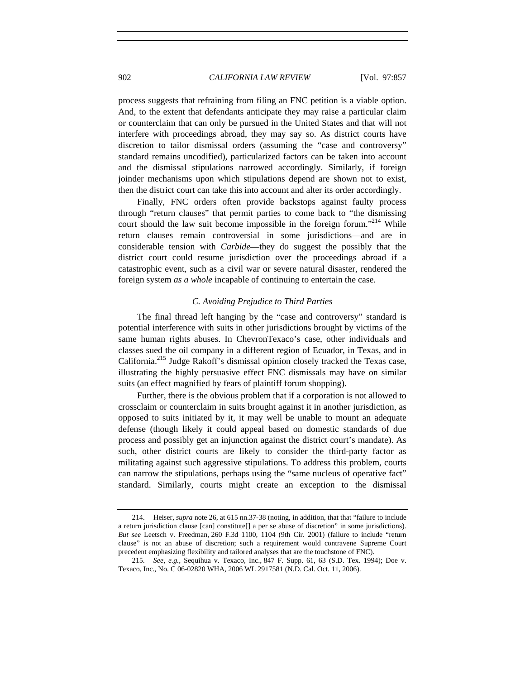process suggests that refraining from filing an FNC petition is a viable option. And, to the extent that defendants anticipate they may raise a particular claim or counterclaim that can only be pursued in the United States and that will not interfere with proceedings abroad, they may say so. As district courts have discretion to tailor dismissal orders (assuming the "case and controversy" standard remains uncodified), particularized factors can be taken into account and the dismissal stipulations narrowed accordingly. Similarly, if foreign joinder mechanisms upon which stipulations depend are shown not to exist, then the district court can take this into account and alter its order accordingly.

Finally, FNC orders often provide backstops against faulty process through "return clauses" that permit parties to come back to "the dismissing court should the law suit become impossible in the foreign forum."<sup>214</sup> While return clauses remain controversial in some jurisdictions—and are in considerable tension with *Carbide*—they do suggest the possibly that the district court could resume jurisdiction over the proceedings abroad if a catastrophic event, such as a civil war or severe natural disaster, rendered the foreign system *as a whole* incapable of continuing to entertain the case.

## *C. Avoiding Prejudice to Third Parties*

The final thread left hanging by the "case and controversy" standard is potential interference with suits in other jurisdictions brought by victims of the same human rights abuses. In ChevronTexaco's case, other individuals and classes sued the oil company in a different region of Ecuador, in Texas, and in California.215 Judge Rakoff's dismissal opinion closely tracked the Texas case, illustrating the highly persuasive effect FNC dismissals may have on similar suits (an effect magnified by fears of plaintiff forum shopping).

Further, there is the obvious problem that if a corporation is not allowed to crossclaim or counterclaim in suits brought against it in another jurisdiction, as opposed to suits initiated by it, it may well be unable to mount an adequate defense (though likely it could appeal based on domestic standards of due process and possibly get an injunction against the district court's mandate). As such, other district courts are likely to consider the third-party factor as militating against such aggressive stipulations. To address this problem, courts can narrow the stipulations, perhaps using the "same nucleus of operative fact" standard. Similarly, courts might create an exception to the dismissal

<sup>214.</sup> Heiser, *supra* note 26, at 615 nn.37-38 (noting, in addition, that that "failure to include a return jurisdiction clause [can] constitute[] a per se abuse of discretion" in some jurisdictions). *But see* Leetsch v. Freedman, 260 F.3d 1100, 1104 (9th Cir. 2001) (failure to include "return clause" is not an abuse of discretion; such a requirement would contravene Supreme Court precedent emphasizing flexibility and tailored analyses that are the touchstone of FNC).

<sup>215.</sup> *See, e.g.*, Sequihua v. Texaco, Inc., 847 F. Supp. 61, 63 (S.D. Tex. 1994); Doe v. Texaco, Inc., No. C 06-02820 WHA, 2006 WL 2917581 (N.D. Cal. Oct. 11, 2006).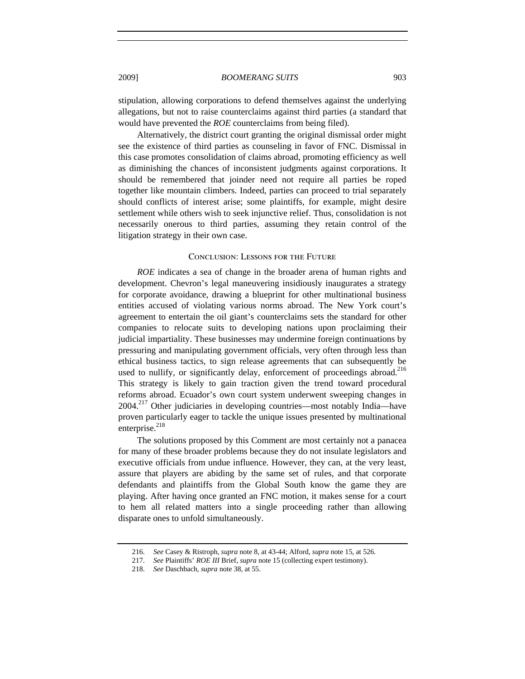stipulation, allowing corporations to defend themselves against the underlying allegations, but not to raise counterclaims against third parties (a standard that would have prevented the *ROE* counterclaims from being filed).

Alternatively, the district court granting the original dismissal order might see the existence of third parties as counseling in favor of FNC. Dismissal in this case promotes consolidation of claims abroad, promoting efficiency as well as diminishing the chances of inconsistent judgments against corporations. It should be remembered that joinder need not require all parties be roped together like mountain climbers. Indeed, parties can proceed to trial separately should conflicts of interest arise; some plaintiffs, for example, might desire settlement while others wish to seek injunctive relief. Thus, consolidation is not necessarily onerous to third parties, assuming they retain control of the litigation strategy in their own case.

## Conclusion: Lessons for the Future

*ROE* indicates a sea of change in the broader arena of human rights and development. Chevron's legal maneuvering insidiously inaugurates a strategy for corporate avoidance, drawing a blueprint for other multinational business entities accused of violating various norms abroad. The New York court's agreement to entertain the oil giant's counterclaims sets the standard for other companies to relocate suits to developing nations upon proclaiming their judicial impartiality. These businesses may undermine foreign continuations by pressuring and manipulating government officials, very often through less than ethical business tactics, to sign release agreements that can subsequently be used to nullify, or significantly delay, enforcement of proceedings abroad.<sup>216</sup> This strategy is likely to gain traction given the trend toward procedural reforms abroad. Ecuador's own court system underwent sweeping changes in  $2004.<sup>217</sup>$  Other judiciaries in developing countries—most notably India—have proven particularly eager to tackle the unique issues presented by multinational enterprise. $^{218}$ 

The solutions proposed by this Comment are most certainly not a panacea for many of these broader problems because they do not insulate legislators and executive officials from undue influence. However, they can, at the very least, assure that players are abiding by the same set of rules, and that corporate defendants and plaintiffs from the Global South know the game they are playing. After having once granted an FNC motion, it makes sense for a court to hem all related matters into a single proceeding rather than allowing disparate ones to unfold simultaneously.

<sup>216.</sup> *See* Casey & Ristroph, *supra* note 8, at 43-44; Alford, *supra* note 15, at 526.

<sup>217.</sup> *See* Plaintiffs' *ROE III* Brief, *supra* note 15 (collecting expert testimony).

<sup>218.</sup> *See* Daschbach, *supra* note 38, at 55.